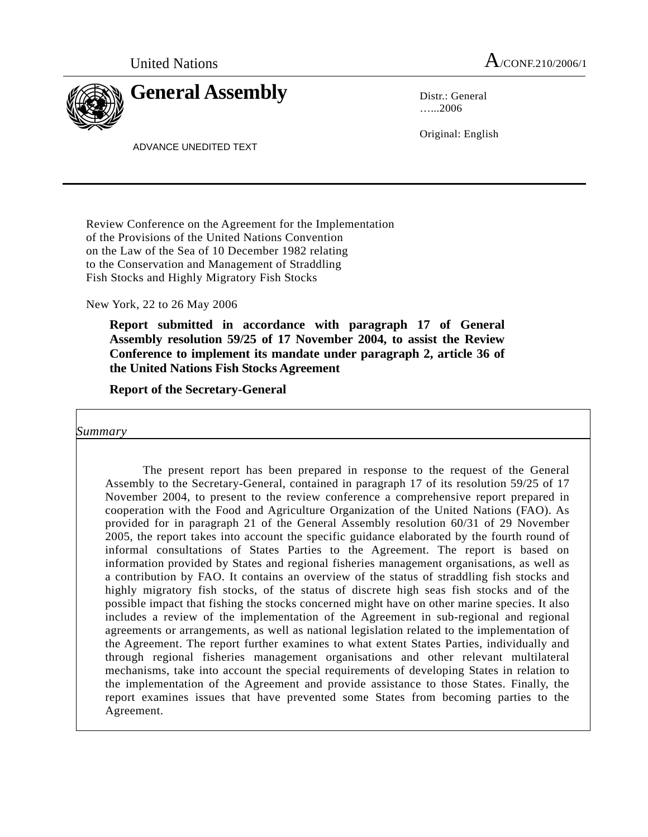

…...2006

Original: English

ADVANCE UNEDITED TEXT

Review Conference on the Agreement for the Implementation of the Provisions of the United Nations Convention on the Law of the Sea of 10 December 1982 relating to the Conservation and Management of Straddling Fish Stocks and Highly Migratory Fish Stocks

New York, 22 to 26 May 2006

 **Report submitted in accordance with paragraph 17 of General Assembly resolution 59/25 of 17 November 2004, to assist the Review Conference to implement its mandate under paragraph 2, article 36 of the United Nations Fish Stocks Agreement** 

 **Report of the Secretary-General** 

 *Summary* 

> The present report has been prepared in response to the request of the General Assembly to the Secretary-General, contained in paragraph 17 of its resolution 59/25 of 17 November 2004, to present to the review conference a comprehensive report prepared in cooperation with the Food and Agriculture Organization of the United Nations (FAO). As provided for in paragraph 21 of the General Assembly resolution 60/31 of 29 November 2005, the report takes into account the specific guidance elaborated by the fourth round of informal consultations of States Parties to the Agreement. The report is based on information provided by States and regional fisheries management organisations, as well as a contribution by FAO. It contains an overview of the status of straddling fish stocks and highly migratory fish stocks, of the status of discrete high seas fish stocks and of the possible impact that fishing the stocks concerned might have on other marine species. It also includes a review of the implementation of the Agreement in sub-regional and regional agreements or arrangements, as well as national legislation related to the implementation of the Agreement. The report further examines to what extent States Parties, individually and through regional fisheries management organisations and other relevant multilateral mechanisms, take into account the special requirements of developing States in relation to the implementation of the Agreement and provide assistance to those States. Finally, the report examines issues that have prevented some States from becoming parties to the Agreement.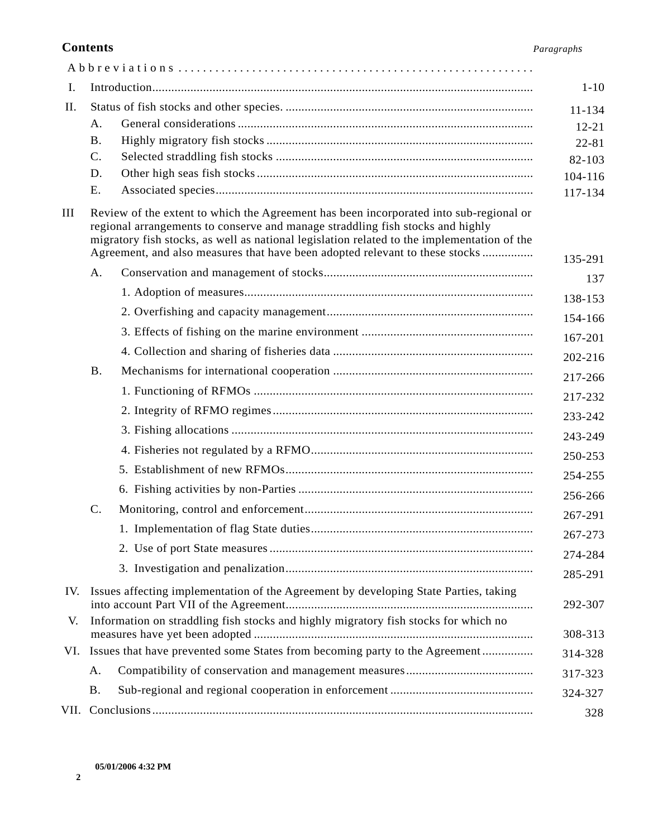#### **Contents** *Paragraphs*

|     |                                                                                          |                                                                                                                                                                                                                                                                                                                                                         | $1 - 10$           |
|-----|------------------------------------------------------------------------------------------|---------------------------------------------------------------------------------------------------------------------------------------------------------------------------------------------------------------------------------------------------------------------------------------------------------------------------------------------------------|--------------------|
| I.  |                                                                                          |                                                                                                                                                                                                                                                                                                                                                         |                    |
| II. |                                                                                          |                                                                                                                                                                                                                                                                                                                                                         | 11-134             |
|     | A.                                                                                       |                                                                                                                                                                                                                                                                                                                                                         | $12 - 21$          |
|     | <b>B.</b>                                                                                |                                                                                                                                                                                                                                                                                                                                                         | $22 - 81$          |
|     | $\mathbf{C}$ .<br>D.                                                                     |                                                                                                                                                                                                                                                                                                                                                         | 82-103             |
|     | Ε.                                                                                       |                                                                                                                                                                                                                                                                                                                                                         | 104-116<br>117-134 |
| Ш   |                                                                                          | Review of the extent to which the Agreement has been incorporated into sub-regional or<br>regional arrangements to conserve and manage straddling fish stocks and highly<br>migratory fish stocks, as well as national legislation related to the implementation of the<br>Agreement, and also measures that have been adopted relevant to these stocks | 135-291            |
|     | Α.                                                                                       |                                                                                                                                                                                                                                                                                                                                                         | 137                |
|     |                                                                                          |                                                                                                                                                                                                                                                                                                                                                         | 138-153            |
|     |                                                                                          |                                                                                                                                                                                                                                                                                                                                                         |                    |
|     |                                                                                          |                                                                                                                                                                                                                                                                                                                                                         | 154-166<br>167-201 |
|     |                                                                                          |                                                                                                                                                                                                                                                                                                                                                         | 202-216            |
|     | <b>B.</b>                                                                                |                                                                                                                                                                                                                                                                                                                                                         |                    |
|     |                                                                                          |                                                                                                                                                                                                                                                                                                                                                         | 217-266            |
|     |                                                                                          |                                                                                                                                                                                                                                                                                                                                                         | 217-232            |
|     |                                                                                          |                                                                                                                                                                                                                                                                                                                                                         | 233-242            |
|     |                                                                                          |                                                                                                                                                                                                                                                                                                                                                         | 243-249            |
|     |                                                                                          |                                                                                                                                                                                                                                                                                                                                                         | 250-253            |
|     |                                                                                          |                                                                                                                                                                                                                                                                                                                                                         | 254-255            |
|     | $\mathbf{C}$ .                                                                           |                                                                                                                                                                                                                                                                                                                                                         | 256-266            |
|     |                                                                                          |                                                                                                                                                                                                                                                                                                                                                         | 267-291            |
|     |                                                                                          |                                                                                                                                                                                                                                                                                                                                                         | 267-273            |
|     |                                                                                          |                                                                                                                                                                                                                                                                                                                                                         | 274-284            |
|     |                                                                                          |                                                                                                                                                                                                                                                                                                                                                         | 285-291            |
|     | IV. Issues affecting implementation of the Agreement by developing State Parties, taking |                                                                                                                                                                                                                                                                                                                                                         | 292-307            |
| V.  | Information on straddling fish stocks and highly migratory fish stocks for which no      |                                                                                                                                                                                                                                                                                                                                                         | 308-313            |
|     | VI. Issues that have prevented some States from becoming party to the Agreement          |                                                                                                                                                                                                                                                                                                                                                         | 314-328            |
|     | A.                                                                                       |                                                                                                                                                                                                                                                                                                                                                         | 317-323            |
|     | <b>B.</b>                                                                                |                                                                                                                                                                                                                                                                                                                                                         | 324-327            |
|     |                                                                                          |                                                                                                                                                                                                                                                                                                                                                         | 328                |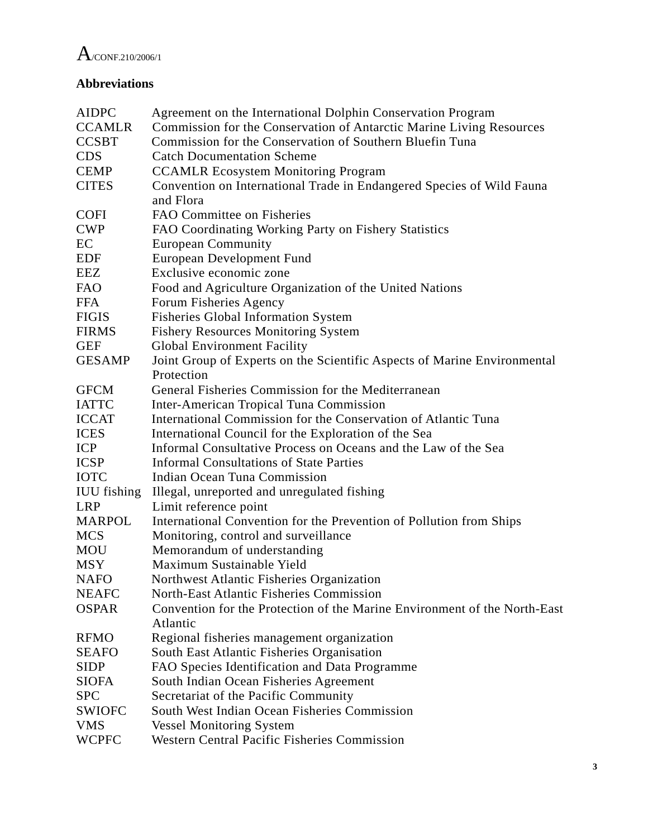

# **Abbreviations**

| <b>AIDPC</b>       | Agreement on the International Dolphin Conservation Program               |
|--------------------|---------------------------------------------------------------------------|
| <b>CCAMLR</b>      | Commission for the Conservation of Antarctic Marine Living Resources      |
| <b>CCSBT</b>       | Commission for the Conservation of Southern Bluefin Tuna                  |
| <b>CDS</b>         | <b>Catch Documentation Scheme</b>                                         |
| <b>CEMP</b>        | <b>CCAMLR Ecosystem Monitoring Program</b>                                |
| <b>CITES</b>       | Convention on International Trade in Endangered Species of Wild Fauna     |
|                    | and Flora                                                                 |
| <b>COFI</b>        | FAO Committee on Fisheries                                                |
| <b>CWP</b>         | FAO Coordinating Working Party on Fishery Statistics                      |
| EC                 | <b>European Community</b>                                                 |
| <b>EDF</b>         | European Development Fund                                                 |
| EEZ                | Exclusive economic zone                                                   |
| <b>FAO</b>         | Food and Agriculture Organization of the United Nations                   |
| <b>FFA</b>         | Forum Fisheries Agency                                                    |
| <b>FIGIS</b>       | <b>Fisheries Global Information System</b>                                |
| <b>FIRMS</b>       | <b>Fishery Resources Monitoring System</b>                                |
| <b>GEF</b>         | <b>Global Environment Facility</b>                                        |
| <b>GESAMP</b>      | Joint Group of Experts on the Scientific Aspects of Marine Environmental  |
|                    | Protection                                                                |
| <b>GFCM</b>        | General Fisheries Commission for the Mediterranean                        |
| <b>IATTC</b>       | <b>Inter-American Tropical Tuna Commission</b>                            |
| <b>ICCAT</b>       | International Commission for the Conservation of Atlantic Tuna            |
| <b>ICES</b>        | International Council for the Exploration of the Sea                      |
| <b>ICP</b>         | Informal Consultative Process on Oceans and the Law of the Sea            |
| <b>ICSP</b>        | <b>Informal Consultations of State Parties</b>                            |
| <b>IOTC</b>        | <b>Indian Ocean Tuna Commission</b>                                       |
| <b>IUU</b> fishing | Illegal, unreported and unregulated fishing                               |
| <b>LRP</b>         | Limit reference point                                                     |
| <b>MARPOL</b>      | International Convention for the Prevention of Pollution from Ships       |
| <b>MCS</b>         | Monitoring, control and surveillance                                      |
| <b>MOU</b>         | Memorandum of understanding                                               |
| <b>MSY</b>         | Maximum Sustainable Yield                                                 |
| <b>NAFO</b>        | Northwest Atlantic Fisheries Organization                                 |
| <b>NEAFC</b>       | <b>North-East Atlantic Fisheries Commission</b>                           |
| <b>OSPAR</b>       | Convention for the Protection of the Marine Environment of the North-East |
|                    | Atlantic                                                                  |
| <b>RFMO</b>        | Regional fisheries management organization                                |
| <b>SEAFO</b>       | South East Atlantic Fisheries Organisation                                |
| <b>SIDP</b>        | FAO Species Identification and Data Programme                             |
| <b>SIOFA</b>       | South Indian Ocean Fisheries Agreement                                    |
| <b>SPC</b>         | Secretariat of the Pacific Community                                      |
| <b>SWIOFC</b>      | South West Indian Ocean Fisheries Commission                              |
| <b>VMS</b>         | <b>Vessel Monitoring System</b>                                           |
| WCPFC              | <b>Western Central Pacific Fisheries Commission</b>                       |
|                    |                                                                           |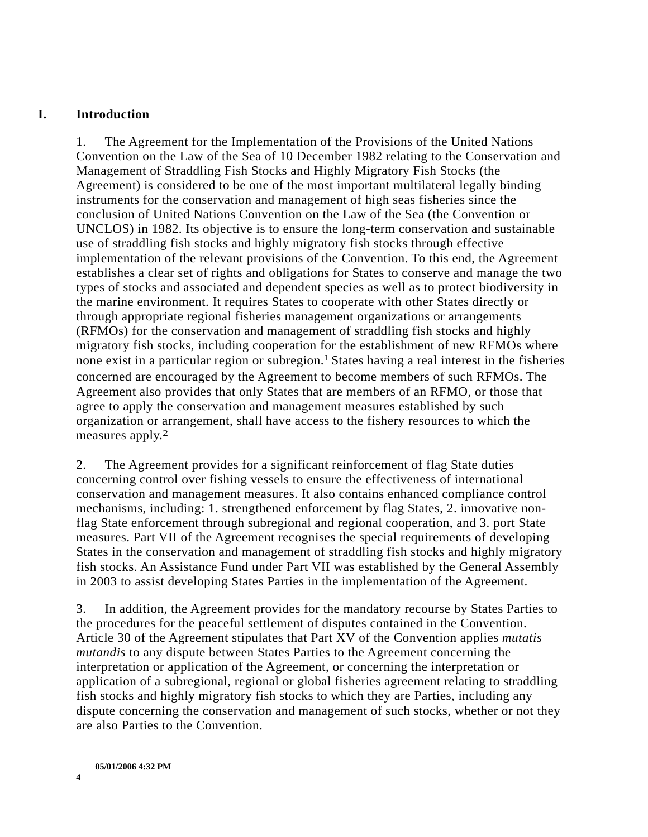#### **I. Introduction**

1. The Agreement for the Implementation of the Provisions of the United Nations Convention on the Law of the Sea of 10 December 1982 relating to the Conservation and Management of Straddling Fish Stocks and Highly Migratory Fish Stocks (the Agreement) is considered to be one of the most important multilateral legally binding instruments for the conservation and management of high seas fisheries since the conclusion of United Nations Convention on the Law of the Sea (the Convention or UNCLOS) in 1982. Its objective is to ensure the long-term conservation and sustainable use of straddling fish stocks and highly migratory fish stocks through effective implementation of the relevant provisions of the Convention. To this end, the Agreement establishes a clear set of rights and obligations for States to conserve and manage the two types of stocks and associated and dependent species as well as to protect biodiversity in the marine environment. It requires States to cooperate with other States directly or through appropriate regional fisheries management organizations or arrangements (RFMOs) for the conservation and management of straddling fish stocks and highly migratory fish stocks, including cooperation for the establishment of new RFMOs where none exist in a particular region or subregion.<sup>1</sup> States having a real interest in the fisheries concerned are encouraged by the Agreement to become members of such RFMOs. The Agreement also provides that only States that are members of an RFMO, or those that agree to apply the conservation and management measures established by such organization or arrangement, shall have access to the fishery resources to which the measures apply.2

2. The Agreement provides for a significant reinforcement of flag State duties concerning control over fishing vessels to ensure the effectiveness of international conservation and management measures. It also contains enhanced compliance control mechanisms, including: 1. strengthened enforcement by flag States, 2. innovative nonflag State enforcement through subregional and regional cooperation, and 3. port State measures. Part VII of the Agreement recognises the special requirements of developing States in the conservation and management of straddling fish stocks and highly migratory fish stocks. An Assistance Fund under Part VII was established by the General Assembly in 2003 to assist developing States Parties in the implementation of the Agreement.

3. In addition, the Agreement provides for the mandatory recourse by States Parties to the procedures for the peaceful settlement of disputes contained in the Convention. Article 30 of the Agreement stipulates that Part XV of the Convention applies *mutatis mutandis* to any dispute between States Parties to the Agreement concerning the interpretation or application of the Agreement, or concerning the interpretation or application of a subregional, regional or global fisheries agreement relating to straddling fish stocks and highly migratory fish stocks to which they are Parties, including any dispute concerning the conservation and management of such stocks, whether or not they are also Parties to the Convention.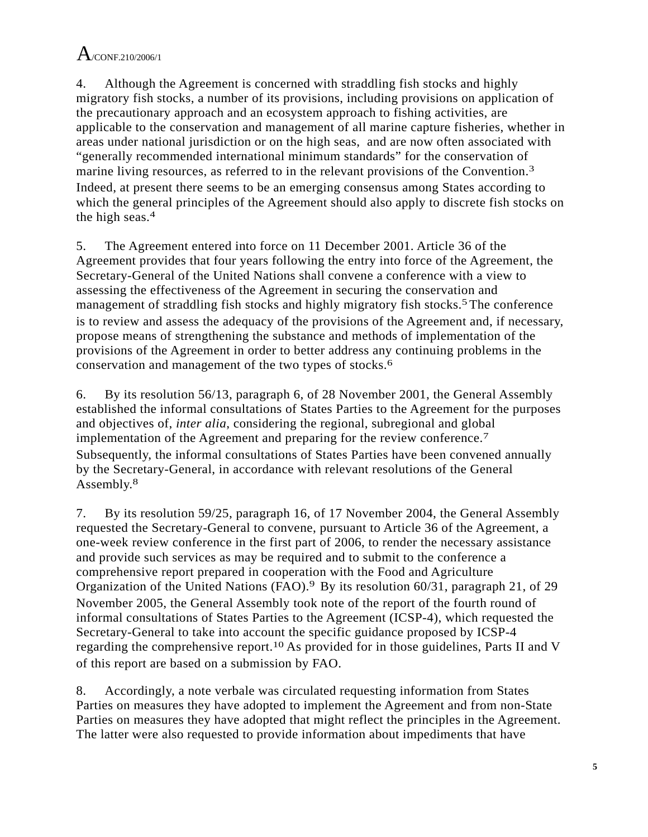4. Although the Agreement is concerned with straddling fish stocks and highly migratory fish stocks, a number of its provisions, including provisions on application of the precautionary approach and an ecosystem approach to fishing activities, are applicable to the conservation and management of all marine capture fisheries, whether in areas under national jurisdiction or on the high seas, and are now often associated with "generally recommended international minimum standards" for the conservation of marine living resources, as referred to in the relevant provisions of the Convention.<sup>3</sup> Indeed, at present there seems to be an emerging consensus among States according to which the general principles of the Agreement should also apply to discrete fish stocks on the high seas.4

5. The Agreement entered into force on 11 December 2001. Article 36 of the Agreement provides that four years following the entry into force of the Agreement, the Secretary-General of the United Nations shall convene a conference with a view to assessing the effectiveness of the Agreement in securing the conservation and management of straddling fish stocks and highly migratory fish stocks.<sup>5</sup>The conference is to review and assess the adequacy of the provisions of the Agreement and, if necessary, propose means of strengthening the substance and methods of implementation of the provisions of the Agreement in order to better address any continuing problems in the conservation and management of the two types of stocks.6

6. By its resolution 56/13, paragraph 6, of 28 November 2001, the General Assembly established the informal consultations of States Parties to the Agreement for the purposes and objectives of, *inter alia*, considering the regional, subregional and global implementation of the Agreement and preparing for the review conference.7 Subsequently, the informal consultations of States Parties have been convened annually by the Secretary-General, in accordance with relevant resolutions of the General Assembly.8

7. By its resolution 59/25, paragraph 16, of 17 November 2004, the General Assembly requested the Secretary-General to convene, pursuant to Article 36 of the Agreement, a one-week review conference in the first part of 2006, to render the necessary assistance and provide such services as may be required and to submit to the conference a comprehensive report prepared in cooperation with the Food and Agriculture Organization of the United Nations (FAO).9 By its resolution 60/31, paragraph 21, of 29 November 2005, the General Assembly took note of the report of the fourth round of informal consultations of States Parties to the Agreement (ICSP-4), which requested the Secretary-General to take into account the specific guidance proposed by ICSP-4 regarding the comprehensive report.10 As provided for in those guidelines, Parts II and V of this report are based on a submission by FAO.

8. Accordingly, a note verbale was circulated requesting information from States Parties on measures they have adopted to implement the Agreement and from non-State Parties on measures they have adopted that might reflect the principles in the Agreement. The latter were also requested to provide information about impediments that have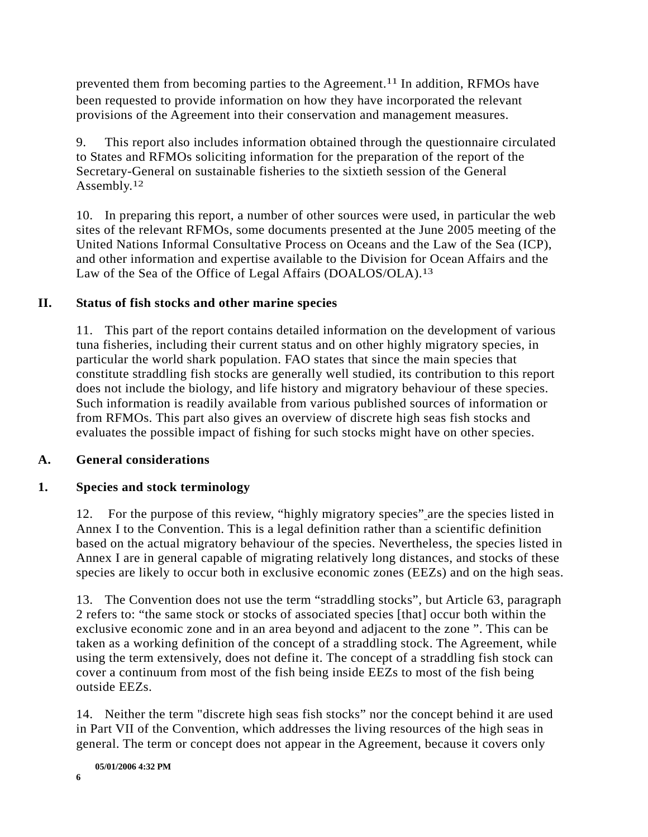prevented them from becoming parties to the Agreement.11 In addition, RFMOs have been requested to provide information on how they have incorporated the relevant provisions of the Agreement into their conservation and management measures.

9. This report also includes information obtained through the questionnaire circulated to States and RFMOs soliciting information for the preparation of the report of the Secretary-General on sustainable fisheries to the sixtieth session of the General Assembly.<sup>12</sup>

10. In preparing this report, a number of other sources were used, in particular the web sites of the relevant RFMOs, some documents presented at the June 2005 meeting of the United Nations Informal Consultative Process on Oceans and the Law of the Sea (ICP), and other information and expertise available to the Division for Ocean Affairs and the Law of the Sea of the Office of Legal Affairs (DOALOS/OLA).<sup>13</sup>

### **II. Status of fish stocks and other marine species**

11. This part of the report contains detailed information on the development of various tuna fisheries, including their current status and on other highly migratory species, in particular the world shark population. FAO states that since the main species that constitute straddling fish stocks are generally well studied, its contribution to this report does not include the biology, and life history and migratory behaviour of these species. Such information is readily available from various published sources of information or from RFMOs. This part also gives an overview of discrete high seas fish stocks and evaluates the possible impact of fishing for such stocks might have on other species.

### **A. General considerations**

### **1. Species and stock terminology**

12. For the purpose of this review, "highly migratory species" are the species listed in Annex I to the Convention. This is a legal definition rather than a scientific definition based on the actual migratory behaviour of the species. Nevertheless, the species listed in Annex I are in general capable of migrating relatively long distances, and stocks of these species are likely to occur both in exclusive economic zones (EEZs) and on the high seas.

13. The Convention does not use the term "straddling stocks", but Article 63, paragraph 2 refers to: "the same stock or stocks of associated species [that] occur both within the exclusive economic zone and in an area beyond and adjacent to the zone ". This can be taken as a working definition of the concept of a straddling stock. The Agreement, while using the term extensively, does not define it. The concept of a straddling fish stock can cover a continuum from most of the fish being inside EEZs to most of the fish being outside EEZs.

14. Neither the term "discrete high seas fish stocks" nor the concept behind it are used in Part VII of the Convention, which addresses the living resources of the high seas in general. The term or concept does not appear in the Agreement, because it covers only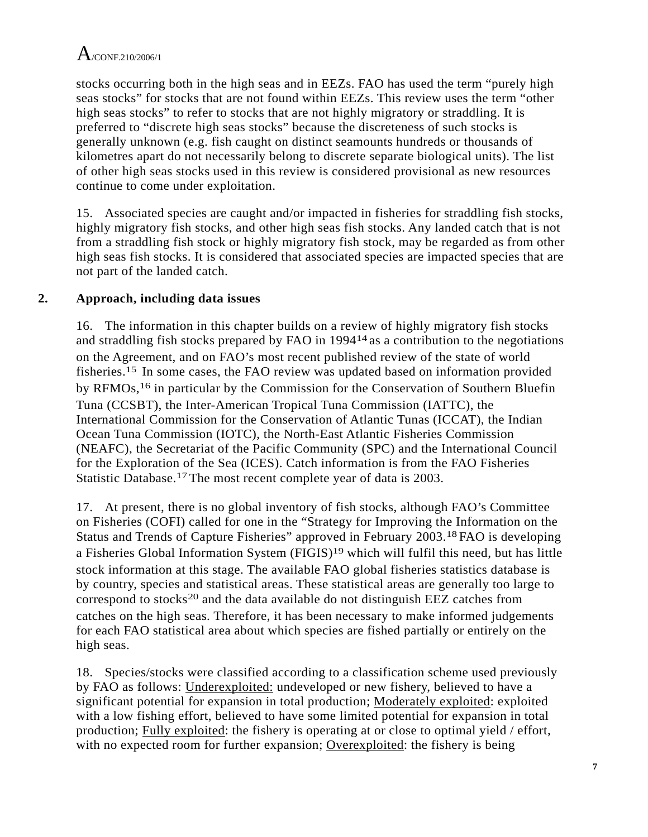stocks occurring both in the high seas and in EEZs. FAO has used the term "purely high seas stocks" for stocks that are not found within EEZs. This review uses the term "other high seas stocks" to refer to stocks that are not highly migratory or straddling. It is preferred to "discrete high seas stocks" because the discreteness of such stocks is generally unknown (e.g. fish caught on distinct seamounts hundreds or thousands of kilometres apart do not necessarily belong to discrete separate biological units). The list of other high seas stocks used in this review is considered provisional as new resources continue to come under exploitation.

15. Associated species are caught and/or impacted in fisheries for straddling fish stocks, highly migratory fish stocks, and other high seas fish stocks. Any landed catch that is not from a straddling fish stock or highly migratory fish stock, may be regarded as from other high seas fish stocks. It is considered that associated species are impacted species that are not part of the landed catch.

## **2. Approach, including data issues**

16. The information in this chapter builds on a review of highly migratory fish stocks and straddling fish stocks prepared by FAO in 199414 as a contribution to the negotiations on the Agreement, and on FAO's most recent published review of the state of world fisheries.15 In some cases, the FAO review was updated based on information provided by RFMOs,16 in particular by the Commission for the Conservation of Southern Bluefin Tuna (CCSBT), the Inter-American Tropical Tuna Commission (IATTC), the International Commission for the Conservation of Atlantic Tunas (ICCAT), the Indian Ocean Tuna Commission (IOTC), the North-East Atlantic Fisheries Commission (NEAFC), the Secretariat of the Pacific Community (SPC) and the International Council for the Exploration of the Sea (ICES). Catch information is from the FAO Fisheries Statistic Database.17The most recent complete year of data is 2003.

17. At present, there is no global inventory of fish stocks, although FAO's Committee on Fisheries (COFI) called for one in the "Strategy for Improving the Information on the Status and Trends of Capture Fisheries" approved in February 2003.18FAO is developing a Fisheries Global Information System (FIGIS)19 which will fulfil this need, but has little stock information at this stage. The available FAO global fisheries statistics database is by country, species and statistical areas. These statistical areas are generally too large to correspond to stocks20 and the data available do not distinguish EEZ catches from catches on the high seas. Therefore, it has been necessary to make informed judgements for each FAO statistical area about which species are fished partially or entirely on the high seas.

18. Species/stocks were classified according to a classification scheme used previously by FAO as follows: Underexploited: undeveloped or new fishery, believed to have a significant potential for expansion in total production; Moderately exploited: exploited with a low fishing effort, believed to have some limited potential for expansion in total production; Fully exploited: the fishery is operating at or close to optimal yield / effort, with no expected room for further expansion; Overexploited: the fishery is being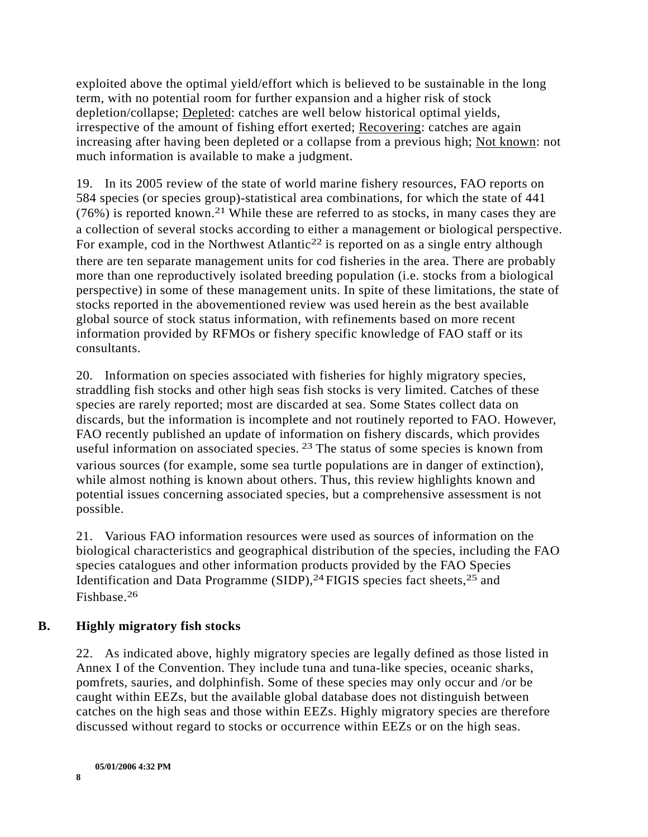exploited above the optimal yield/effort which is believed to be sustainable in the long term, with no potential room for further expansion and a higher risk of stock depletion/collapse; Depleted: catches are well below historical optimal yields, irrespective of the amount of fishing effort exerted; Recovering: catches are again increasing after having been depleted or a collapse from a previous high; Not known: not much information is available to make a judgment.

19. In its 2005 review of the state of world marine fishery resources, FAO reports on 584 species (or species group)-statistical area combinations, for which the state of 441  $(76\%)$  is reported known.<sup>21</sup> While these are referred to as stocks, in many cases they are a collection of several stocks according to either a management or biological perspective. For example, cod in the Northwest Atlantic<sup>22</sup> is reported on as a single entry although there are ten separate management units for cod fisheries in the area. There are probably more than one reproductively isolated breeding population (i.e. stocks from a biological perspective) in some of these management units. In spite of these limitations, the state of stocks reported in the abovementioned review was used herein as the best available global source of stock status information, with refinements based on more recent information provided by RFMOs or fishery specific knowledge of FAO staff or its consultants.

20. Information on species associated with fisheries for highly migratory species, straddling fish stocks and other high seas fish stocks is very limited. Catches of these species are rarely reported; most are discarded at sea. Some States collect data on discards, but the information is incomplete and not routinely reported to FAO. However, FAO recently published an update of information on fishery discards, which provides useful information on associated species. 23 The status of some species is known from various sources (for example, some sea turtle populations are in danger of extinction), while almost nothing is known about others. Thus, this review highlights known and potential issues concerning associated species, but a comprehensive assessment is not possible.

21. Various FAO information resources were used as sources of information on the biological characteristics and geographical distribution of the species, including the FAO species catalogues and other information products provided by the FAO Species Identification and Data Programme (SIDP),<sup>24</sup> FIGIS species fact sheets,<sup>25</sup> and Fishbase.26

## **B. Highly migratory fish stocks**

22. As indicated above, highly migratory species are legally defined as those listed in Annex I of the Convention. They include tuna and tuna-like species, oceanic sharks, pomfrets, sauries, and dolphinfish. Some of these species may only occur and /or be caught within EEZs, but the available global database does not distinguish between catches on the high seas and those within EEZs. Highly migratory species are therefore discussed without regard to stocks or occurrence within EEZs or on the high seas.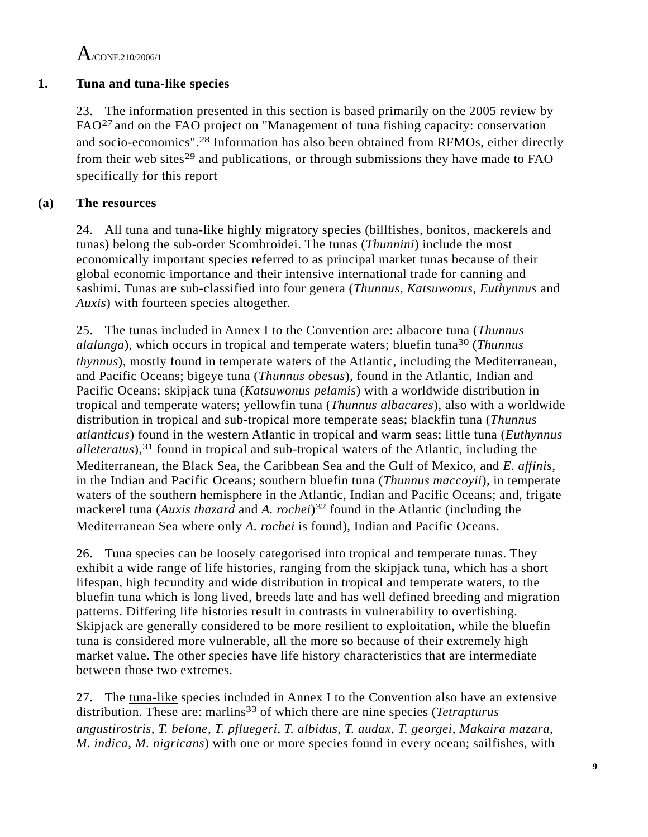$A$ /CONE 210/2006/1

## **1. Tuna and tuna-like species**

23. The information presented in this section is based primarily on the 2005 review by FAO27 and on the FAO project on "Management of tuna fishing capacity: conservation and socio-economics".28 Information has also been obtained from RFMOs, either directly from their web sites<sup>29</sup> and publications, or through submissions they have made to  $FAO$ specifically for this report

## **(a) The resources**

24. All tuna and tuna-like highly migratory species (billfishes, bonitos, mackerels and tunas) belong the sub-order Scombroidei. The tunas (*Thunnini*) include the most economically important species referred to as principal market tunas because of their global economic importance and their intensive international trade for canning and sashimi. Tunas are sub-classified into four genera (*Thunnus, Katsuwonus, Euthynnus* and *Auxis*) with fourteen species altogether.

25. The tunas included in Annex I to the Convention are: albacore tuna (*Thunnus alalunga*), which occurs in tropical and temperate waters; bluefin tuna30 (*Thunnus thynnus*), mostly found in temperate waters of the Atlantic, including the Mediterranean, and Pacific Oceans; bigeye tuna (*Thunnus obesus*), found in the Atlantic, Indian and Pacific Oceans; skipjack tuna (*Katsuwonus pelamis*) with a worldwide distribution in tropical and temperate waters; yellowfin tuna (*Thunnus albacares*), also with a worldwide distribution in tropical and sub-tropical more temperate seas; blackfin tuna (*Thunnus atlanticus*) found in the western Atlantic in tropical and warm seas; little tuna (*Euthynnus alleteratus*),31 found in tropical and sub-tropical waters of the Atlantic, including the Mediterranean, the Black Sea, the Caribbean Sea and the Gulf of Mexico, and *E. affinis*, in the Indian and Pacific Oceans; southern bluefin tuna (*Thunnus maccoyii*), in temperate waters of the southern hemisphere in the Atlantic, Indian and Pacific Oceans; and, frigate mackerel tuna (*Auxis thazard* and *A. rochei*)<sup>32</sup> found in the Atlantic (including the Mediterranean Sea where only *A. rochei* is found), Indian and Pacific Oceans.

26. Tuna species can be loosely categorised into tropical and temperate tunas. They exhibit a wide range of life histories, ranging from the skipjack tuna, which has a short lifespan, high fecundity and wide distribution in tropical and temperate waters, to the bluefin tuna which is long lived, breeds late and has well defined breeding and migration patterns. Differing life histories result in contrasts in vulnerability to overfishing. Skipjack are generally considered to be more resilient to exploitation, while the bluefin tuna is considered more vulnerable, all the more so because of their extremely high market value. The other species have life history characteristics that are intermediate between those two extremes.

27. The tuna-like species included in Annex I to the Convention also have an extensive distribution. These are: marlins<sup>33</sup> of which there are nine species (*Tetrapturus angustirostris*, *T. belone*, *T. pfluegeri*, *T. albidus*, *T. audax*, *T. georgei*, *Makaira mazara*, *M. indica*, *M. nigricans*) with one or more species found in every ocean; sailfishes, with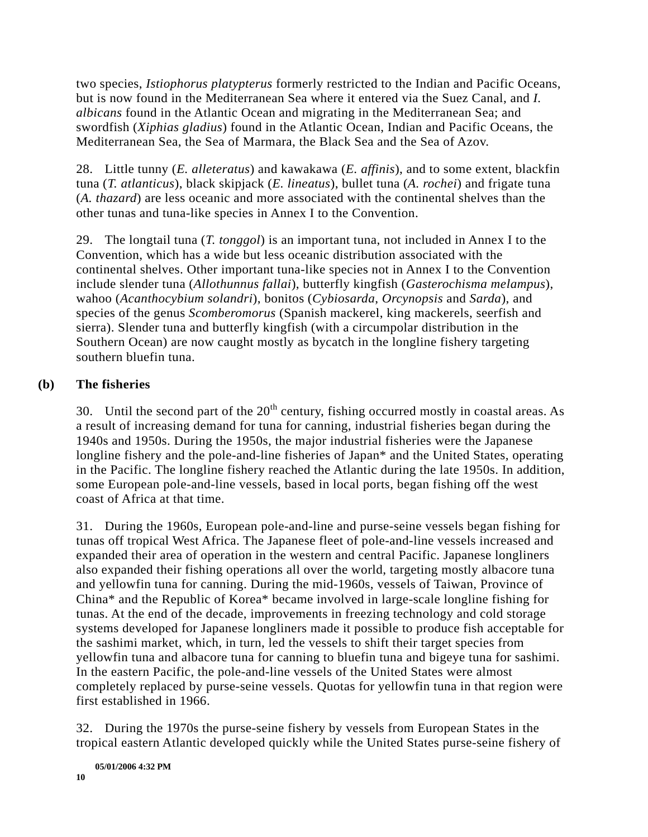two species, *Istiophorus platypterus* formerly restricted to the Indian and Pacific Oceans, but is now found in the Mediterranean Sea where it entered via the Suez Canal, and *I. albicans* found in the Atlantic Ocean and migrating in the Mediterranean Sea; and swordfish (*Xiphias gladius*) found in the Atlantic Ocean, Indian and Pacific Oceans, the Mediterranean Sea, the Sea of Marmara, the Black Sea and the Sea of Azov.

28. Little tunny (*E. alleteratus*) and kawakawa (*E. affinis*), and to some extent, blackfin tuna (*T. atlanticus*), black skipjack (*E. lineatus*), bullet tuna (*A. rochei*) and frigate tuna (*A. thazard*) are less oceanic and more associated with the continental shelves than the other tunas and tuna-like species in Annex I to the Convention.

29. The longtail tuna (*T. tonggol*) is an important tuna, not included in Annex I to the Convention, which has a wide but less oceanic distribution associated with the continental shelves. Other important tuna-like species not in Annex I to the Convention include slender tuna (*Allothunnus fallai*), butterfly kingfish (*Gasterochisma melampus*), wahoo (*Acanthocybium solandri*), bonitos (*Cybiosarda*, *Orcynopsis* and *Sarda*), and species of the genus *Scomberomorus* (Spanish mackerel, king mackerels, seerfish and sierra). Slender tuna and butterfly kingfish (with a circumpolar distribution in the Southern Ocean) are now caught mostly as bycatch in the longline fishery targeting southern bluefin tuna.

## **(b) The fisheries**

30. Until the second part of the  $20<sup>th</sup>$  century, fishing occurred mostly in coastal areas. As a result of increasing demand for tuna for canning, industrial fisheries began during the 1940s and 1950s. During the 1950s, the major industrial fisheries were the Japanese longline fishery and the pole-and-line fisheries of Japan\* and the United States, operating in the Pacific. The longline fishery reached the Atlantic during the late 1950s. In addition, some European pole-and-line vessels, based in local ports, began fishing off the west coast of Africa at that time.

31. During the 1960s, European pole-and-line and purse-seine vessels began fishing for tunas off tropical West Africa. The Japanese fleet of pole-and-line vessels increased and expanded their area of operation in the western and central Pacific. Japanese longliners also expanded their fishing operations all over the world, targeting mostly albacore tuna and yellowfin tuna for canning. During the mid-1960s, vessels of Taiwan, Province of China\* and the Republic of Korea\* became involved in large-scale longline fishing for tunas. At the end of the decade, improvements in freezing technology and cold storage systems developed for Japanese longliners made it possible to produce fish acceptable for the sashimi market, which, in turn, led the vessels to shift their target species from yellowfin tuna and albacore tuna for canning to bluefin tuna and bigeye tuna for sashimi. In the eastern Pacific, the pole-and-line vessels of the United States were almost completely replaced by purse-seine vessels. Quotas for yellowfin tuna in that region were first established in 1966.

32. During the 1970s the purse-seine fishery by vessels from European States in the tropical eastern Atlantic developed quickly while the United States purse-seine fishery of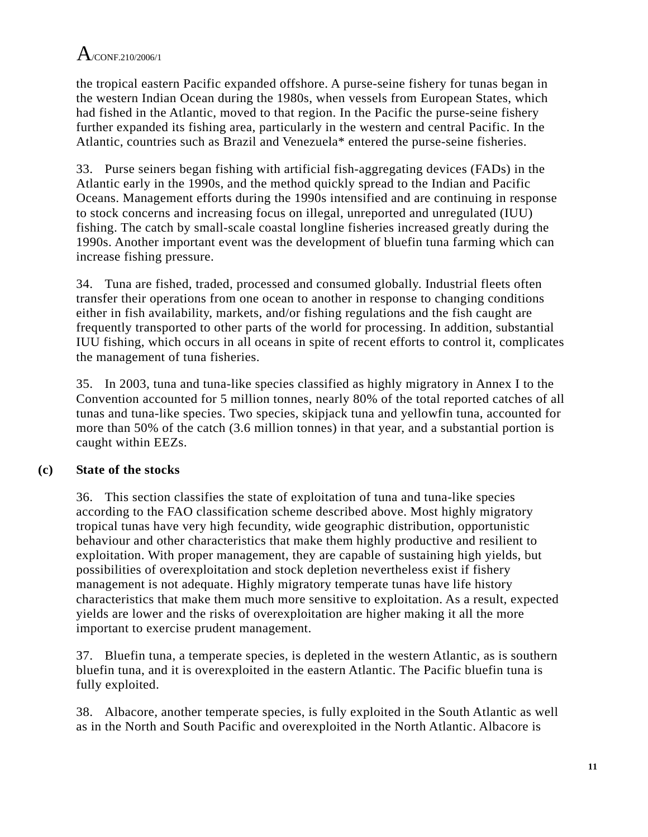the tropical eastern Pacific expanded offshore. A purse-seine fishery for tunas began in the western Indian Ocean during the 1980s, when vessels from European States, which had fished in the Atlantic, moved to that region. In the Pacific the purse-seine fishery further expanded its fishing area, particularly in the western and central Pacific. In the Atlantic, countries such as Brazil and Venezuela\* entered the purse-seine fisheries.

33. Purse seiners began fishing with artificial fish-aggregating devices (FADs) in the Atlantic early in the 1990s, and the method quickly spread to the Indian and Pacific Oceans. Management efforts during the 1990s intensified and are continuing in response to stock concerns and increasing focus on illegal, unreported and unregulated (IUU) fishing. The catch by small-scale coastal longline fisheries increased greatly during the 1990s. Another important event was the development of bluefin tuna farming which can increase fishing pressure.

34. Tuna are fished, traded, processed and consumed globally. Industrial fleets often transfer their operations from one ocean to another in response to changing conditions either in fish availability, markets, and/or fishing regulations and the fish caught are frequently transported to other parts of the world for processing. In addition, substantial IUU fishing, which occurs in all oceans in spite of recent efforts to control it, complicates the management of tuna fisheries.

35. In 2003, tuna and tuna-like species classified as highly migratory in Annex I to the Convention accounted for 5 million tonnes, nearly 80% of the total reported catches of all tunas and tuna-like species. Two species, skipjack tuna and yellowfin tuna, accounted for more than 50% of the catch (3.6 million tonnes) in that year, and a substantial portion is caught within EEZs.

## **(c) State of the stocks**

36. This section classifies the state of exploitation of tuna and tuna-like species according to the FAO classification scheme described above. Most highly migratory tropical tunas have very high fecundity, wide geographic distribution, opportunistic behaviour and other characteristics that make them highly productive and resilient to exploitation. With proper management, they are capable of sustaining high yields, but possibilities of overexploitation and stock depletion nevertheless exist if fishery management is not adequate. Highly migratory temperate tunas have life history characteristics that make them much more sensitive to exploitation. As a result, expected yields are lower and the risks of overexploitation are higher making it all the more important to exercise prudent management.

37. Bluefin tuna, a temperate species, is depleted in the western Atlantic, as is southern bluefin tuna, and it is overexploited in the eastern Atlantic. The Pacific bluefin tuna is fully exploited.

38. Albacore, another temperate species, is fully exploited in the South Atlantic as well as in the North and South Pacific and overexploited in the North Atlantic. Albacore is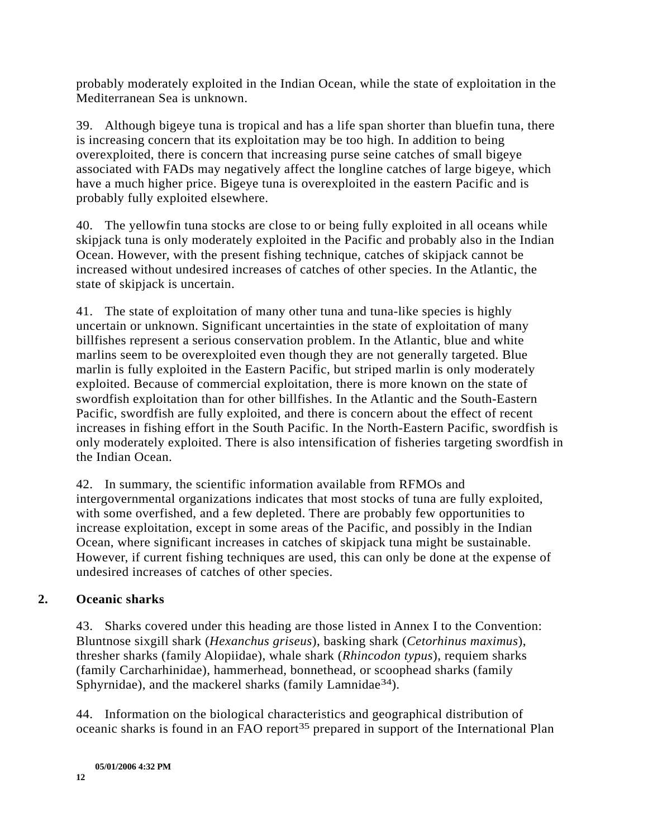probably moderately exploited in the Indian Ocean, while the state of exploitation in the Mediterranean Sea is unknown.

39. Although bigeye tuna is tropical and has a life span shorter than bluefin tuna, there is increasing concern that its exploitation may be too high. In addition to being overexploited, there is concern that increasing purse seine catches of small bigeye associated with FADs may negatively affect the longline catches of large bigeye, which have a much higher price. Bigeye tuna is overexploited in the eastern Pacific and is probably fully exploited elsewhere.

40. The yellowfin tuna stocks are close to or being fully exploited in all oceans while skipjack tuna is only moderately exploited in the Pacific and probably also in the Indian Ocean. However, with the present fishing technique, catches of skipjack cannot be increased without undesired increases of catches of other species. In the Atlantic, the state of skipjack is uncertain.

41. The state of exploitation of many other tuna and tuna-like species is highly uncertain or unknown. Significant uncertainties in the state of exploitation of many billfishes represent a serious conservation problem. In the Atlantic, blue and white marlins seem to be overexploited even though they are not generally targeted. Blue marlin is fully exploited in the Eastern Pacific, but striped marlin is only moderately exploited. Because of commercial exploitation, there is more known on the state of swordfish exploitation than for other billfishes. In the Atlantic and the South-Eastern Pacific, swordfish are fully exploited, and there is concern about the effect of recent increases in fishing effort in the South Pacific. In the North-Eastern Pacific, swordfish is only moderately exploited. There is also intensification of fisheries targeting swordfish in the Indian Ocean.

42. In summary, the scientific information available from RFMOs and intergovernmental organizations indicates that most stocks of tuna are fully exploited, with some overfished, and a few depleted. There are probably few opportunities to increase exploitation, except in some areas of the Pacific, and possibly in the Indian Ocean, where significant increases in catches of skipjack tuna might be sustainable. However, if current fishing techniques are used, this can only be done at the expense of undesired increases of catches of other species.

## **2. Oceanic sharks**

43. Sharks covered under this heading are those listed in Annex I to the Convention: Bluntnose sixgill shark (*Hexanchus griseus*), basking shark (*Cetorhinus maximus*), thresher sharks (family Alopiidae), whale shark (*Rhincodon typus*), requiem sharks (family Carcharhinidae), hammerhead, bonnethead, or scoophead sharks (family Sphyrnidae), and the mackerel sharks (family Lamnidae<sup>34</sup>).

44. Information on the biological characteristics and geographical distribution of oceanic sharks is found in an FAO report<sup>35</sup> prepared in support of the International Plan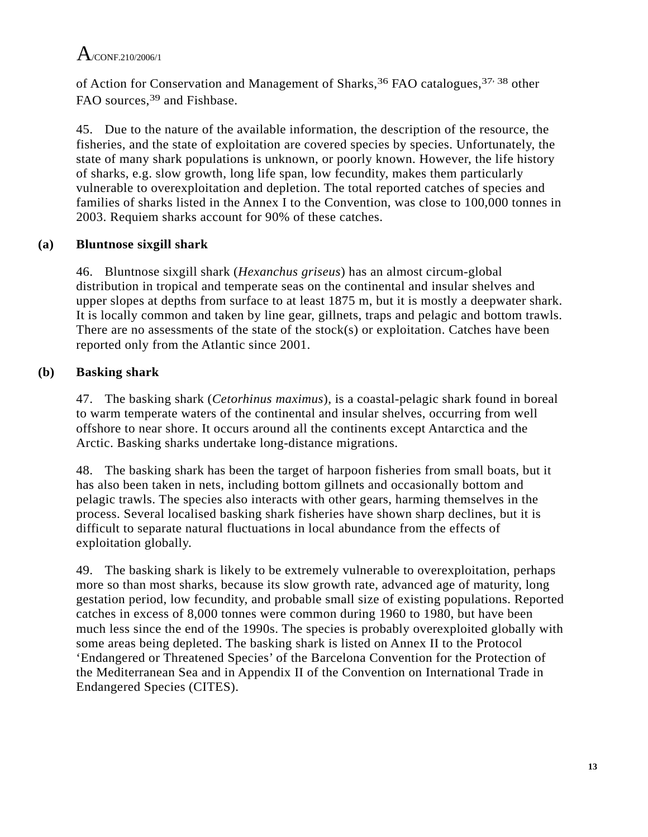of Action for Conservation and Management of Sharks, <sup>36</sup> FAO catalogues, <sup>37, 38</sup> other FAO sources,<sup>39</sup> and Fishbase.

45. Due to the nature of the available information, the description of the resource, the fisheries, and the state of exploitation are covered species by species. Unfortunately, the state of many shark populations is unknown, or poorly known. However, the life history of sharks, e.g. slow growth, long life span, low fecundity, makes them particularly vulnerable to overexploitation and depletion. The total reported catches of species and families of sharks listed in the Annex I to the Convention, was close to 100,000 tonnes in 2003. Requiem sharks account for 90% of these catches.

## **(a) Bluntnose sixgill shark**

46. Bluntnose sixgill shark (*Hexanchus griseus*) has an almost circum-global distribution in tropical and temperate seas on the continental and insular shelves and upper slopes at depths from surface to at least 1875 m, but it is mostly a deepwater shark. It is locally common and taken by line gear, gillnets, traps and pelagic and bottom trawls. There are no assessments of the state of the stock(s) or exploitation. Catches have been reported only from the Atlantic since 2001.

# **(b) Basking shark**

47. The basking shark (*Cetorhinus maximus*), is a coastal-pelagic shark found in boreal to warm temperate waters of the continental and insular shelves, occurring from well offshore to near shore. It occurs around all the continents except Antarctica and the Arctic. Basking sharks undertake long-distance migrations.

48. The basking shark has been the target of harpoon fisheries from small boats, but it has also been taken in nets, including bottom gillnets and occasionally bottom and pelagic trawls. The species also interacts with other gears, harming themselves in the process. Several localised basking shark fisheries have shown sharp declines, but it is difficult to separate natural fluctuations in local abundance from the effects of exploitation globally.

49. The basking shark is likely to be extremely vulnerable to overexploitation, perhaps more so than most sharks, because its slow growth rate, advanced age of maturity, long gestation period, low fecundity, and probable small size of existing populations. Reported catches in excess of 8,000 tonnes were common during 1960 to 1980, but have been much less since the end of the 1990s. The species is probably overexploited globally with some areas being depleted. The basking shark is listed on Annex II to the Protocol 'Endangered or Threatened Species' of the Barcelona Convention for the Protection of the Mediterranean Sea and in Appendix II of the Convention on International Trade in Endangered Species (CITES).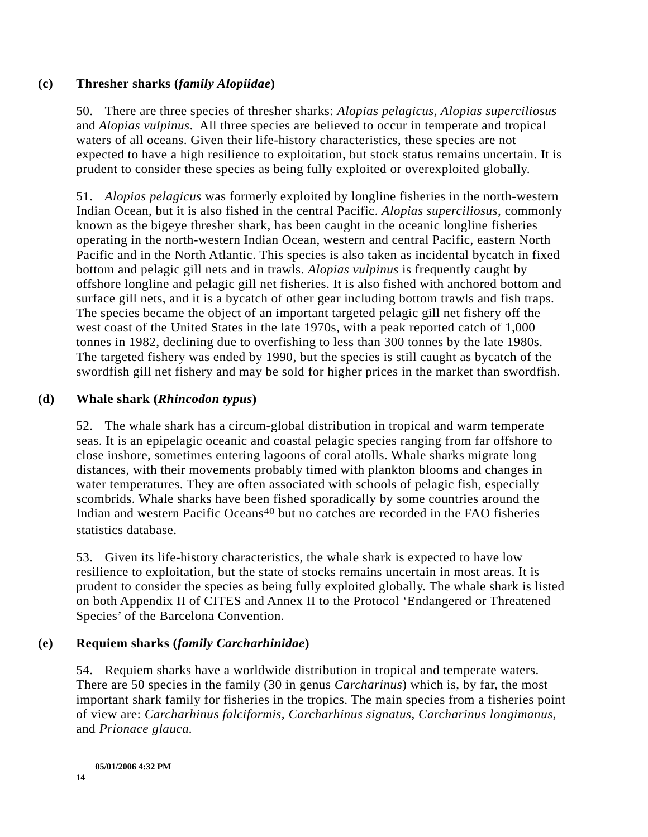#### **(c) Thresher sharks (***family Alopiidae***)**

50. There are three species of thresher sharks: *Alopias pelagicus, Alopias superciliosus*  and *Alopias vulpinus*. All three species are believed to occur in temperate and tropical waters of all oceans. Given their life-history characteristics, these species are not expected to have a high resilience to exploitation, but stock status remains uncertain. It is prudent to consider these species as being fully exploited or overexploited globally.

51. *Alopias pelagicus* was formerly exploited by longline fisheries in the north-western Indian Ocean, but it is also fished in the central Pacific. *Alopias superciliosus*, commonly known as the bigeye thresher shark, has been caught in the oceanic longline fisheries operating in the north-western Indian Ocean, western and central Pacific, eastern North Pacific and in the North Atlantic. This species is also taken as incidental bycatch in fixed bottom and pelagic gill nets and in trawls. *Alopias vulpinus* is frequently caught by offshore longline and pelagic gill net fisheries. It is also fished with anchored bottom and surface gill nets, and it is a bycatch of other gear including bottom trawls and fish traps. The species became the object of an important targeted pelagic gill net fishery off the west coast of the United States in the late 1970s, with a peak reported catch of 1,000 tonnes in 1982, declining due to overfishing to less than 300 tonnes by the late 1980s. The targeted fishery was ended by 1990, but the species is still caught as bycatch of the swordfish gill net fishery and may be sold for higher prices in the market than swordfish.

#### **(d) Whale shark (***Rhincodon typus***)**

52. The whale shark has a circum-global distribution in tropical and warm temperate seas. It is an epipelagic oceanic and coastal pelagic species ranging from far offshore to close inshore, sometimes entering lagoons of coral atolls. Whale sharks migrate long distances, with their movements probably timed with plankton blooms and changes in water temperatures. They are often associated with schools of pelagic fish, especially scombrids. Whale sharks have been fished sporadically by some countries around the Indian and western Pacific Oceans<sup>40</sup> but no catches are recorded in the FAO fisheries statistics database.

53. Given its life-history characteristics, the whale shark is expected to have low resilience to exploitation, but the state of stocks remains uncertain in most areas. It is prudent to consider the species as being fully exploited globally. The whale shark is listed on both Appendix II of CITES and Annex II to the Protocol 'Endangered or Threatened Species' of the Barcelona Convention.

### **(e) Requiem sharks (***family Carcharhinidae***)**

54. Requiem sharks have a worldwide distribution in tropical and temperate waters. There are 50 species in the family (30 in genus *Carcharinus*) which is, by far, the most important shark family for fisheries in the tropics. The main species from a fisheries point of view are: *Carcharhinus falciformis, Carcharhinus signatus, Carcharinus longimanus,*  and *Prionace glauca.*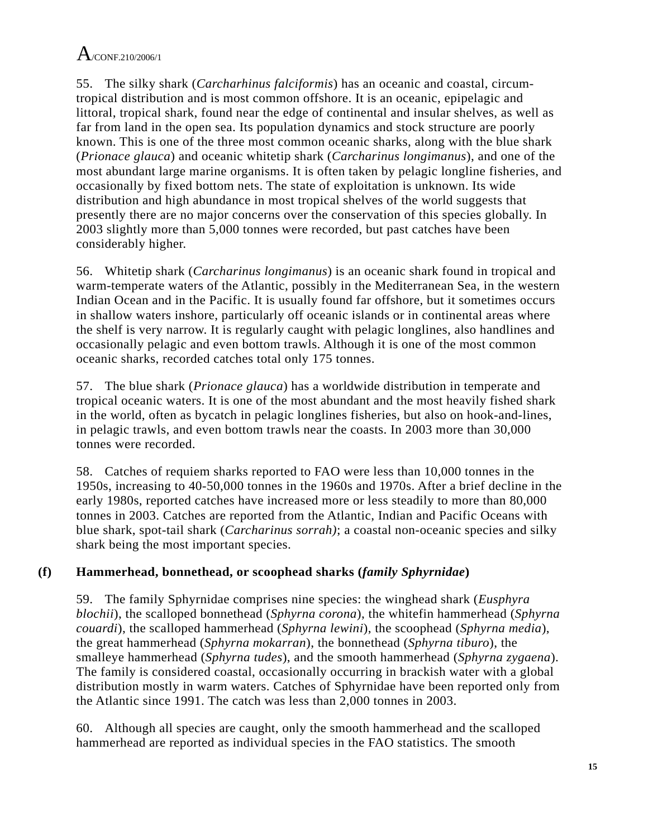55. The silky shark (*Carcharhinus falciformis*) has an oceanic and coastal, circumtropical distribution and is most common offshore. It is an oceanic, epipelagic and littoral, tropical shark, found near the edge of continental and insular shelves, as well as far from land in the open sea. Its population dynamics and stock structure are poorly known. This is one of the three most common oceanic sharks, along with the blue shark (*Prionace glauca*) and oceanic whitetip shark (*Carcharinus longimanus*), and one of the most abundant large marine organisms. It is often taken by pelagic longline fisheries, and occasionally by fixed bottom nets. The state of exploitation is unknown. Its wide distribution and high abundance in most tropical shelves of the world suggests that presently there are no major concerns over the conservation of this species globally. In 2003 slightly more than 5,000 tonnes were recorded, but past catches have been considerably higher.

56. Whitetip shark (*Carcharinus longimanus*) is an oceanic shark found in tropical and warm-temperate waters of the Atlantic, possibly in the Mediterranean Sea, in the western Indian Ocean and in the Pacific. It is usually found far offshore, but it sometimes occurs in shallow waters inshore, particularly off oceanic islands or in continental areas where the shelf is very narrow. It is regularly caught with pelagic longlines, also handlines and occasionally pelagic and even bottom trawls. Although it is one of the most common oceanic sharks, recorded catches total only 175 tonnes.

57. The blue shark (*Prionace glauca*) has a worldwide distribution in temperate and tropical oceanic waters. It is one of the most abundant and the most heavily fished shark in the world, often as bycatch in pelagic longlines fisheries, but also on hook-and-lines, in pelagic trawls, and even bottom trawls near the coasts. In 2003 more than 30,000 tonnes were recorded.

58. Catches of requiem sharks reported to FAO were less than 10,000 tonnes in the 1950s, increasing to 40-50,000 tonnes in the 1960s and 1970s. After a brief decline in the early 1980s, reported catches have increased more or less steadily to more than 80,000 tonnes in 2003. Catches are reported from the Atlantic, Indian and Pacific Oceans with blue shark, spot-tail shark (*Carcharinus sorrah)*; a coastal non-oceanic species and silky shark being the most important species.

# **(f) Hammerhead, bonnethead, or scoophead sharks (***family Sphyrnidae***)**

59. The family Sphyrnidae comprises nine species: the winghead shark (*Eusphyra blochii*), the scalloped bonnethead (*Sphyrna corona*), the whitefin hammerhead (*Sphyrna couardi*), the scalloped hammerhead (*Sphyrna lewini*), the scoophead (*Sphyrna media*), the great hammerhead (*Sphyrna mokarran*), the bonnethead (*Sphyrna tiburo*), the smalleye hammerhead (*Sphyrna tudes*), and the smooth hammerhead (*Sphyrna zygaena*). The family is considered coastal, occasionally occurring in brackish water with a global distribution mostly in warm waters. Catches of Sphyrnidae have been reported only from the Atlantic since 1991. The catch was less than 2,000 tonnes in 2003.

60. Although all species are caught, only the smooth hammerhead and the scalloped hammerhead are reported as individual species in the FAO statistics. The smooth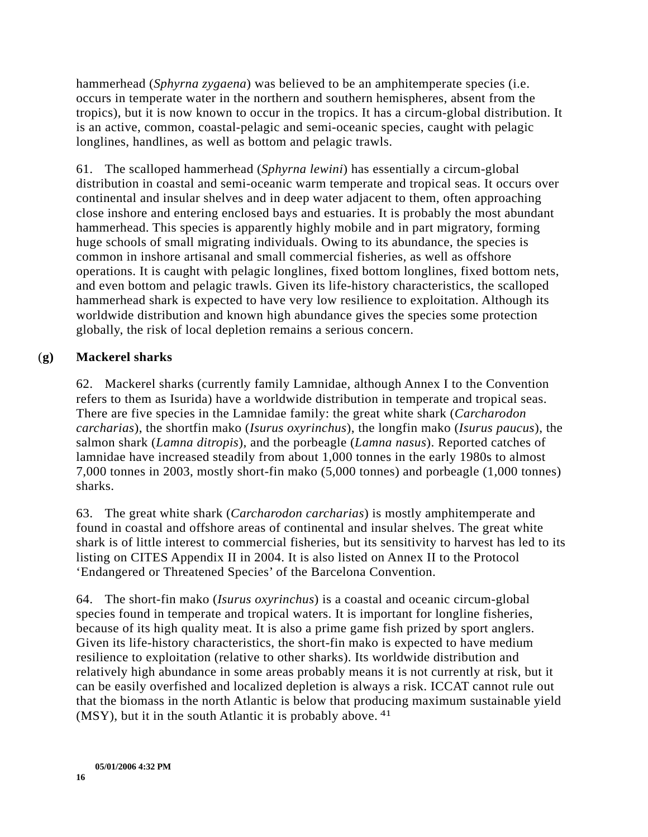hammerhead (*Sphyrna zygaena*) was believed to be an amphitemperate species (i.e. occurs in temperate water in the northern and southern hemispheres, absent from the tropics), but it is now known to occur in the tropics. It has a circum-global distribution. It is an active, common, coastal-pelagic and semi-oceanic species, caught with pelagic longlines, handlines, as well as bottom and pelagic trawls.

61. The scalloped hammerhead (*Sphyrna lewini*) has essentially a circum-global distribution in coastal and semi-oceanic warm temperate and tropical seas. It occurs over continental and insular shelves and in deep water adjacent to them, often approaching close inshore and entering enclosed bays and estuaries. It is probably the most abundant hammerhead. This species is apparently highly mobile and in part migratory, forming huge schools of small migrating individuals. Owing to its abundance, the species is common in inshore artisanal and small commercial fisheries, as well as offshore operations. It is caught with pelagic longlines, fixed bottom longlines, fixed bottom nets, and even bottom and pelagic trawls. Given its life-history characteristics, the scalloped hammerhead shark is expected to have very low resilience to exploitation. Although its worldwide distribution and known high abundance gives the species some protection globally, the risk of local depletion remains a serious concern.

### (**g) Mackerel sharks**

62. Mackerel sharks (currently family Lamnidae, although Annex I to the Convention refers to them as Isurida) have a worldwide distribution in temperate and tropical seas. There are five species in the Lamnidae family: the great white shark (*Carcharodon carcharias*), the shortfin mako (*Isurus oxyrinchus*), the longfin mako (*Isurus paucus*), the salmon shark (*Lamna ditropis*), and the porbeagle (*Lamna nasus*). Reported catches of lamnidae have increased steadily from about 1,000 tonnes in the early 1980s to almost 7,000 tonnes in 2003, mostly short-fin mako (5,000 tonnes) and porbeagle (1,000 tonnes) sharks.

63. The great white shark (*Carcharodon carcharias*) is mostly amphitemperate and found in coastal and offshore areas of continental and insular shelves. The great white shark is of little interest to commercial fisheries, but its sensitivity to harvest has led to its listing on CITES Appendix II in 2004. It is also listed on Annex II to the Protocol 'Endangered or Threatened Species' of the Barcelona Convention.

64. The short-fin mako (*Isurus oxyrinchus*) is a coastal and oceanic circum-global species found in temperate and tropical waters. It is important for longline fisheries, because of its high quality meat. It is also a prime game fish prized by sport anglers. Given its life-history characteristics, the short-fin mako is expected to have medium resilience to exploitation (relative to other sharks). Its worldwide distribution and relatively high abundance in some areas probably means it is not currently at risk, but it can be easily overfished and localized depletion is always a risk. ICCAT cannot rule out that the biomass in the north Atlantic is below that producing maximum sustainable yield (MSY), but it in the south Atlantic it is probably above. <sup>41</sup>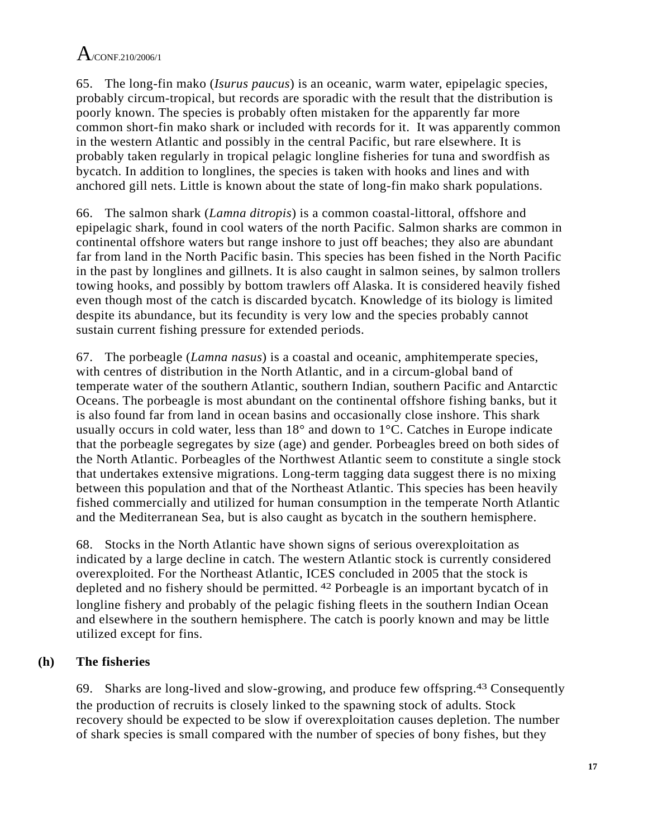65. The long-fin mako (*Isurus paucus*) is an oceanic, warm water, epipelagic species, probably circum-tropical, but records are sporadic with the result that the distribution is poorly known. The species is probably often mistaken for the apparently far more common short-fin mako shark or included with records for it. It was apparently common in the western Atlantic and possibly in the central Pacific, but rare elsewhere. It is probably taken regularly in tropical pelagic longline fisheries for tuna and swordfish as bycatch. In addition to longlines, the species is taken with hooks and lines and with anchored gill nets. Little is known about the state of long-fin mako shark populations.

66. The salmon shark (*Lamna ditropis*) is a common coastal-littoral, offshore and epipelagic shark, found in cool waters of the north Pacific. Salmon sharks are common in continental offshore waters but range inshore to just off beaches; they also are abundant far from land in the North Pacific basin. This species has been fished in the North Pacific in the past by longlines and gillnets. It is also caught in salmon seines, by salmon trollers towing hooks, and possibly by bottom trawlers off Alaska. It is considered heavily fished even though most of the catch is discarded bycatch. Knowledge of its biology is limited despite its abundance, but its fecundity is very low and the species probably cannot sustain current fishing pressure for extended periods.

67. The porbeagle (*Lamna nasus*) is a coastal and oceanic, amphitemperate species, with centres of distribution in the North Atlantic, and in a circum-global band of temperate water of the southern Atlantic, southern Indian, southern Pacific and Antarctic Oceans. The porbeagle is most abundant on the continental offshore fishing banks, but it is also found far from land in ocean basins and occasionally close inshore. This shark usually occurs in cold water, less than 18° and down to 1°C. Catches in Europe indicate that the porbeagle segregates by size (age) and gender. Porbeagles breed on both sides of the North Atlantic. Porbeagles of the Northwest Atlantic seem to constitute a single stock that undertakes extensive migrations. Long-term tagging data suggest there is no mixing between this population and that of the Northeast Atlantic. This species has been heavily fished commercially and utilized for human consumption in the temperate North Atlantic and the Mediterranean Sea, but is also caught as bycatch in the southern hemisphere.

68. Stocks in the North Atlantic have shown signs of serious overexploitation as indicated by a large decline in catch. The western Atlantic stock is currently considered overexploited. For the Northeast Atlantic, ICES concluded in 2005 that the stock is depleted and no fishery should be permitted. 42 Porbeagle is an important bycatch of in longline fishery and probably of the pelagic fishing fleets in the southern Indian Ocean and elsewhere in the southern hemisphere. The catch is poorly known and may be little utilized except for fins.

## **(h) The fisheries**

69. Sharks are long-lived and slow-growing, and produce few offspring.43 Consequently the production of recruits is closely linked to the spawning stock of adults. Stock recovery should be expected to be slow if overexploitation causes depletion. The number of shark species is small compared with the number of species of bony fishes, but they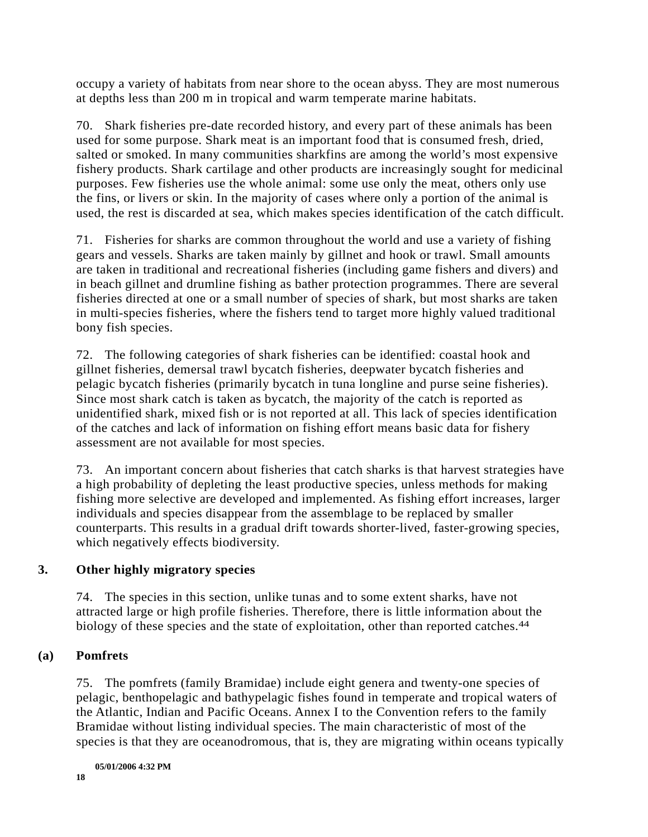occupy a variety of habitats from near shore to the ocean abyss. They are most numerous at depths less than 200 m in tropical and warm temperate marine habitats.

70. Shark fisheries pre-date recorded history, and every part of these animals has been used for some purpose. Shark meat is an important food that is consumed fresh, dried, salted or smoked. In many communities sharkfins are among the world's most expensive fishery products. Shark cartilage and other products are increasingly sought for medicinal purposes. Few fisheries use the whole animal: some use only the meat, others only use the fins, or livers or skin. In the majority of cases where only a portion of the animal is used, the rest is discarded at sea, which makes species identification of the catch difficult.

71. Fisheries for sharks are common throughout the world and use a variety of fishing gears and vessels. Sharks are taken mainly by gillnet and hook or trawl. Small amounts are taken in traditional and recreational fisheries (including game fishers and divers) and in beach gillnet and drumline fishing as bather protection programmes. There are several fisheries directed at one or a small number of species of shark, but most sharks are taken in multi-species fisheries, where the fishers tend to target more highly valued traditional bony fish species.

72. The following categories of shark fisheries can be identified: coastal hook and gillnet fisheries, demersal trawl bycatch fisheries, deepwater bycatch fisheries and pelagic bycatch fisheries (primarily bycatch in tuna longline and purse seine fisheries). Since most shark catch is taken as bycatch, the majority of the catch is reported as unidentified shark, mixed fish or is not reported at all. This lack of species identification of the catches and lack of information on fishing effort means basic data for fishery assessment are not available for most species.

73. An important concern about fisheries that catch sharks is that harvest strategies have a high probability of depleting the least productive species, unless methods for making fishing more selective are developed and implemented. As fishing effort increases, larger individuals and species disappear from the assemblage to be replaced by smaller counterparts. This results in a gradual drift towards shorter-lived, faster-growing species, which negatively effects biodiversity.

### **3. Other highly migratory species**

74. The species in this section, unlike tunas and to some extent sharks, have not attracted large or high profile fisheries. Therefore, there is little information about the biology of these species and the state of exploitation, other than reported catches.<sup>44</sup>

### **(a) Pomfrets**

75. The pomfrets (family Bramidae) include eight genera and twenty-one species of pelagic, benthopelagic and bathypelagic fishes found in temperate and tropical waters of the Atlantic, Indian and Pacific Oceans. Annex I to the Convention refers to the family Bramidae without listing individual species. The main characteristic of most of the species is that they are oceanodromous, that is, they are migrating within oceans typically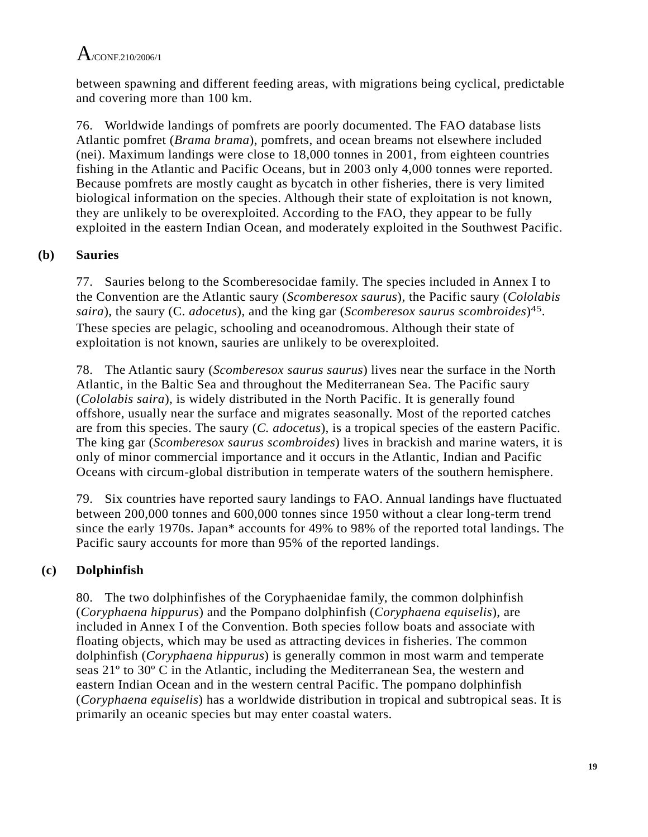between spawning and different feeding areas, with migrations being cyclical, predictable and covering more than 100 km.

76. Worldwide landings of pomfrets are poorly documented. The FAO database lists Atlantic pomfret (*Brama brama*), pomfrets, and ocean breams not elsewhere included (nei). Maximum landings were close to 18,000 tonnes in 2001, from eighteen countries fishing in the Atlantic and Pacific Oceans, but in 2003 only 4,000 tonnes were reported. Because pomfrets are mostly caught as bycatch in other fisheries, there is very limited biological information on the species. Although their state of exploitation is not known, they are unlikely to be overexploited. According to the FAO, they appear to be fully exploited in the eastern Indian Ocean, and moderately exploited in the Southwest Pacific.

## **(b) Sauries**

77. Sauries belong to the Scomberesocidae family. The species included in Annex I to the Convention are the Atlantic saury (*Scomberesox saurus*), the Pacific saury (*Cololabis saira*), the saury (C. *adocetus*), and the king gar (*Scomberesox saurus scombroides*)45. These species are pelagic, schooling and oceanodromous. Although their state of exploitation is not known, sauries are unlikely to be overexploited.

78. The Atlantic saury (*Scomberesox saurus saurus*) lives near the surface in the North Atlantic, in the Baltic Sea and throughout the Mediterranean Sea. The Pacific saury (*Cololabis saira*), is widely distributed in the North Pacific. It is generally found offshore, usually near the surface and migrates seasonally. Most of the reported catches are from this species. The saury (*C. adocetus*), is a tropical species of the eastern Pacific. The king gar (*Scomberesox saurus scombroides*) lives in brackish and marine waters, it is only of minor commercial importance and it occurs in the Atlantic, Indian and Pacific Oceans with circum-global distribution in temperate waters of the southern hemisphere.

79. Six countries have reported saury landings to FAO. Annual landings have fluctuated between 200,000 tonnes and 600,000 tonnes since 1950 without a clear long-term trend since the early 1970s. Japan\* accounts for 49% to 98% of the reported total landings. The Pacific saury accounts for more than 95% of the reported landings.

# **(c) Dolphinfish**

80. The two dolphinfishes of the Coryphaenidae family, the common dolphinfish (*Coryphaena hippurus*) and the Pompano dolphinfish (*Coryphaena equiselis*), are included in Annex I of the Convention. Both species follow boats and associate with floating objects, which may be used as attracting devices in fisheries. The common dolphinfish (*Coryphaena hippurus*) is generally common in most warm and temperate seas 21º to 30º C in the Atlantic, including the Mediterranean Sea, the western and eastern Indian Ocean and in the western central Pacific. The pompano dolphinfish (*Coryphaena equiselis*) has a worldwide distribution in tropical and subtropical seas. It is primarily an oceanic species but may enter coastal waters.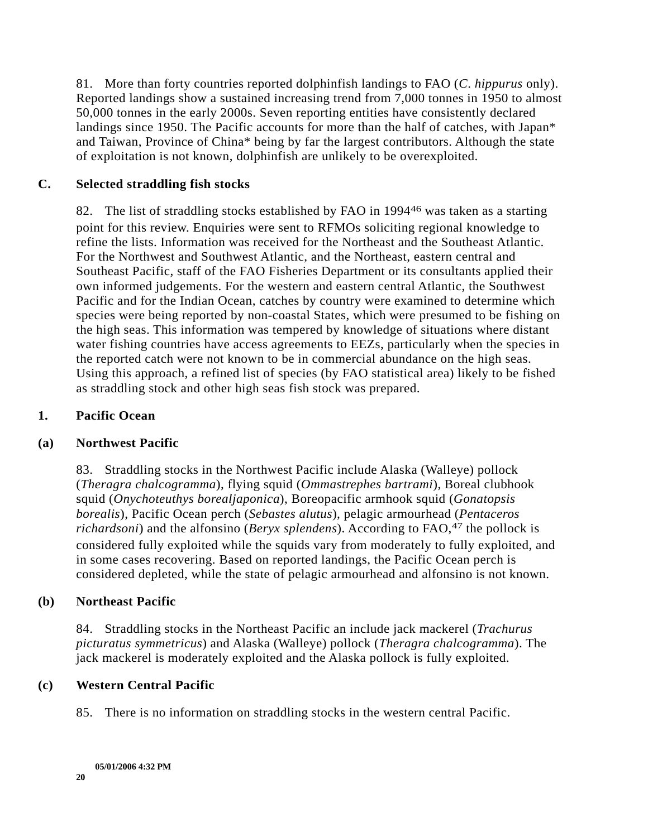81. More than forty countries reported dolphinfish landings to FAO (*C*. *hippurus* only). Reported landings show a sustained increasing trend from 7,000 tonnes in 1950 to almost 50,000 tonnes in the early 2000s. Seven reporting entities have consistently declared landings since 1950. The Pacific accounts for more than the half of catches, with Japan\* and Taiwan, Province of China\* being by far the largest contributors. Although the state of exploitation is not known, dolphinfish are unlikely to be overexploited.

### **C. Selected straddling fish stocks**

82. The list of straddling stocks established by FAO in 199446 was taken as a starting point for this review. Enquiries were sent to RFMOs soliciting regional knowledge to refine the lists. Information was received for the Northeast and the Southeast Atlantic. For the Northwest and Southwest Atlantic, and the Northeast, eastern central and Southeast Pacific, staff of the FAO Fisheries Department or its consultants applied their own informed judgements. For the western and eastern central Atlantic, the Southwest Pacific and for the Indian Ocean, catches by country were examined to determine which species were being reported by non-coastal States, which were presumed to be fishing on the high seas. This information was tempered by knowledge of situations where distant water fishing countries have access agreements to EEZs, particularly when the species in the reported catch were not known to be in commercial abundance on the high seas. Using this approach, a refined list of species (by FAO statistical area) likely to be fished as straddling stock and other high seas fish stock was prepared.

## **1. Pacific Ocean**

### **(a) Northwest Pacific**

83. Straddling stocks in the Northwest Pacific include Alaska (Walleye) pollock (*Theragra chalcogramma*), flying squid (*Ommastrephes bartrami*), Boreal clubhook squid (*Onychoteuthys borealjaponica*), Boreopacific armhook squid (*Gonatopsis borealis*), Pacific Ocean perch (*Sebastes alutus*), pelagic armourhead (*Pentaceros richardsoni*) and the alfonsino (*Beryx splendens*). According to FAO,<sup>47</sup> the pollock is considered fully exploited while the squids vary from moderately to fully exploited, and in some cases recovering. Based on reported landings, the Pacific Ocean perch is considered depleted, while the state of pelagic armourhead and alfonsino is not known.

### **(b) Northeast Pacific**

84. Straddling stocks in the Northeast Pacific an include jack mackerel (*Trachurus picturatus symmetricus*) and Alaska (Walleye) pollock (*Theragra chalcogramma*). The jack mackerel is moderately exploited and the Alaska pollock is fully exploited.

### **(c) Western Central Pacific**

85. There is no information on straddling stocks in the western central Pacific.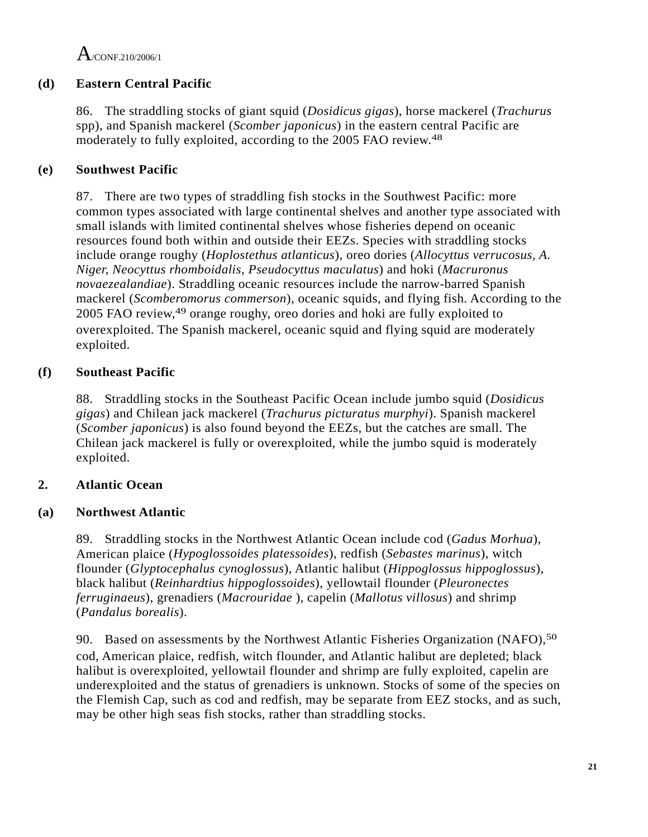$A$ /CONE 210/2006/1

## **(d) Eastern Central Pacific**

86. The straddling stocks of giant squid (*Dosidicus gigas*), horse mackerel (*Trachurus*  spp), and Spanish mackerel (*Scomber japonicus*) in the eastern central Pacific are moderately to fully exploited, according to the 2005 FAO review.48

## **(e) Southwest Pacific**

87. There are two types of straddling fish stocks in the Southwest Pacific: more common types associated with large continental shelves and another type associated with small islands with limited continental shelves whose fisheries depend on oceanic resources found both within and outside their EEZs. Species with straddling stocks include orange roughy (*Hoplostethus atlanticus*), oreo dories (*Allocyttus verrucosus, A. Niger, Neocyttus rhomboidalis, Pseudocyttus maculatus*) and hoki (*Macruronus novaezealandiae*). Straddling oceanic resources include the narrow-barred Spanish mackerel (*Scomberomorus commerson*), oceanic squids, and flying fish. According to the 2005 FAO review,49 orange roughy, oreo dories and hoki are fully exploited to overexploited. The Spanish mackerel, oceanic squid and flying squid are moderately exploited.

## **(f) Southeast Pacific**

88. Straddling stocks in the Southeast Pacific Ocean include jumbo squid (*Dosidicus gigas*) and Chilean jack mackerel (*Trachurus picturatus murphyi*). Spanish mackerel (*Scomber japonicus*) is also found beyond the EEZs, but the catches are small. The Chilean jack mackerel is fully or overexploited, while the jumbo squid is moderately exploited.

## **2. Atlantic Ocean**

### **(a) Northwest Atlantic**

89. Straddling stocks in the Northwest Atlantic Ocean include cod (*Gadus Morhua*), American plaice (*Hypoglossoides platessoides*), redfish (*Sebastes marinus*), witch flounder (*Glyptocephalus cynoglossus*), Atlantic halibut (*Hippoglossus hippoglossus*), black halibut (*Reinhardtius hippoglossoides*), yellowtail flounder (*Pleuronectes ferruginaeus*), grenadiers (*Macrouridae* ), capelin (*Mallotus villosus*) and shrimp (*Pandalus borealis*).

90. Based on assessments by the Northwest Atlantic Fisheries Organization (NAFO),<sup>50</sup> cod, American plaice, redfish, witch flounder, and Atlantic halibut are depleted; black halibut is overexploited, yellowtail flounder and shrimp are fully exploited, capelin are underexploited and the status of grenadiers is unknown. Stocks of some of the species on the Flemish Cap, such as cod and redfish, may be separate from EEZ stocks, and as such, may be other high seas fish stocks, rather than straddling stocks.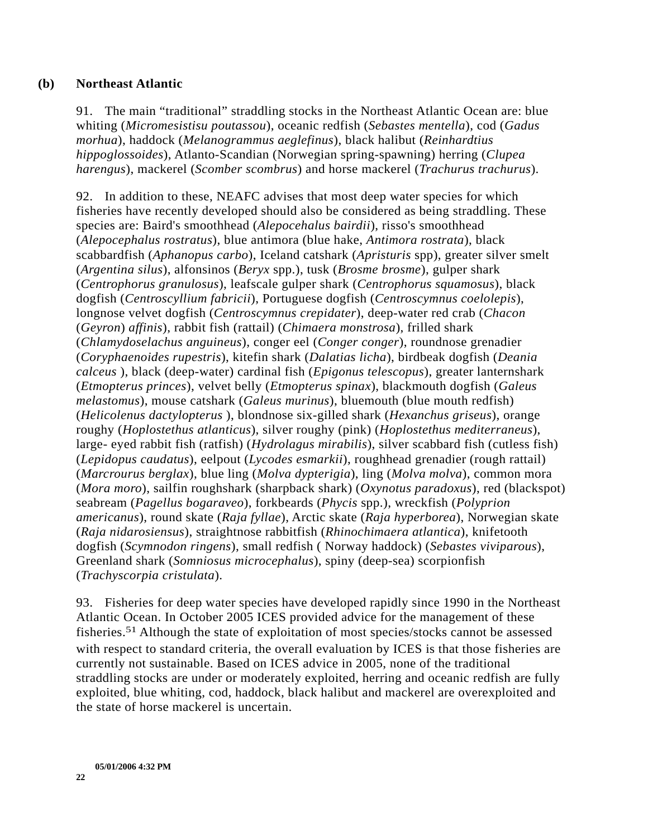#### **(b) Northeast Atlantic**

91. The main "traditional" straddling stocks in the Northeast Atlantic Ocean are: blue whiting (*Micromesistisu poutassou*), oceanic redfish (*Sebastes mentella*), cod (*Gadus morhua*), haddock (*Melanogrammus aeglefinus*), black halibut (*Reinhardtius hippoglossoides*), Atlanto-Scandian (Norwegian spring-spawning) herring (*Clupea harengus*), mackerel (*Scomber scombrus*) and horse mackerel (*Trachurus trachurus*).

92. In addition to these, NEAFC advises that most deep water species for which fisheries have recently developed should also be considered as being straddling. These species are: Baird's smoothhead (*Alepocehalus bairdii*), risso's smoothhead (*Alepocephalus rostratus*), blue antimora (blue hake, *Antimora rostrata*), black scabbardfish (*Aphanopus carbo*), Iceland catshark (*Apristuris* spp), greater silver smelt (*Argentina silus*), alfonsinos (*Beryx* spp.), tusk (*Brosme brosme*), gulper shark (*Centrophorus granulosus*), leafscale gulper shark (*Centrophorus squamosus*), black dogfish (*Centroscyllium fabricii*), Portuguese dogfish (*Centroscymnus coelolepis*), longnose velvet dogfish (*Centroscymnus crepidater*), deep-water red crab (*Chacon* (*Geyron*) *affinis*), rabbit fish (rattail) (*Chimaera monstrosa*), frilled shark (*Chlamydoselachus anguineus*), conger eel (*Conger conger*), roundnose grenadier (*Coryphaenoides rupestris*), kitefin shark (*Dalatias licha*), birdbeak dogfish (*Deania calceus* ), black (deep-water) cardinal fish (*Epigonus telescopus*), greater lanternshark (*Etmopterus princes*), velvet belly (*Etmopterus spinax*), blackmouth dogfish (*Galeus melastomus*), mouse catshark (*Galeus murinus*), bluemouth (blue mouth redfish) (*Helicolenus dactylopterus* ), blondnose six-gilled shark (*Hexanchus griseus*), orange roughy (*Hoplostethus atlanticus*), silver roughy (pink) (*Hoplostethus mediterraneus*), large- eyed rabbit fish (ratfish) (*Hydrolagus mirabilis*), silver scabbard fish (cutless fish) (*Lepidopus caudatus*), eelpout (*Lycodes esmarkii*), roughhead grenadier (rough rattail) (*Marcrourus berglax*), blue ling (*Molva dypterigia*), ling (*Molva molva*), common mora (*Mora moro*), sailfin roughshark (sharpback shark) (*Oxynotus paradoxus*), red (blackspot) seabream (*Pagellus bogaraveo*), forkbeards (*Phycis* spp.), wreckfish (*Polyprion americanus*), round skate (*Raja fyllae*), Arctic skate (*Raja hyperborea*), Norwegian skate (*Raja nidarosiensus*), straightnose rabbitfish (*Rhinochimaera atlantica*), knifetooth dogfish (*Scymnodon ringens*), small redfish ( Norway haddock) (*Sebastes viviparous*), Greenland shark (*Somniosus microcephalus*), spiny (deep-sea) scorpionfish (*Trachyscorpia cristulata*).

93. Fisheries for deep water species have developed rapidly since 1990 in the Northeast Atlantic Ocean. In October 2005 ICES provided advice for the management of these fisheries.51 Although the state of exploitation of most species/stocks cannot be assessed with respect to standard criteria, the overall evaluation by ICES is that those fisheries are currently not sustainable. Based on ICES advice in 2005, none of the traditional straddling stocks are under or moderately exploited, herring and oceanic redfish are fully exploited, blue whiting, cod, haddock, black halibut and mackerel are overexploited and the state of horse mackerel is uncertain.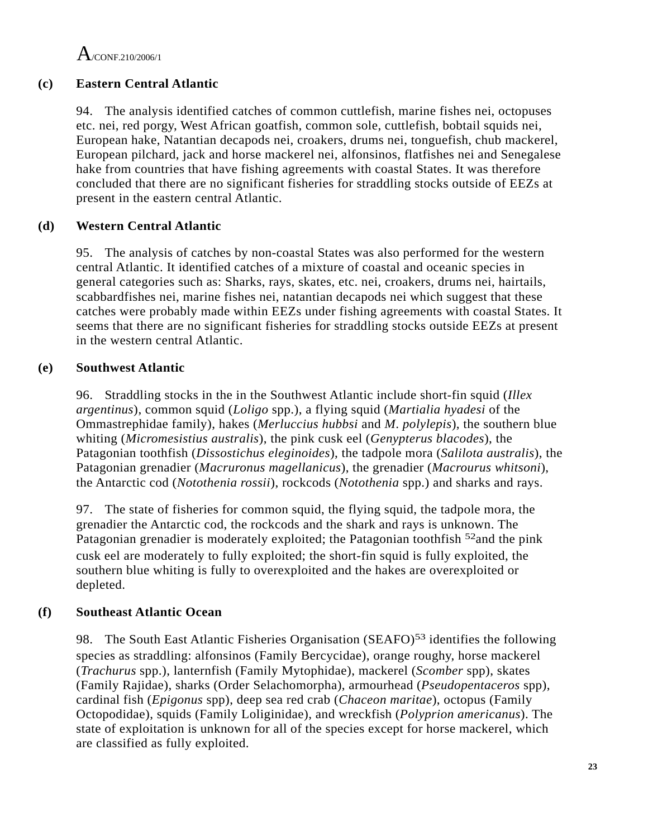## **(c) Eastern Central Atlantic**

94. The analysis identified catches of common cuttlefish, marine fishes nei, octopuses etc. nei, red porgy, West African goatfish, common sole, cuttlefish, bobtail squids nei, European hake, Natantian decapods nei, croakers, drums nei, tonguefish, chub mackerel, European pilchard, jack and horse mackerel nei, alfonsinos, flatfishes nei and Senegalese hake from countries that have fishing agreements with coastal States. It was therefore concluded that there are no significant fisheries for straddling stocks outside of EEZs at present in the eastern central Atlantic.

## **(d) Western Central Atlantic**

95. The analysis of catches by non-coastal States was also performed for the western central Atlantic. It identified catches of a mixture of coastal and oceanic species in general categories such as: Sharks, rays, skates, etc. nei, croakers, drums nei, hairtails, scabbardfishes nei, marine fishes nei, natantian decapods nei which suggest that these catches were probably made within EEZs under fishing agreements with coastal States. It seems that there are no significant fisheries for straddling stocks outside EEZs at present in the western central Atlantic.

## **(e) Southwest Atlantic**

96. Straddling stocks in the in the Southwest Atlantic include short-fin squid (*Illex argentinus*), common squid (*Loligo* spp.), a flying squid (*Martialia hyadesi* of the Ommastrephidae family), hakes (*Merluccius hubbsi* and *M*. *polylepis*), the southern blue whiting (*Micromesistius australis*), the pink cusk eel (*Genypterus blacodes*), the Patagonian toothfish (*Dissostichus eleginoides*), the tadpole mora (*Salilota australis*), the Patagonian grenadier (*Macruronus magellanicus*), the grenadier (*Macrourus whitsoni*), the Antarctic cod (*Notothenia rossii*), rockcods (*Notothenia* spp.) and sharks and rays.

97. The state of fisheries for common squid, the flying squid, the tadpole mora, the grenadier the Antarctic cod, the rockcods and the shark and rays is unknown. The Patagonian grenadier is moderately exploited; the Patagonian toothfish <sup>52</sup>and the pink cusk eel are moderately to fully exploited; the short-fin squid is fully exploited, the southern blue whiting is fully to overexploited and the hakes are overexploited or depleted.

## **(f) Southeast Atlantic Ocean**

98. The South East Atlantic Fisheries Organisation (SEAFO)<sup>53</sup> identifies the following species as straddling: alfonsinos (Family Bercycidae), orange roughy, horse mackerel (*Trachurus* spp.), lanternfish (Family Mytophidae), mackerel (*Scomber* spp), skates (Family Rajidae), sharks (Order Selachomorpha), armourhead (*Pseudopentaceros* spp), cardinal fish (*Epigonus* spp), deep sea red crab (*Chaceon maritae*), octopus (Family Octopodidae), squids (Family Loliginidae), and wreckfish (*Polyprion americanus*). The state of exploitation is unknown for all of the species except for horse mackerel, which are classified as fully exploited.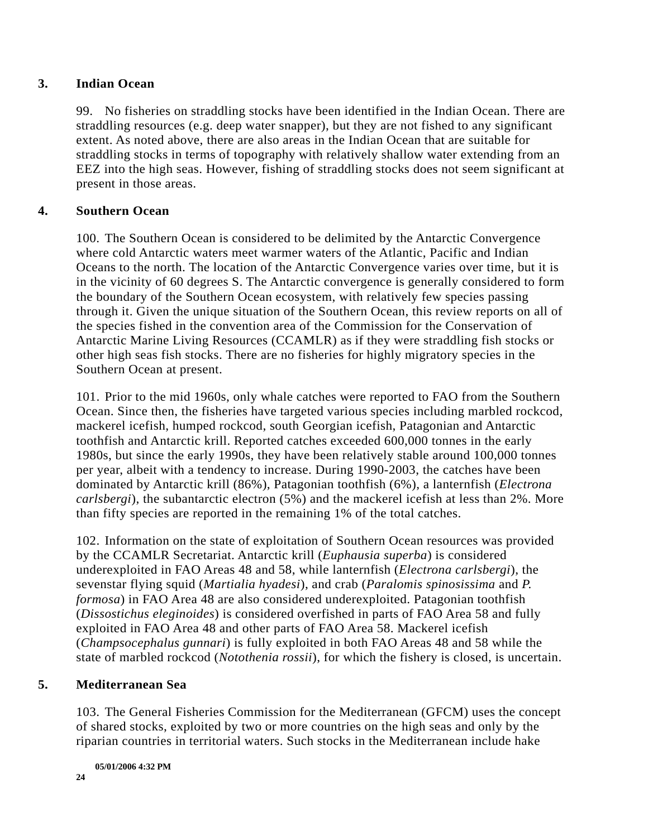#### **3. Indian Ocean**

99. No fisheries on straddling stocks have been identified in the Indian Ocean. There are straddling resources (e.g. deep water snapper), but they are not fished to any significant extent. As noted above, there are also areas in the Indian Ocean that are suitable for straddling stocks in terms of topography with relatively shallow water extending from an EEZ into the high seas. However, fishing of straddling stocks does not seem significant at present in those areas.

### **4. Southern Ocean**

100. The Southern Ocean is considered to be delimited by the Antarctic Convergence where cold Antarctic waters meet warmer waters of the Atlantic, Pacific and Indian Oceans to the north. The location of the Antarctic Convergence varies over time, but it is in the vicinity of 60 degrees S. The Antarctic convergence is generally considered to form the boundary of the Southern Ocean ecosystem, with relatively few species passing through it. Given the unique situation of the Southern Ocean, this review reports on all of the species fished in the convention area of the Commission for the Conservation of Antarctic Marine Living Resources (CCAMLR) as if they were straddling fish stocks or other high seas fish stocks. There are no fisheries for highly migratory species in the Southern Ocean at present.

101. Prior to the mid 1960s, only whale catches were reported to FAO from the Southern Ocean. Since then, the fisheries have targeted various species including marbled rockcod, mackerel icefish, humped rockcod, south Georgian icefish, Patagonian and Antarctic toothfish and Antarctic krill. Reported catches exceeded 600,000 tonnes in the early 1980s, but since the early 1990s, they have been relatively stable around 100,000 tonnes per year, albeit with a tendency to increase. During 1990-2003, the catches have been dominated by Antarctic krill (86%), Patagonian toothfish (6%), a lanternfish (*Electrona carlsbergi*), the subantarctic electron (5%) and the mackerel icefish at less than 2%. More than fifty species are reported in the remaining 1% of the total catches.

102. Information on the state of exploitation of Southern Ocean resources was provided by the CCAMLR Secretariat. Antarctic krill (*Euphausia superba*) is considered underexploited in FAO Areas 48 and 58, while lanternfish (*Electrona carlsbergi*), the sevenstar flying squid (*Martialia hyadesi*), and crab (*Paralomis spinosissima* and *P. formosa*) in FAO Area 48 are also considered underexploited. Patagonian toothfish (*Dissostichus eleginoides*) is considered overfished in parts of FAO Area 58 and fully exploited in FAO Area 48 and other parts of FAO Area 58. Mackerel icefish (*Champsocephalus gunnari*) is fully exploited in both FAO Areas 48 and 58 while the state of marbled rockcod (*Notothenia rossii*), for which the fishery is closed, is uncertain.

### **5. Mediterranean Sea**

103. The General Fisheries Commission for the Mediterranean (GFCM) uses the concept of shared stocks, exploited by two or more countries on the high seas and only by the riparian countries in territorial waters. Such stocks in the Mediterranean include hake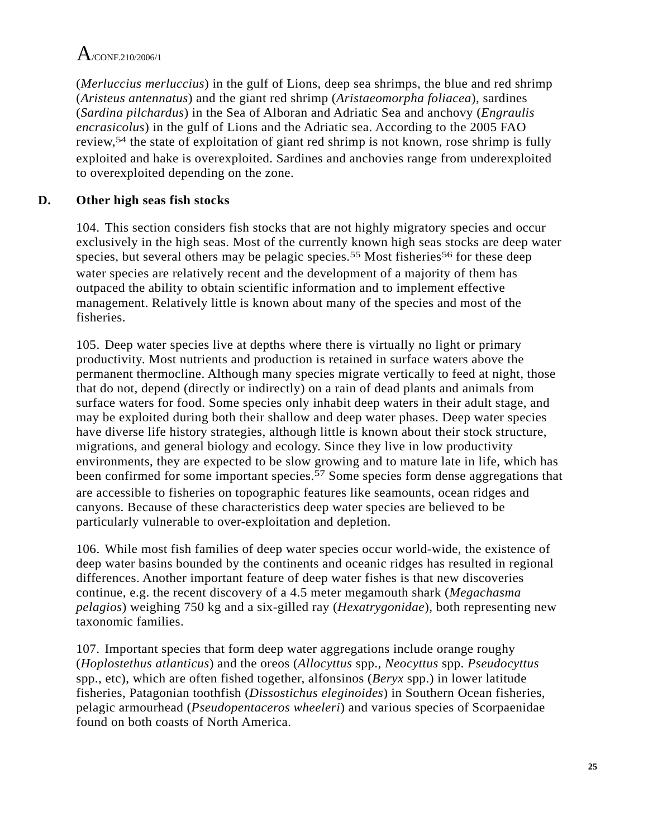(*Merluccius merluccius*) in the gulf of Lions, deep sea shrimps, the blue and red shrimp (*Aristeus antennatus*) and the giant red shrimp (*Aristaeomorpha foliacea*), sardines (*Sardina pilchardus*) in the Sea of Alboran and Adriatic Sea and anchovy (*Engraulis encrasicolus*) in the gulf of Lions and the Adriatic sea. According to the 2005 FAO review,54 the state of exploitation of giant red shrimp is not known, rose shrimp is fully exploited and hake is overexploited. Sardines and anchovies range from underexploited to overexploited depending on the zone.

# **D. Other high seas fish stocks**

104. This section considers fish stocks that are not highly migratory species and occur exclusively in the high seas. Most of the currently known high seas stocks are deep water species, but several others may be pelagic species.<sup>55</sup> Most fisheries<sup>56</sup> for these deep water species are relatively recent and the development of a majority of them has outpaced the ability to obtain scientific information and to implement effective management. Relatively little is known about many of the species and most of the fisheries.

105. Deep water species live at depths where there is virtually no light or primary productivity. Most nutrients and production is retained in surface waters above the permanent thermocline. Although many species migrate vertically to feed at night, those that do not, depend (directly or indirectly) on a rain of dead plants and animals from surface waters for food. Some species only inhabit deep waters in their adult stage, and may be exploited during both their shallow and deep water phases. Deep water species have diverse life history strategies, although little is known about their stock structure, migrations, and general biology and ecology. Since they live in low productivity environments, they are expected to be slow growing and to mature late in life, which has been confirmed for some important species.<sup>57</sup> Some species form dense aggregations that are accessible to fisheries on topographic features like seamounts, ocean ridges and canyons. Because of these characteristics deep water species are believed to be particularly vulnerable to over-exploitation and depletion.

106. While most fish families of deep water species occur world-wide, the existence of deep water basins bounded by the continents and oceanic ridges has resulted in regional differences. Another important feature of deep water fishes is that new discoveries continue, e.g. the recent discovery of a 4.5 meter megamouth shark (*Megachasma pelagios*) weighing 750 kg and a six-gilled ray (*Hexatrygonidae*), both representing new taxonomic families.

107. Important species that form deep water aggregations include orange roughy (*Hoplostethus atlanticus*) and the oreos (*Allocyttus* spp., *Neocyttus* spp. *Pseudocyttus* spp., etc), which are often fished together, alfonsinos (*Beryx* spp.) in lower latitude fisheries, Patagonian toothfish (*Dissostichus eleginoides*) in Southern Ocean fisheries, pelagic armourhead (*Pseudopentaceros wheeleri*) and various species of Scorpaenidae found on both coasts of North America.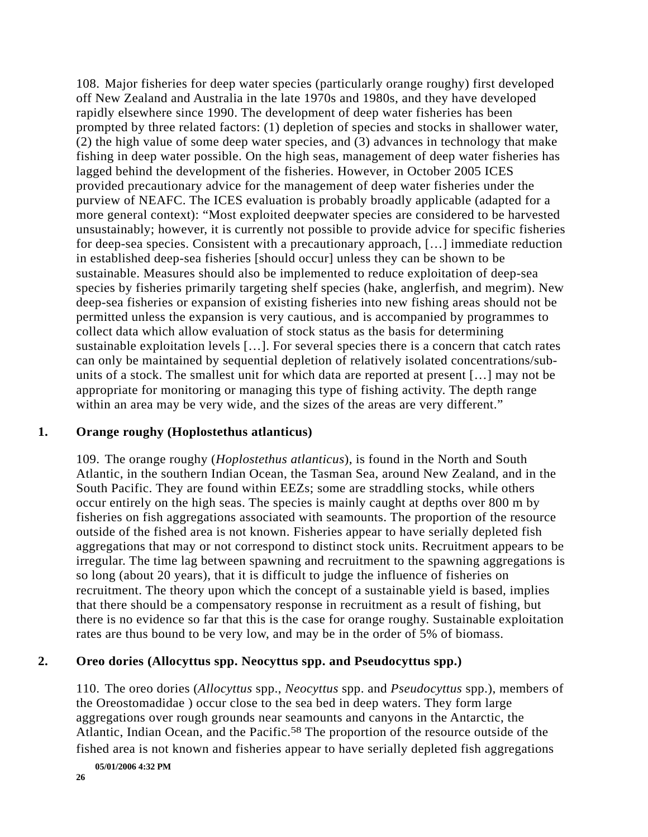108. Major fisheries for deep water species (particularly orange roughy) first developed off New Zealand and Australia in the late 1970s and 1980s, and they have developed rapidly elsewhere since 1990. The development of deep water fisheries has been prompted by three related factors: (1) depletion of species and stocks in shallower water, (2) the high value of some deep water species, and (3) advances in technology that make fishing in deep water possible. On the high seas, management of deep water fisheries has lagged behind the development of the fisheries. However, in October 2005 ICES provided precautionary advice for the management of deep water fisheries under the purview of NEAFC. The ICES evaluation is probably broadly applicable (adapted for a more general context): "Most exploited deepwater species are considered to be harvested unsustainably; however, it is currently not possible to provide advice for specific fisheries for deep-sea species. Consistent with a precautionary approach, […] immediate reduction in established deep-sea fisheries [should occur] unless they can be shown to be sustainable. Measures should also be implemented to reduce exploitation of deep-sea species by fisheries primarily targeting shelf species (hake, anglerfish, and megrim). New deep-sea fisheries or expansion of existing fisheries into new fishing areas should not be permitted unless the expansion is very cautious, and is accompanied by programmes to collect data which allow evaluation of stock status as the basis for determining sustainable exploitation levels […]. For several species there is a concern that catch rates can only be maintained by sequential depletion of relatively isolated concentrations/subunits of a stock. The smallest unit for which data are reported at present […] may not be appropriate for monitoring or managing this type of fishing activity. The depth range within an area may be very wide, and the sizes of the areas are very different."

#### **1. Orange roughy (Hoplostethus atlanticus)**

109. The orange roughy (*Hoplostethus atlanticus*), is found in the North and South Atlantic, in the southern Indian Ocean, the Tasman Sea, around New Zealand, and in the South Pacific. They are found within EEZs; some are straddling stocks, while others occur entirely on the high seas. The species is mainly caught at depths over 800 m by fisheries on fish aggregations associated with seamounts. The proportion of the resource outside of the fished area is not known. Fisheries appear to have serially depleted fish aggregations that may or not correspond to distinct stock units. Recruitment appears to be irregular. The time lag between spawning and recruitment to the spawning aggregations is so long (about 20 years), that it is difficult to judge the influence of fisheries on recruitment. The theory upon which the concept of a sustainable yield is based, implies that there should be a compensatory response in recruitment as a result of fishing, but there is no evidence so far that this is the case for orange roughy. Sustainable exploitation rates are thus bound to be very low, and may be in the order of 5% of biomass.

#### **2. Oreo dories (Allocyttus spp. Neocyttus spp. and Pseudocyttus spp.)**

110. The oreo dories (*Allocyttus* spp., *Neocyttus* spp. and *Pseudocyttus* spp.), members of the Oreostomadidae ) occur close to the sea bed in deep waters. They form large aggregations over rough grounds near seamounts and canyons in the Antarctic, the Atlantic, Indian Ocean, and the Pacific.<sup>58</sup> The proportion of the resource outside of the fished area is not known and fisheries appear to have serially depleted fish aggregations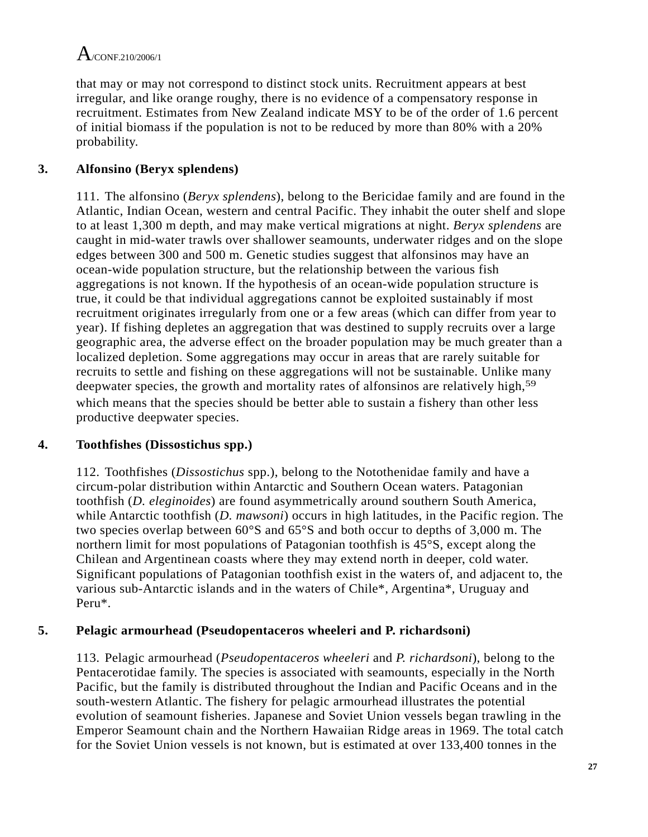that may or may not correspond to distinct stock units. Recruitment appears at best irregular, and like orange roughy, there is no evidence of a compensatory response in recruitment. Estimates from New Zealand indicate MSY to be of the order of 1.6 percent of initial biomass if the population is not to be reduced by more than 80% with a 20% probability.

## **3. Alfonsino (Beryx splendens)**

111. The alfonsino (*Beryx splendens*), belong to the Bericidae family and are found in the Atlantic, Indian Ocean, western and central Pacific. They inhabit the outer shelf and slope to at least 1,300 m depth, and may make vertical migrations at night. *Beryx splendens* are caught in mid-water trawls over shallower seamounts, underwater ridges and on the slope edges between 300 and 500 m. Genetic studies suggest that alfonsinos may have an ocean-wide population structure, but the relationship between the various fish aggregations is not known. If the hypothesis of an ocean-wide population structure is true, it could be that individual aggregations cannot be exploited sustainably if most recruitment originates irregularly from one or a few areas (which can differ from year to year). If fishing depletes an aggregation that was destined to supply recruits over a large geographic area, the adverse effect on the broader population may be much greater than a localized depletion. Some aggregations may occur in areas that are rarely suitable for recruits to settle and fishing on these aggregations will not be sustainable. Unlike many deepwater species, the growth and mortality rates of alfonsinos are relatively high,<sup>59</sup> which means that the species should be better able to sustain a fishery than other less productive deepwater species.

## **4. Toothfishes (Dissostichus spp.)**

112. Toothfishes (*Dissostichus* spp.), belong to the Notothenidae family and have a circum-polar distribution within Antarctic and Southern Ocean waters. Patagonian toothfish (*D. eleginoides*) are found asymmetrically around southern South America, while Antarctic toothfish (*D. mawsoni*) occurs in high latitudes, in the Pacific region. The two species overlap between 60°S and 65°S and both occur to depths of 3,000 m. The northern limit for most populations of Patagonian toothfish is 45°S, except along the Chilean and Argentinean coasts where they may extend north in deeper, cold water. Significant populations of Patagonian toothfish exist in the waters of, and adjacent to, the various sub-Antarctic islands and in the waters of Chile\*, Argentina\*, Uruguay and Peru\*.

### **5. Pelagic armourhead (Pseudopentaceros wheeleri and P. richardsoni)**

113. Pelagic armourhead (*Pseudopentaceros wheeleri* and *P. richardsoni*), belong to the Pentacerotidae family. The species is associated with seamounts, especially in the North Pacific, but the family is distributed throughout the Indian and Pacific Oceans and in the south-western Atlantic. The fishery for pelagic armourhead illustrates the potential evolution of seamount fisheries. Japanese and Soviet Union vessels began trawling in the Emperor Seamount chain and the Northern Hawaiian Ridge areas in 1969. The total catch for the Soviet Union vessels is not known, but is estimated at over 133,400 tonnes in the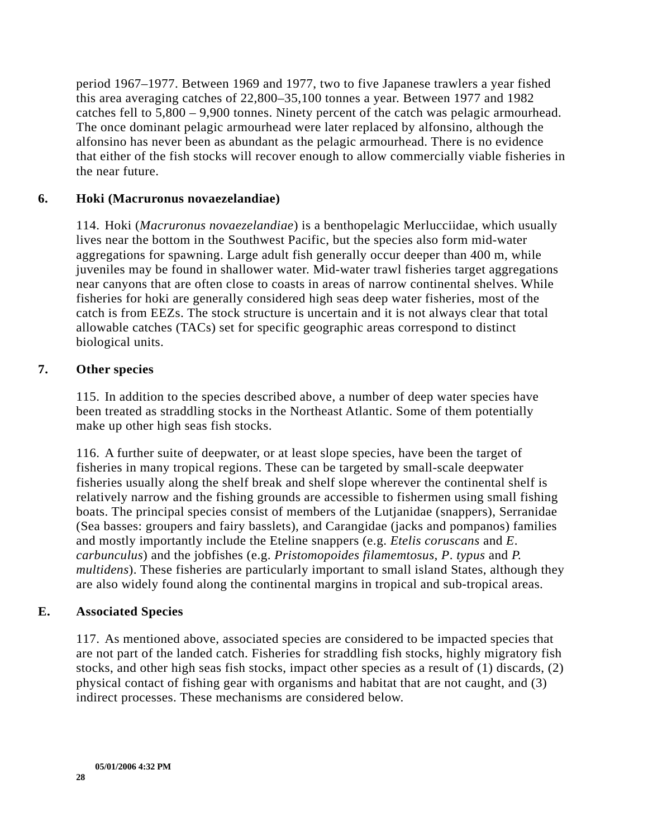period 1967–1977. Between 1969 and 1977, two to five Japanese trawlers a year fished this area averaging catches of 22,800–35,100 tonnes a year. Between 1977 and 1982 catches fell to 5,800 – 9,900 tonnes. Ninety percent of the catch was pelagic armourhead. The once dominant pelagic armourhead were later replaced by alfonsino, although the alfonsino has never been as abundant as the pelagic armourhead. There is no evidence that either of the fish stocks will recover enough to allow commercially viable fisheries in the near future.

### **6. Hoki (Macruronus novaezelandiae)**

114. Hoki (*Macruronus novaezelandiae*) is a benthopelagic Merlucciidae, which usually lives near the bottom in the Southwest Pacific, but the species also form mid-water aggregations for spawning. Large adult fish generally occur deeper than 400 m, while juveniles may be found in shallower water. Mid-water trawl fisheries target aggregations near canyons that are often close to coasts in areas of narrow continental shelves. While fisheries for hoki are generally considered high seas deep water fisheries, most of the catch is from EEZs. The stock structure is uncertain and it is not always clear that total allowable catches (TACs) set for specific geographic areas correspond to distinct biological units.

#### **7. Other species**

115. In addition to the species described above, a number of deep water species have been treated as straddling stocks in the Northeast Atlantic. Some of them potentially make up other high seas fish stocks.

116. A further suite of deepwater, or at least slope species, have been the target of fisheries in many tropical regions. These can be targeted by small-scale deepwater fisheries usually along the shelf break and shelf slope wherever the continental shelf is relatively narrow and the fishing grounds are accessible to fishermen using small fishing boats. The principal species consist of members of the Lutjanidae (snappers), Serranidae (Sea basses: groupers and fairy basslets), and Carangidae (jacks and pompanos) families and mostly importantly include the Eteline snappers (e.g. *Etelis coruscans* and *E*. *carbunculus*) and the jobfishes (e.g. *Pristomopoides filamemtosus*, *P*. *typus* and *P. multidens*). These fisheries are particularly important to small island States, although they are also widely found along the continental margins in tropical and sub-tropical areas.

### **E. Associated Species**

117. As mentioned above, associated species are considered to be impacted species that are not part of the landed catch. Fisheries for straddling fish stocks, highly migratory fish stocks, and other high seas fish stocks, impact other species as a result of (1) discards, (2) physical contact of fishing gear with organisms and habitat that are not caught, and (3) indirect processes. These mechanisms are considered below.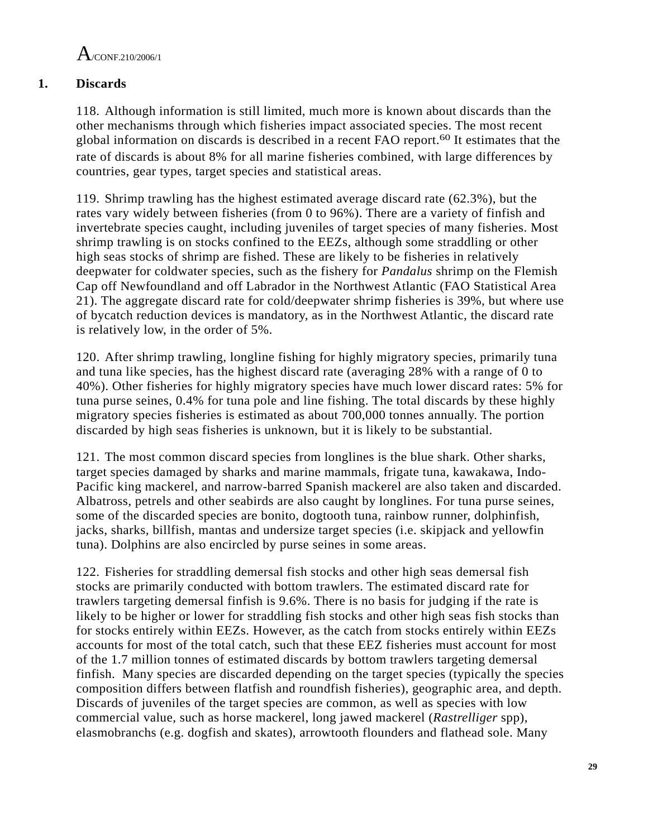$A$ /CONE 210/2006/1

## **1. Discards**

118. Although information is still limited, much more is known about discards than the other mechanisms through which fisheries impact associated species. The most recent global information on discards is described in a recent FAO report.60 It estimates that the rate of discards is about 8% for all marine fisheries combined, with large differences by countries, gear types, target species and statistical areas.

119. Shrimp trawling has the highest estimated average discard rate (62.3%), but the rates vary widely between fisheries (from 0 to 96%). There are a variety of finfish and invertebrate species caught, including juveniles of target species of many fisheries. Most shrimp trawling is on stocks confined to the EEZs, although some straddling or other high seas stocks of shrimp are fished. These are likely to be fisheries in relatively deepwater for coldwater species, such as the fishery for *Pandalus* shrimp on the Flemish Cap off Newfoundland and off Labrador in the Northwest Atlantic (FAO Statistical Area 21). The aggregate discard rate for cold/deepwater shrimp fisheries is 39%, but where use of bycatch reduction devices is mandatory, as in the Northwest Atlantic, the discard rate is relatively low, in the order of 5%.

120. After shrimp trawling, longline fishing for highly migratory species, primarily tuna and tuna like species, has the highest discard rate (averaging 28% with a range of 0 to 40%). Other fisheries for highly migratory species have much lower discard rates: 5% for tuna purse seines, 0.4% for tuna pole and line fishing. The total discards by these highly migratory species fisheries is estimated as about 700,000 tonnes annually. The portion discarded by high seas fisheries is unknown, but it is likely to be substantial.

121. The most common discard species from longlines is the blue shark. Other sharks, target species damaged by sharks and marine mammals, frigate tuna, kawakawa, Indo-Pacific king mackerel, and narrow-barred Spanish mackerel are also taken and discarded. Albatross, petrels and other seabirds are also caught by longlines. For tuna purse seines, some of the discarded species are bonito, dogtooth tuna, rainbow runner, dolphinfish, jacks, sharks, billfish, mantas and undersize target species (i.e. skipjack and yellowfin tuna). Dolphins are also encircled by purse seines in some areas.

122. Fisheries for straddling demersal fish stocks and other high seas demersal fish stocks are primarily conducted with bottom trawlers. The estimated discard rate for trawlers targeting demersal finfish is 9.6%. There is no basis for judging if the rate is likely to be higher or lower for straddling fish stocks and other high seas fish stocks than for stocks entirely within EEZs. However, as the catch from stocks entirely within EEZs accounts for most of the total catch, such that these EEZ fisheries must account for most of the 1.7 million tonnes of estimated discards by bottom trawlers targeting demersal finfish. Many species are discarded depending on the target species (typically the species composition differs between flatfish and roundfish fisheries), geographic area, and depth. Discards of juveniles of the target species are common, as well as species with low commercial value, such as horse mackerel, long jawed mackerel (*Rastrelliger* spp), elasmobranchs (e.g. dogfish and skates), arrowtooth flounders and flathead sole. Many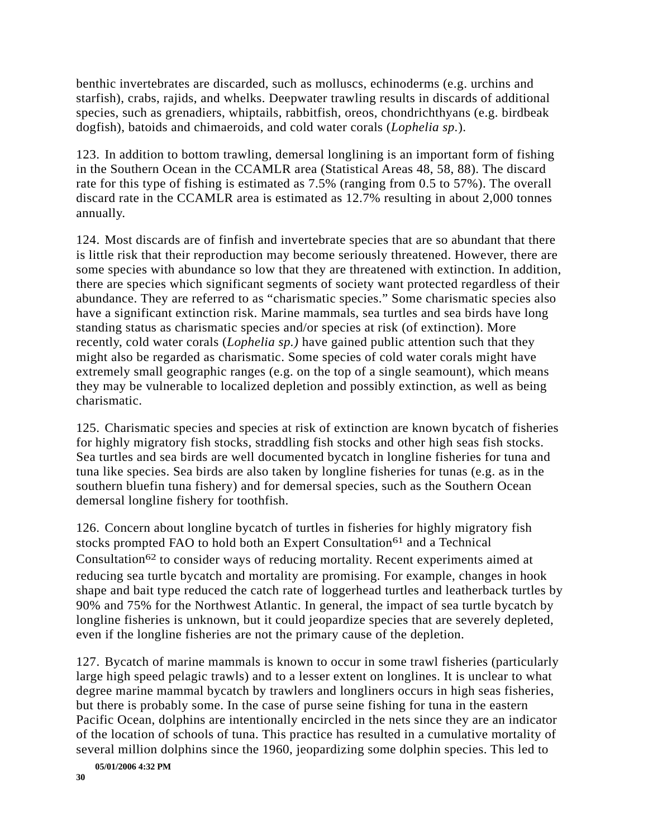benthic invertebrates are discarded, such as molluscs, echinoderms (e.g. urchins and starfish), crabs, rajids, and whelks. Deepwater trawling results in discards of additional species, such as grenadiers, whiptails, rabbitfish, oreos, chondrichthyans (e.g. birdbeak dogfish), batoids and chimaeroids, and cold water corals (*Lophelia sp.*).

123. In addition to bottom trawling, demersal longlining is an important form of fishing in the Southern Ocean in the CCAMLR area (Statistical Areas 48, 58, 88). The discard rate for this type of fishing is estimated as 7.5% (ranging from 0.5 to 57%). The overall discard rate in the CCAMLR area is estimated as 12.7% resulting in about 2,000 tonnes annually.

124. Most discards are of finfish and invertebrate species that are so abundant that there is little risk that their reproduction may become seriously threatened. However, there are some species with abundance so low that they are threatened with extinction. In addition, there are species which significant segments of society want protected regardless of their abundance. They are referred to as "charismatic species." Some charismatic species also have a significant extinction risk. Marine mammals, sea turtles and sea birds have long standing status as charismatic species and/or species at risk (of extinction). More recently, cold water corals (*Lophelia sp.)* have gained public attention such that they might also be regarded as charismatic. Some species of cold water corals might have extremely small geographic ranges (e.g. on the top of a single seamount), which means they may be vulnerable to localized depletion and possibly extinction, as well as being charismatic.

125. Charismatic species and species at risk of extinction are known bycatch of fisheries for highly migratory fish stocks, straddling fish stocks and other high seas fish stocks. Sea turtles and sea birds are well documented bycatch in longline fisheries for tuna and tuna like species. Sea birds are also taken by longline fisheries for tunas (e.g. as in the southern bluefin tuna fishery) and for demersal species, such as the Southern Ocean demersal longline fishery for toothfish.

126. Concern about longline bycatch of turtles in fisheries for highly migratory fish stocks prompted FAO to hold both an Expert Consultation<sup>61</sup> and a Technical Consultation62 to consider ways of reducing mortality. Recent experiments aimed at reducing sea turtle bycatch and mortality are promising. For example, changes in hook shape and bait type reduced the catch rate of loggerhead turtles and leatherback turtles by 90% and 75% for the Northwest Atlantic. In general, the impact of sea turtle bycatch by longline fisheries is unknown, but it could jeopardize species that are severely depleted, even if the longline fisheries are not the primary cause of the depletion.

127. Bycatch of marine mammals is known to occur in some trawl fisheries (particularly large high speed pelagic trawls) and to a lesser extent on longlines. It is unclear to what degree marine mammal bycatch by trawlers and longliners occurs in high seas fisheries, but there is probably some. In the case of purse seine fishing for tuna in the eastern Pacific Ocean, dolphins are intentionally encircled in the nets since they are an indicator of the location of schools of tuna. This practice has resulted in a cumulative mortality of several million dolphins since the 1960, jeopardizing some dolphin species. This led to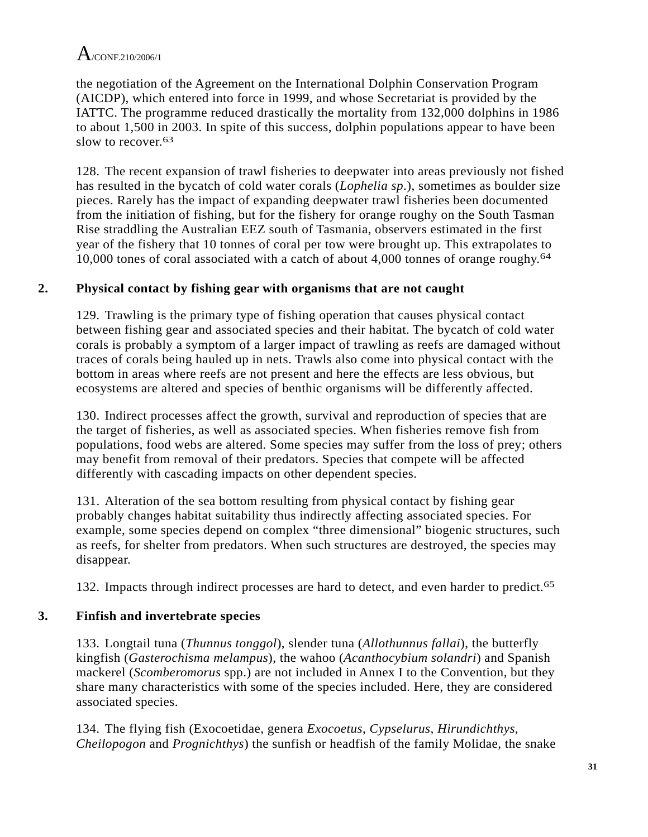the negotiation of the Agreement on the International Dolphin Conservation Program (AICDP), which entered into force in 1999, and whose Secretariat is provided by the IATTC. The programme reduced drastically the mortality from 132,000 dolphins in 1986 to about 1,500 in 2003. In spite of this success, dolphin populations appear to have been slow to recover  $63$ 

128. The recent expansion of trawl fisheries to deepwater into areas previously not fished has resulted in the bycatch of cold water corals (*Lophelia sp*.), sometimes as boulder size pieces. Rarely has the impact of expanding deepwater trawl fisheries been documented from the initiation of fishing, but for the fishery for orange roughy on the South Tasman Rise straddling the Australian EEZ south of Tasmania, observers estimated in the first year of the fishery that 10 tonnes of coral per tow were brought up. This extrapolates to 10,000 tones of coral associated with a catch of about 4,000 tonnes of orange roughy.<sup>64</sup>

## **2. Physical contact by fishing gear with organisms that are not caught**

129. Trawling is the primary type of fishing operation that causes physical contact between fishing gear and associated species and their habitat. The bycatch of cold water corals is probably a symptom of a larger impact of trawling as reefs are damaged without traces of corals being hauled up in nets. Trawls also come into physical contact with the bottom in areas where reefs are not present and here the effects are less obvious, but ecosystems are altered and species of benthic organisms will be differently affected.

130. Indirect processes affect the growth, survival and reproduction of species that are the target of fisheries, as well as associated species. When fisheries remove fish from populations, food webs are altered. Some species may suffer from the loss of prey; others may benefit from removal of their predators. Species that compete will be affected differently with cascading impacts on other dependent species.

131. Alteration of the sea bottom resulting from physical contact by fishing gear probably changes habitat suitability thus indirectly affecting associated species. For example, some species depend on complex "three dimensional" biogenic structures, such as reefs, for shelter from predators. When such structures are destroyed, the species may disappear.

132. Impacts through indirect processes are hard to detect, and even harder to predict.<sup>65</sup>

# **3. Finfish and invertebrate species**

133. Longtail tuna (*Thunnus tonggol*), slender tuna (*Allothunnus fallai*), the butterfly kingfish (*Gasterochisma melampus*), the wahoo (*Acanthocybium solandri*) and Spanish mackerel (*Scomberomorus* spp.) are not included in Annex I to the Convention, but they share many characteristics with some of the species included. Here, they are considered associated species.

134. The flying fish (Exocoetidae, genera *Exocoetus*, *Cypselurus*, *Hirundichthys*, *Cheilopogon* and *Prognichthys*) the sunfish or headfish of the family Molidae, the snake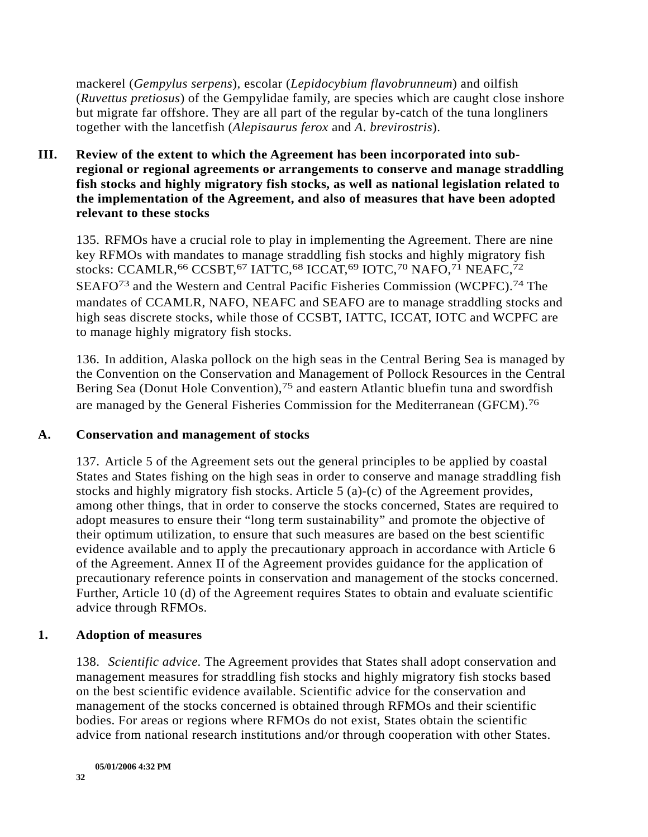mackerel (*Gempylus serpens*), escolar (*Lepidocybium flavobrunneum*) and oilfish (*Ruvettus pretiosus*) of the Gempylidae family, are species which are caught close inshore but migrate far offshore. They are all part of the regular by-catch of the tuna longliners together with the lancetfish (*Alepisaurus ferox* and *A*. *brevirostris*).

#### **III. Review of the extent to which the Agreement has been incorporated into subregional or regional agreements or arrangements to conserve and manage straddling fish stocks and highly migratory fish stocks, as well as national legislation related to the implementation of the Agreement, and also of measures that have been adopted relevant to these stocks**

135. RFMOs have a crucial role to play in implementing the Agreement. There are nine key RFMOs with mandates to manage straddling fish stocks and highly migratory fish stocks: CCAMLR, <sup>66</sup> CCSBT, <sup>67</sup> IATTC, <sup>68</sup> ICCAT, <sup>69</sup> IOTC, <sup>70</sup> NAFO, <sup>71</sup> NEAFC, <sup>72</sup> SEAFO73 and the Western and Central Pacific Fisheries Commission (WCPFC).74 The mandates of CCAMLR, NAFO, NEAFC and SEAFO are to manage straddling stocks and high seas discrete stocks, while those of CCSBT, IATTC, ICCAT, IOTC and WCPFC are to manage highly migratory fish stocks.

136. In addition, Alaska pollock on the high seas in the Central Bering Sea is managed by the Convention on the Conservation and Management of Pollock Resources in the Central Bering Sea (Donut Hole Convention),<sup>75</sup> and eastern Atlantic bluefin tuna and swordfish are managed by the General Fisheries Commission for the Mediterranean (GFCM).76

### **A. Conservation and management of stocks**

137. Article 5 of the Agreement sets out the general principles to be applied by coastal States and States fishing on the high seas in order to conserve and manage straddling fish stocks and highly migratory fish stocks. Article 5 (a)-(c) of the Agreement provides, among other things, that in order to conserve the stocks concerned, States are required to adopt measures to ensure their "long term sustainability" and promote the objective of their optimum utilization, to ensure that such measures are based on the best scientific evidence available and to apply the precautionary approach in accordance with Article 6 of the Agreement. Annex II of the Agreement provides guidance for the application of precautionary reference points in conservation and management of the stocks concerned. Further, Article 10 (d) of the Agreement requires States to obtain and evaluate scientific advice through RFMOs.

### **1. Adoption of measures**

138. *Scientific advice.* The Agreement provides that States shall adopt conservation and management measures for straddling fish stocks and highly migratory fish stocks based on the best scientific evidence available. Scientific advice for the conservation and management of the stocks concerned is obtained through RFMOs and their scientific bodies. For areas or regions where RFMOs do not exist, States obtain the scientific advice from national research institutions and/or through cooperation with other States.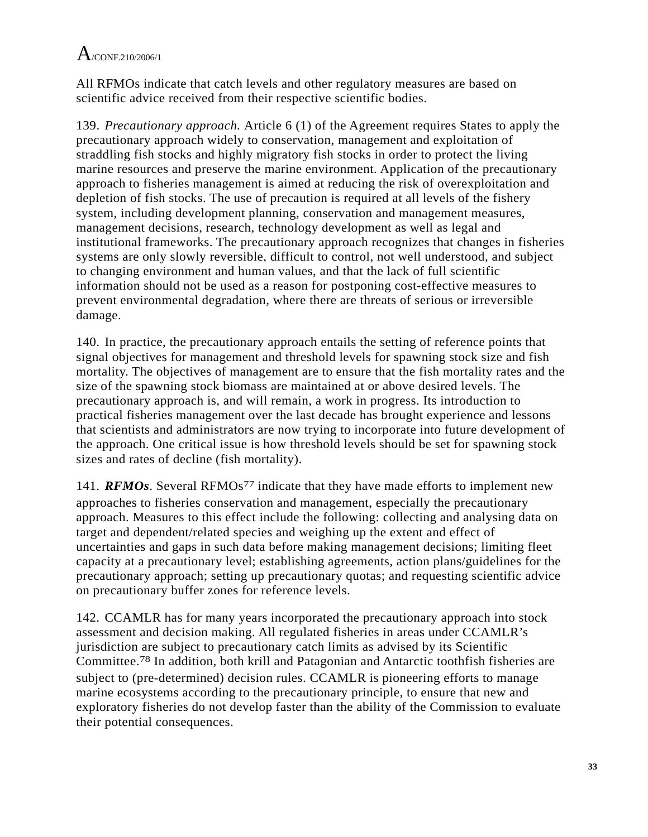All RFMOs indicate that catch levels and other regulatory measures are based on scientific advice received from their respective scientific bodies.

139. *Precautionary approach.* Article 6 (1) of the Agreement requires States to apply the precautionary approach widely to conservation, management and exploitation of straddling fish stocks and highly migratory fish stocks in order to protect the living marine resources and preserve the marine environment. Application of the precautionary approach to fisheries management is aimed at reducing the risk of overexploitation and depletion of fish stocks. The use of precaution is required at all levels of the fishery system, including development planning, conservation and management measures, management decisions, research, technology development as well as legal and institutional frameworks. The precautionary approach recognizes that changes in fisheries systems are only slowly reversible, difficult to control, not well understood, and subject to changing environment and human values, and that the lack of full scientific information should not be used as a reason for postponing cost-effective measures to prevent environmental degradation, where there are threats of serious or irreversible damage.

140. In practice, the precautionary approach entails the setting of reference points that signal objectives for management and threshold levels for spawning stock size and fish mortality. The objectives of management are to ensure that the fish mortality rates and the size of the spawning stock biomass are maintained at or above desired levels. The precautionary approach is, and will remain, a work in progress. Its introduction to practical fisheries management over the last decade has brought experience and lessons that scientists and administrators are now trying to incorporate into future development of the approach. One critical issue is how threshold levels should be set for spawning stock sizes and rates of decline (fish mortality).

141. *RFMOs*. Several RFMOs<sup>77</sup> indicate that they have made efforts to implement new approaches to fisheries conservation and management, especially the precautionary approach. Measures to this effect include the following: collecting and analysing data on target and dependent/related species and weighing up the extent and effect of uncertainties and gaps in such data before making management decisions; limiting fleet capacity at a precautionary level; establishing agreements, action plans/guidelines for the precautionary approach; setting up precautionary quotas; and requesting scientific advice on precautionary buffer zones for reference levels.

142. CCAMLR has for many years incorporated the precautionary approach into stock assessment and decision making. All regulated fisheries in areas under CCAMLR's jurisdiction are subject to precautionary catch limits as advised by its Scientific Committee.78 In addition, both krill and Patagonian and Antarctic toothfish fisheries are subject to (pre-determined) decision rules. CCAMLR is pioneering efforts to manage marine ecosystems according to the precautionary principle, to ensure that new and exploratory fisheries do not develop faster than the ability of the Commission to evaluate their potential consequences.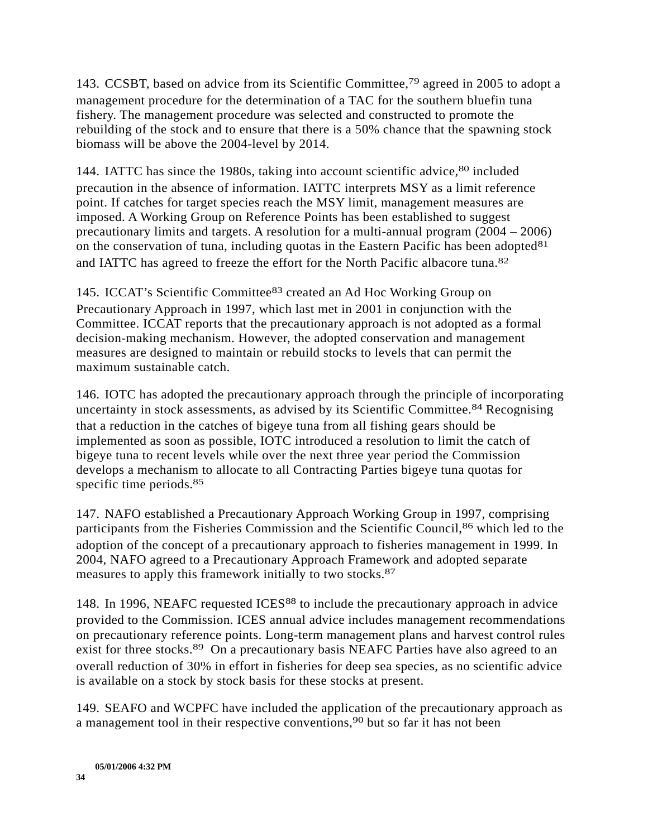143. CCSBT, based on advice from its Scientific Committee,79 agreed in 2005 to adopt a management procedure for the determination of a TAC for the southern bluefin tuna fishery. The management procedure was selected and constructed to promote the rebuilding of the stock and to ensure that there is a 50% chance that the spawning stock biomass will be above the 2004-level by 2014.

144. IATTC has since the 1980s, taking into account scientific advice, <sup>80</sup> included precaution in the absence of information. IATTC interprets MSY as a limit reference point. If catches for target species reach the MSY limit, management measures are imposed. A Working Group on Reference Points has been established to suggest precautionary limits and targets. A resolution for a multi-annual program (2004 – 2006) on the conservation of tuna, including quotas in the Eastern Pacific has been adopted  $81$ and IATTC has agreed to freeze the effort for the North Pacific albacore tuna.82

145. ICCAT's Scientific Committee83 created an Ad Hoc Working Group on Precautionary Approach in 1997, which last met in 2001 in conjunction with the Committee. ICCAT reports that the precautionary approach is not adopted as a formal decision-making mechanism. However, the adopted conservation and management measures are designed to maintain or rebuild stocks to levels that can permit the maximum sustainable catch.

146. IOTC has adopted the precautionary approach through the principle of incorporating uncertainty in stock assessments, as advised by its Scientific Committee.84 Recognising that a reduction in the catches of bigeye tuna from all fishing gears should be implemented as soon as possible, IOTC introduced a resolution to limit the catch of bigeye tuna to recent levels while over the next three year period the Commission develops a mechanism to allocate to all Contracting Parties bigeye tuna quotas for specific time periods.<sup>85</sup>

147. NAFO established a Precautionary Approach Working Group in 1997, comprising participants from the Fisheries Commission and the Scientific Council,<sup>86</sup> which led to the adoption of the concept of a precautionary approach to fisheries management in 1999. In 2004, NAFO agreed to a Precautionary Approach Framework and adopted separate measures to apply this framework initially to two stocks.87

148. In 1996, NEAFC requested ICES88 to include the precautionary approach in advice provided to the Commission. ICES annual advice includes management recommendations on precautionary reference points. Long-term management plans and harvest control rules exist for three stocks.<sup>89</sup> On a precautionary basis NEAFC Parties have also agreed to an overall reduction of 30% in effort in fisheries for deep sea species, as no scientific advice is available on a stock by stock basis for these stocks at present.

149. SEAFO and WCPFC have included the application of the precautionary approach as a management tool in their respective conventions,90 but so far it has not been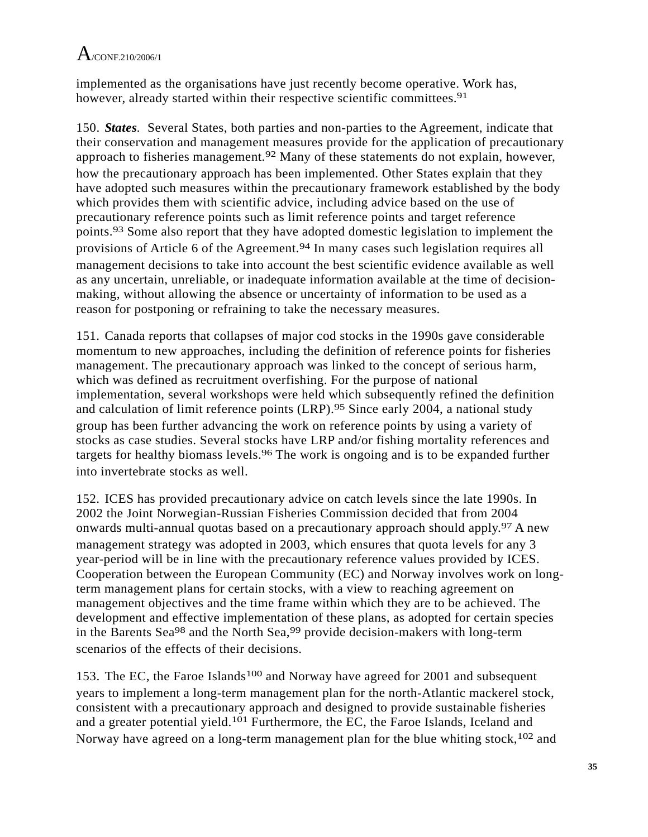implemented as the organisations have just recently become operative. Work has, however, already started within their respective scientific committees.<sup>91</sup>

150. *States.* Several States, both parties and non-parties to the Agreement, indicate that their conservation and management measures provide for the application of precautionary approach to fisheries management.92 Many of these statements do not explain, however, how the precautionary approach has been implemented. Other States explain that they have adopted such measures within the precautionary framework established by the body which provides them with scientific advice, including advice based on the use of precautionary reference points such as limit reference points and target reference points.93 Some also report that they have adopted domestic legislation to implement the provisions of Article 6 of the Agreement.<sup>94</sup> In many cases such legislation requires all management decisions to take into account the best scientific evidence available as well as any uncertain, unreliable, or inadequate information available at the time of decisionmaking, without allowing the absence or uncertainty of information to be used as a reason for postponing or refraining to take the necessary measures.

151. Canada reports that collapses of major cod stocks in the 1990s gave considerable momentum to new approaches, including the definition of reference points for fisheries management. The precautionary approach was linked to the concept of serious harm, which was defined as recruitment overfishing. For the purpose of national implementation, several workshops were held which subsequently refined the definition and calculation of limit reference points (LRP).<sup>95</sup> Since early 2004, a national study group has been further advancing the work on reference points by using a variety of stocks as case studies. Several stocks have LRP and/or fishing mortality references and targets for healthy biomass levels.<sup>96</sup> The work is ongoing and is to be expanded further into invertebrate stocks as well.

152. ICES has provided precautionary advice on catch levels since the late 1990s. In 2002 the Joint Norwegian-Russian Fisheries Commission decided that from 2004 onwards multi-annual quotas based on a precautionary approach should apply.97 A new management strategy was adopted in 2003, which ensures that quota levels for any 3 year-period will be in line with the precautionary reference values provided by ICES. Cooperation between the European Community (EC) and Norway involves work on longterm management plans for certain stocks, with a view to reaching agreement on management objectives and the time frame within which they are to be achieved. The development and effective implementation of these plans, as adopted for certain species in the Barents Sea<sup>98</sup> and the North Sea,<sup>99</sup> provide decision-makers with long-term scenarios of the effects of their decisions.

153. The EC, the Faroe Islands<sup>100</sup> and Norway have agreed for 2001 and subsequent years to implement a long-term management plan for the north-Atlantic mackerel stock, consistent with a precautionary approach and designed to provide sustainable fisheries and a greater potential yield.101 Furthermore, the EC, the Faroe Islands, Iceland and Norway have agreed on a long-term management plan for the blue whiting stock,<sup>102</sup> and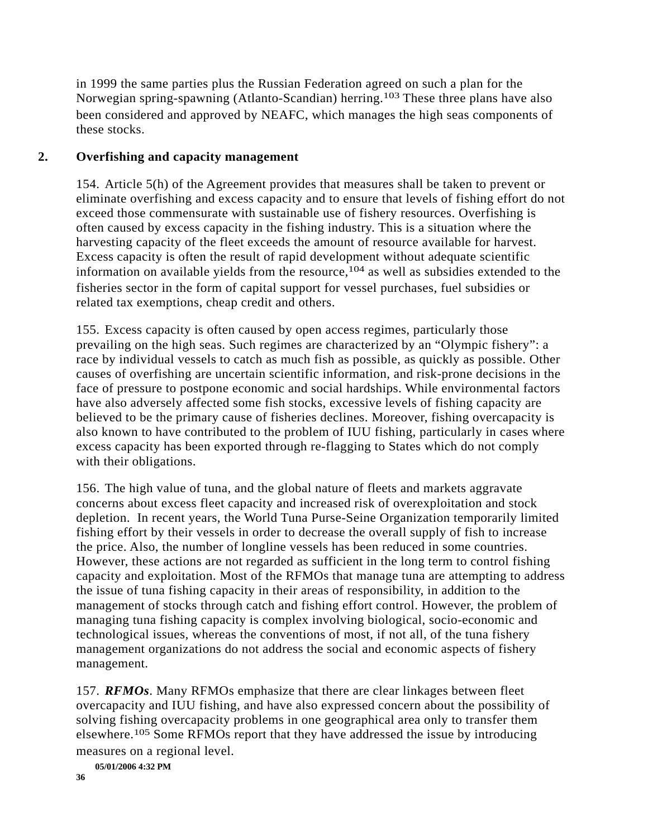in 1999 the same parties plus the Russian Federation agreed on such a plan for the Norwegian spring-spawning (Atlanto-Scandian) herring.103 These three plans have also been considered and approved by NEAFC, which manages the high seas components of these stocks.

## **2. Overfishing and capacity management**

154. Article 5(h) of the Agreement provides that measures shall be taken to prevent or eliminate overfishing and excess capacity and to ensure that levels of fishing effort do not exceed those commensurate with sustainable use of fishery resources. Overfishing is often caused by excess capacity in the fishing industry. This is a situation where the harvesting capacity of the fleet exceeds the amount of resource available for harvest. Excess capacity is often the result of rapid development without adequate scientific information on available yields from the resource,<sup>104</sup> as well as subsidies extended to the fisheries sector in the form of capital support for vessel purchases, fuel subsidies or related tax exemptions, cheap credit and others.

155. Excess capacity is often caused by open access regimes, particularly those prevailing on the high seas. Such regimes are characterized by an "Olympic fishery": a race by individual vessels to catch as much fish as possible, as quickly as possible. Other causes of overfishing are uncertain scientific information, and risk-prone decisions in the face of pressure to postpone economic and social hardships. While environmental factors have also adversely affected some fish stocks, excessive levels of fishing capacity are believed to be the primary cause of fisheries declines. Moreover, fishing overcapacity is also known to have contributed to the problem of IUU fishing, particularly in cases where excess capacity has been exported through re-flagging to States which do not comply with their obligations.

156. The high value of tuna, and the global nature of fleets and markets aggravate concerns about excess fleet capacity and increased risk of overexploitation and stock depletion. In recent years, the World Tuna Purse-Seine Organization temporarily limited fishing effort by their vessels in order to decrease the overall supply of fish to increase the price. Also, the number of longline vessels has been reduced in some countries. However, these actions are not regarded as sufficient in the long term to control fishing capacity and exploitation. Most of the RFMOs that manage tuna are attempting to address the issue of tuna fishing capacity in their areas of responsibility, in addition to the management of stocks through catch and fishing effort control. However, the problem of managing tuna fishing capacity is complex involving biological, socio-economic and technological issues, whereas the conventions of most, if not all, of the tuna fishery management organizations do not address the social and economic aspects of fishery management.

157. *RFMOs*. Many RFMOs emphasize that there are clear linkages between fleet overcapacity and IUU fishing, and have also expressed concern about the possibility of solving fishing overcapacity problems in one geographical area only to transfer them elsewhere.105 Some RFMOs report that they have addressed the issue by introducing measures on a regional level.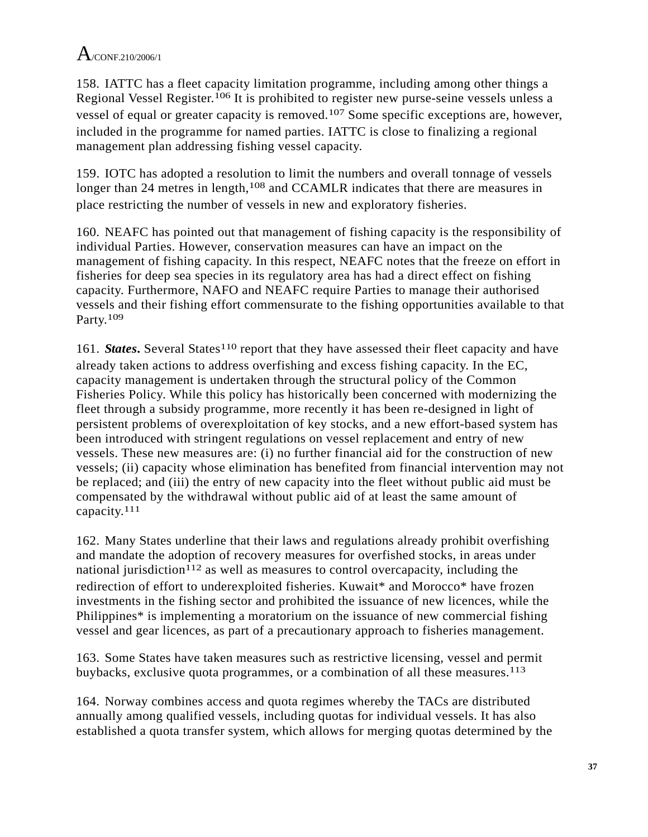158. IATTC has a fleet capacity limitation programme, including among other things a Regional Vessel Register.106 It is prohibited to register new purse-seine vessels unless a vessel of equal or greater capacity is removed.107 Some specific exceptions are, however, included in the programme for named parties. IATTC is close to finalizing a regional management plan addressing fishing vessel capacity.

159. IOTC has adopted a resolution to limit the numbers and overall tonnage of vessels longer than 24 metres in length,<sup>108</sup> and CCAMLR indicates that there are measures in place restricting the number of vessels in new and exploratory fisheries.

160. NEAFC has pointed out that management of fishing capacity is the responsibility of individual Parties. However, conservation measures can have an impact on the management of fishing capacity. In this respect, NEAFC notes that the freeze on effort in fisheries for deep sea species in its regulatory area has had a direct effect on fishing capacity. Furthermore, NAFO and NEAFC require Parties to manage their authorised vessels and their fishing effort commensurate to the fishing opportunities available to that Party.109

161. *States***.** Several States<sup>110</sup> report that they have assessed their fleet capacity and have already taken actions to address overfishing and excess fishing capacity. In the EC, capacity management is undertaken through the structural policy of the Common Fisheries Policy. While this policy has historically been concerned with modernizing the fleet through a subsidy programme, more recently it has been re-designed in light of persistent problems of overexploitation of key stocks, and a new effort-based system has been introduced with stringent regulations on vessel replacement and entry of new vessels. These new measures are: (i) no further financial aid for the construction of new vessels; (ii) capacity whose elimination has benefited from financial intervention may not be replaced; and (iii) the entry of new capacity into the fleet without public aid must be compensated by the withdrawal without public aid of at least the same amount of capacity.111

162. Many States underline that their laws and regulations already prohibit overfishing and mandate the adoption of recovery measures for overfished stocks, in areas under national jurisdiction<sup>112</sup> as well as measures to control overcapacity, including the redirection of effort to underexploited fisheries. Kuwait\* and Morocco\* have frozen investments in the fishing sector and prohibited the issuance of new licences, while the Philippines\* is implementing a moratorium on the issuance of new commercial fishing vessel and gear licences, as part of a precautionary approach to fisheries management.

163. Some States have taken measures such as restrictive licensing, vessel and permit buybacks, exclusive quota programmes, or a combination of all these measures.<sup>113</sup>

164. Norway combines access and quota regimes whereby the TACs are distributed annually among qualified vessels, including quotas for individual vessels. It has also established a quota transfer system, which allows for merging quotas determined by the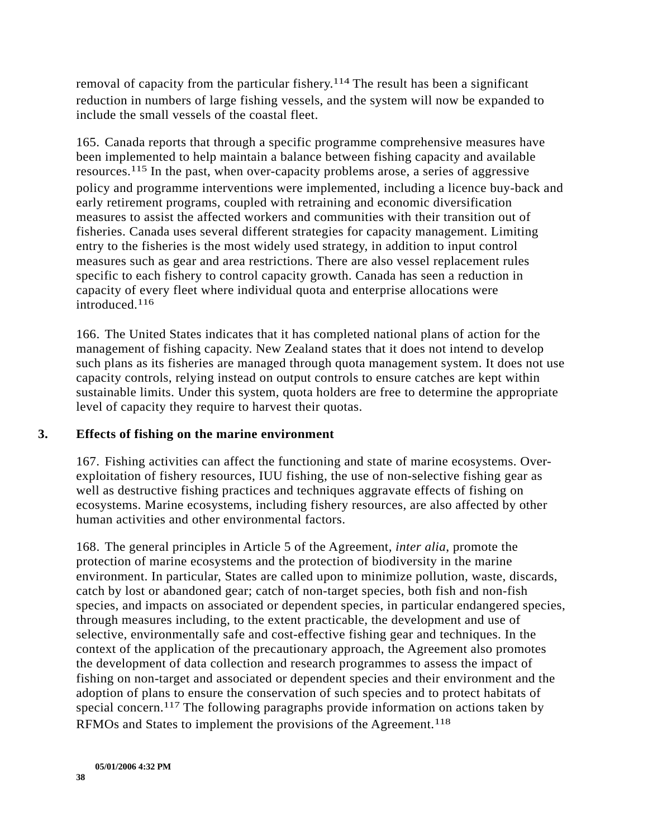removal of capacity from the particular fishery.114 The result has been a significant reduction in numbers of large fishing vessels, and the system will now be expanded to include the small vessels of the coastal fleet.

165. Canada reports that through a specific programme comprehensive measures have been implemented to help maintain a balance between fishing capacity and available resources.115 In the past, when over-capacity problems arose, a series of aggressive policy and programme interventions were implemented, including a licence buy-back and early retirement programs, coupled with retraining and economic diversification measures to assist the affected workers and communities with their transition out of fisheries. Canada uses several different strategies for capacity management. Limiting entry to the fisheries is the most widely used strategy, in addition to input control measures such as gear and area restrictions. There are also vessel replacement rules specific to each fishery to control capacity growth. Canada has seen a reduction in capacity of every fleet where individual quota and enterprise allocations were introduced.116

166. The United States indicates that it has completed national plans of action for the management of fishing capacity. New Zealand states that it does not intend to develop such plans as its fisheries are managed through quota management system. It does not use capacity controls, relying instead on output controls to ensure catches are kept within sustainable limits. Under this system, quota holders are free to determine the appropriate level of capacity they require to harvest their quotas.

#### **3. Effects of fishing on the marine environment**

167. Fishing activities can affect the functioning and state of marine ecosystems. Overexploitation of fishery resources, IUU fishing, the use of non-selective fishing gear as well as destructive fishing practices and techniques aggravate effects of fishing on ecosystems. Marine ecosystems, including fishery resources, are also affected by other human activities and other environmental factors.

168. The general principles in Article 5 of the Agreement, *inter alia*, promote the protection of marine ecosystems and the protection of biodiversity in the marine environment. In particular, States are called upon to minimize pollution, waste, discards, catch by lost or abandoned gear; catch of non-target species, both fish and non-fish species, and impacts on associated or dependent species, in particular endangered species, through measures including, to the extent practicable, the development and use of selective, environmentally safe and cost-effective fishing gear and techniques. In the context of the application of the precautionary approach, the Agreement also promotes the development of data collection and research programmes to assess the impact of fishing on non-target and associated or dependent species and their environment and the adoption of plans to ensure the conservation of such species and to protect habitats of special concern.117 The following paragraphs provide information on actions taken by RFMOs and States to implement the provisions of the Agreement.118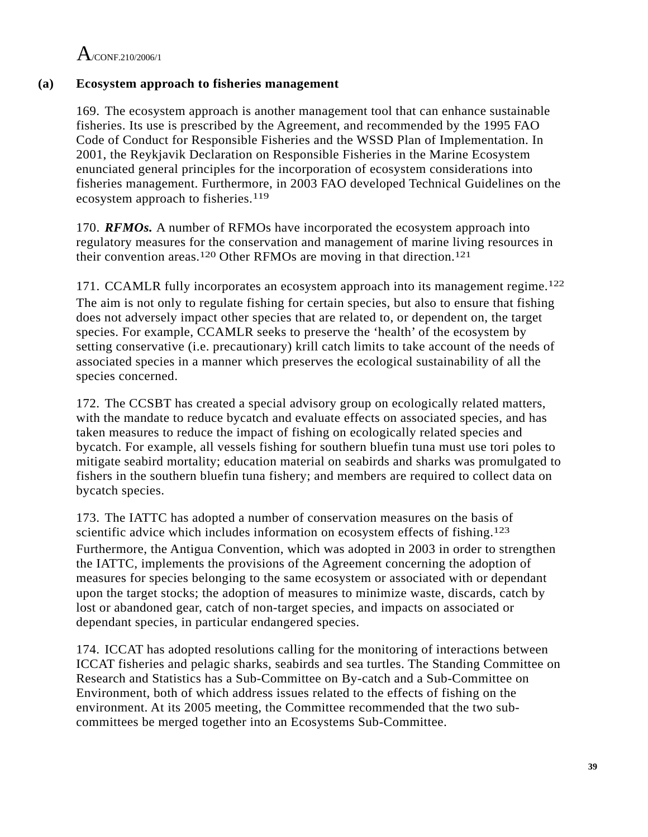### **(a) Ecosystem approach to fisheries management**

169. The ecosystem approach is another management tool that can enhance sustainable fisheries. Its use is prescribed by the Agreement, and recommended by the 1995 FAO Code of Conduct for Responsible Fisheries and the WSSD Plan of Implementation. In 2001, the Reykjavik Declaration on Responsible Fisheries in the Marine Ecosystem enunciated general principles for the incorporation of ecosystem considerations into fisheries management. Furthermore, in 2003 FAO developed Technical Guidelines on the ecosystem approach to fisheries.<sup>119</sup>

170. *RFMOs.* A number of RFMOs have incorporated the ecosystem approach into regulatory measures for the conservation and management of marine living resources in their convention areas.120 Other RFMOs are moving in that direction.121

171. CCAMLR fully incorporates an ecosystem approach into its management regime.122 The aim is not only to regulate fishing for certain species, but also to ensure that fishing does not adversely impact other species that are related to, or dependent on, the target species. For example, CCAMLR seeks to preserve the 'health' of the ecosystem by setting conservative (i.e. precautionary) krill catch limits to take account of the needs of associated species in a manner which preserves the ecological sustainability of all the species concerned.

172. The CCSBT has created a special advisory group on ecologically related matters, with the mandate to reduce bycatch and evaluate effects on associated species, and has taken measures to reduce the impact of fishing on ecologically related species and bycatch. For example, all vessels fishing for southern bluefin tuna must use tori poles to mitigate seabird mortality; education material on seabirds and sharks was promulgated to fishers in the southern bluefin tuna fishery; and members are required to collect data on bycatch species.

173. The IATTC has adopted a number of conservation measures on the basis of scientific advice which includes information on ecosystem effects of fishing.<sup>123</sup> Furthermore, the Antigua Convention, which was adopted in 2003 in order to strengthen the IATTC, implements the provisions of the Agreement concerning the adoption of measures for species belonging to the same ecosystem or associated with or dependant upon the target stocks; the adoption of measures to minimize waste, discards, catch by lost or abandoned gear, catch of non-target species, and impacts on associated or dependant species, in particular endangered species.

174. ICCAT has adopted resolutions calling for the monitoring of interactions between ICCAT fisheries and pelagic sharks, seabirds and sea turtles. The Standing Committee on Research and Statistics has a Sub-Committee on By-catch and a Sub-Committee on Environment, both of which address issues related to the effects of fishing on the environment. At its 2005 meeting, the Committee recommended that the two subcommittees be merged together into an Ecosystems Sub-Committee.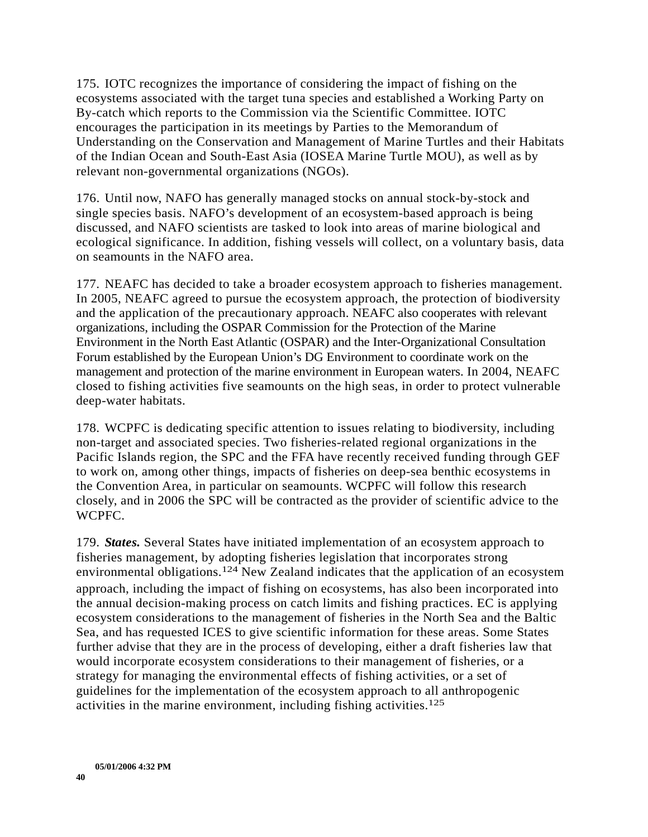175. IOTC recognizes the importance of considering the impact of fishing on the ecosystems associated with the target tuna species and established a Working Party on By-catch which reports to the Commission via the Scientific Committee. IOTC encourages the participation in its meetings by Parties to the Memorandum of Understanding on the Conservation and Management of Marine Turtles and their Habitats of the Indian Ocean and South-East Asia (IOSEA Marine Turtle MOU), as well as by relevant non-governmental organizations (NGOs).

176. Until now, NAFO has generally managed stocks on annual stock-by-stock and single species basis. NAFO's development of an ecosystem-based approach is being discussed, and NAFO scientists are tasked to look into areas of marine biological and ecological significance. In addition, fishing vessels will collect, on a voluntary basis, data on seamounts in the NAFO area.

177. NEAFC has decided to take a broader ecosystem approach to fisheries management. In 2005, NEAFC agreed to pursue the ecosystem approach, the protection of biodiversity and the application of the precautionary approach. NEAFC also cooperates with relevant organizations, including the OSPAR Commission for the Protection of the Marine Environment in the North East Atlantic (OSPAR) and the Inter-Organizational Consultation Forum established by the European Union's DG Environment to coordinate work on the management and protection of the marine environment in European waters. In 2004, NEAFC closed to fishing activities five seamounts on the high seas, in order to protect vulnerable deep-water habitats.

178. WCPFC is dedicating specific attention to issues relating to biodiversity, including non-target and associated species. Two fisheries-related regional organizations in the Pacific Islands region, the SPC and the FFA have recently received funding through GEF to work on, among other things, impacts of fisheries on deep-sea benthic ecosystems in the Convention Area, in particular on seamounts. WCPFC will follow this research closely, and in 2006 the SPC will be contracted as the provider of scientific advice to the WCPFC.

179. *States.* Several States have initiated implementation of an ecosystem approach to fisheries management, by adopting fisheries legislation that incorporates strong environmental obligations.124 New Zealand indicates that the application of an ecosystem approach, including the impact of fishing on ecosystems, has also been incorporated into the annual decision-making process on catch limits and fishing practices. EC is applying ecosystem considerations to the management of fisheries in the North Sea and the Baltic Sea, and has requested ICES to give scientific information for these areas. Some States further advise that they are in the process of developing, either a draft fisheries law that would incorporate ecosystem considerations to their management of fisheries, or a strategy for managing the environmental effects of fishing activities, or a set of guidelines for the implementation of the ecosystem approach to all anthropogenic activities in the marine environment, including fishing activities.125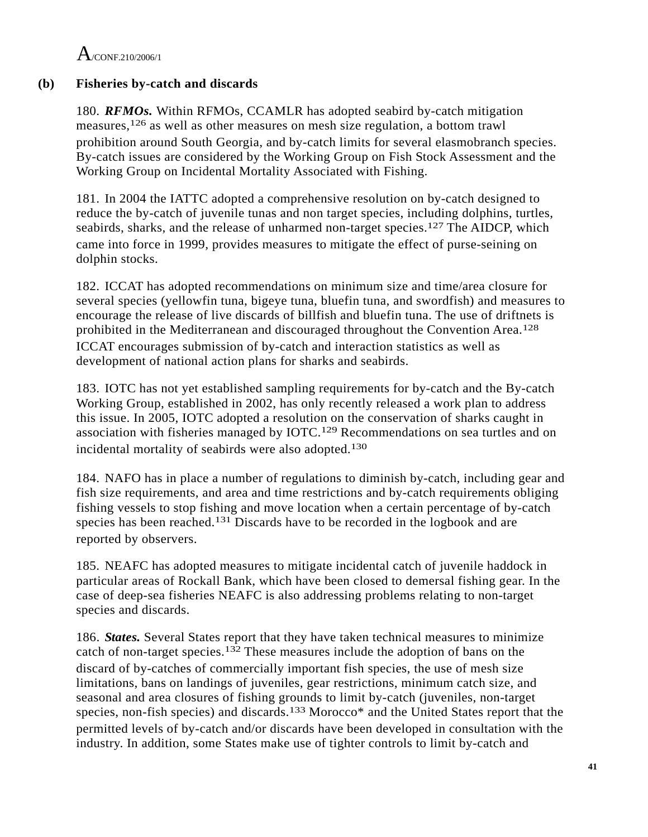### **(b) Fisheries by-catch and discards**

180. *RFMOs.* Within RFMOs, CCAMLR has adopted seabird by-catch mitigation measures,126 as well as other measures on mesh size regulation, a bottom trawl prohibition around South Georgia, and by-catch limits for several elasmobranch species. By-catch issues are considered by the Working Group on Fish Stock Assessment and the Working Group on Incidental Mortality Associated with Fishing.

181. In 2004 the IATTC adopted a comprehensive resolution on by-catch designed to reduce the by-catch of juvenile tunas and non target species, including dolphins, turtles, seabirds, sharks, and the release of unharmed non-target species.<sup>127</sup> The AIDCP, which came into force in 1999, provides measures to mitigate the effect of purse-seining on dolphin stocks.

182. ICCAT has adopted recommendations on minimum size and time/area closure for several species (yellowfin tuna, bigeye tuna, bluefin tuna, and swordfish) and measures to encourage the release of live discards of billfish and bluefin tuna. The use of driftnets is prohibited in the Mediterranean and discouraged throughout the Convention Area.128 ICCAT encourages submission of by-catch and interaction statistics as well as development of national action plans for sharks and seabirds.

183. IOTC has not yet established sampling requirements for by-catch and the By-catch Working Group, established in 2002, has only recently released a work plan to address this issue. In 2005, IOTC adopted a resolution on the conservation of sharks caught in association with fisheries managed by IOTC.129 Recommendations on sea turtles and on incidental mortality of seabirds were also adopted.130

184. NAFO has in place a number of regulations to diminish by-catch, including gear and fish size requirements, and area and time restrictions and by-catch requirements obliging fishing vessels to stop fishing and move location when a certain percentage of by-catch species has been reached.131 Discards have to be recorded in the logbook and are reported by observers.

185. NEAFC has adopted measures to mitigate incidental catch of juvenile haddock in particular areas of Rockall Bank, which have been closed to demersal fishing gear. In the case of deep-sea fisheries NEAFC is also addressing problems relating to non-target species and discards.

186. *States.* Several States report that they have taken technical measures to minimize catch of non-target species.132 These measures include the adoption of bans on the discard of by-catches of commercially important fish species, the use of mesh size limitations, bans on landings of juveniles, gear restrictions, minimum catch size, and seasonal and area closures of fishing grounds to limit by-catch (juveniles, non-target species, non-fish species) and discards.<sup>133</sup> Morocco\* and the United States report that the permitted levels of by-catch and/or discards have been developed in consultation with the industry. In addition, some States make use of tighter controls to limit by-catch and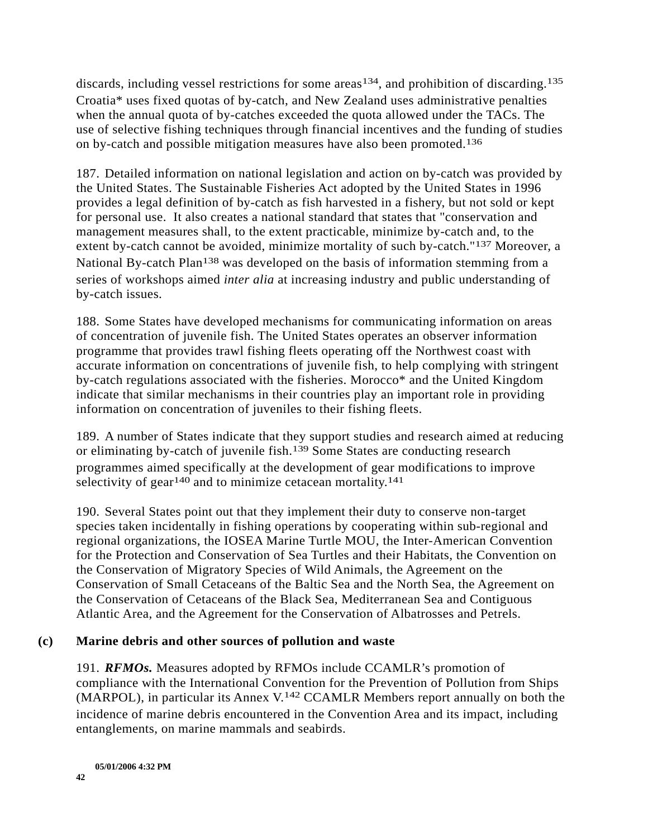discards, including vessel restrictions for some areas<sup>134</sup>, and prohibition of discarding.<sup>135</sup> Croatia\* uses fixed quotas of by-catch, and New Zealand uses administrative penalties when the annual quota of by-catches exceeded the quota allowed under the TACs. The use of selective fishing techniques through financial incentives and the funding of studies on by-catch and possible mitigation measures have also been promoted.136

187. Detailed information on national legislation and action on by-catch was provided by the United States. The Sustainable Fisheries Act adopted by the United States in 1996 provides a legal definition of by-catch as fish harvested in a fishery, but not sold or kept for personal use. It also creates a national standard that states that "conservation and management measures shall, to the extent practicable, minimize by-catch and, to the extent by-catch cannot be avoided, minimize mortality of such by-catch."137 Moreover, a National By-catch Plan<sup>138</sup> was developed on the basis of information stemming from a series of workshops aimed *inter alia* at increasing industry and public understanding of by-catch issues.

188. Some States have developed mechanisms for communicating information on areas of concentration of juvenile fish. The United States operates an observer information programme that provides trawl fishing fleets operating off the Northwest coast with accurate information on concentrations of juvenile fish, to help complying with stringent by-catch regulations associated with the fisheries. Morocco\* and the United Kingdom indicate that similar mechanisms in their countries play an important role in providing information on concentration of juveniles to their fishing fleets.

189. A number of States indicate that they support studies and research aimed at reducing or eliminating by-catch of juvenile fish.139 Some States are conducting research programmes aimed specifically at the development of gear modifications to improve selectivity of gear<sup>140</sup> and to minimize cetacean mortality.<sup>141</sup>

190. Several States point out that they implement their duty to conserve non-target species taken incidentally in fishing operations by cooperating within sub-regional and regional organizations, the IOSEA Marine Turtle MOU, the Inter-American Convention for the Protection and Conservation of Sea Turtles and their Habitats, the Convention on the Conservation of Migratory Species of Wild Animals, the Agreement on the Conservation of Small Cetaceans of the Baltic Sea and the North Sea, the Agreement on the Conservation of Cetaceans of the Black Sea, Mediterranean Sea and Contiguous Atlantic Area, and the Agreement for the Conservation of Albatrosses and Petrels.

### **(c) Marine debris and other sources of pollution and waste**

191. *RFMOs.* Measures adopted by RFMOs include CCAMLR's promotion of compliance with the International Convention for the Prevention of Pollution from Ships (MARPOL), in particular its Annex V.142 CCAMLR Members report annually on both the incidence of marine debris encountered in the Convention Area and its impact, including entanglements, on marine mammals and seabirds.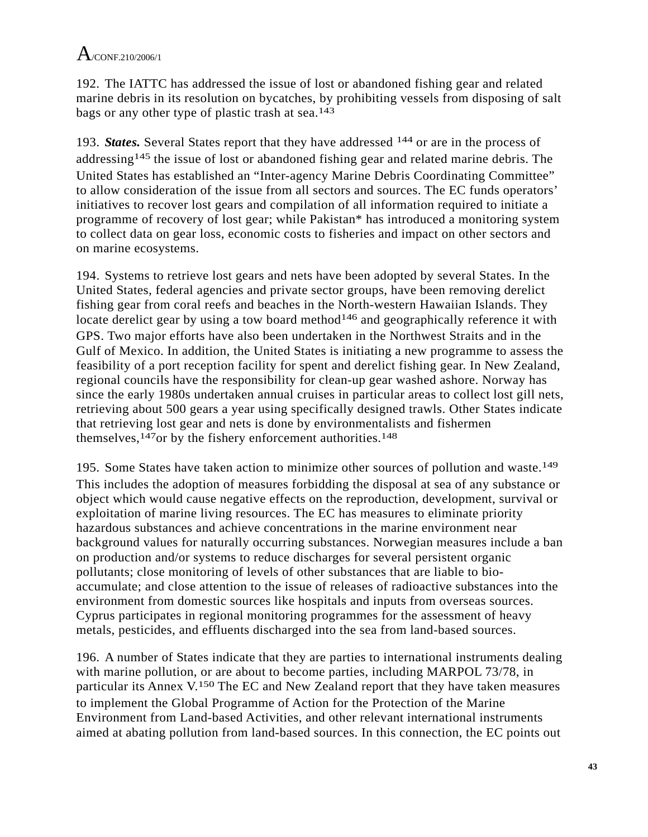192. The IATTC has addressed the issue of lost or abandoned fishing gear and related marine debris in its resolution on bycatches, by prohibiting vessels from disposing of salt bags or any other type of plastic trash at sea.143

193. *States.* Several States report that they have addressed 144 or are in the process of addressing<sup>145</sup> the issue of lost or abandoned fishing gear and related marine debris. The United States has established an "Inter-agency Marine Debris Coordinating Committee" to allow consideration of the issue from all sectors and sources. The EC funds operators' initiatives to recover lost gears and compilation of all information required to initiate a programme of recovery of lost gear; while Pakistan\* has introduced a monitoring system to collect data on gear loss, economic costs to fisheries and impact on other sectors and on marine ecosystems.

194. Systems to retrieve lost gears and nets have been adopted by several States. In the United States, federal agencies and private sector groups, have been removing derelict fishing gear from coral reefs and beaches in the North-western Hawaiian Islands. They locate derelict gear by using a tow board method<sup>146</sup> and geographically reference it with GPS. Two major efforts have also been undertaken in the Northwest Straits and in the Gulf of Mexico. In addition, the United States is initiating a new programme to assess the feasibility of a port reception facility for spent and derelict fishing gear. In New Zealand, regional councils have the responsibility for clean-up gear washed ashore. Norway has since the early 1980s undertaken annual cruises in particular areas to collect lost gill nets, retrieving about 500 gears a year using specifically designed trawls. Other States indicate that retrieving lost gear and nets is done by environmentalists and fishermen themselves,<sup>147</sup>or by the fishery enforcement authorities.<sup>148</sup>

195. Some States have taken action to minimize other sources of pollution and waste.149 This includes the adoption of measures forbidding the disposal at sea of any substance or object which would cause negative effects on the reproduction, development, survival or exploitation of marine living resources. The EC has measures to eliminate priority hazardous substances and achieve concentrations in the marine environment near background values for naturally occurring substances. Norwegian measures include a ban on production and/or systems to reduce discharges for several persistent organic pollutants; close monitoring of levels of other substances that are liable to bioaccumulate; and close attention to the issue of releases of radioactive substances into the environment from domestic sources like hospitals and inputs from overseas sources. Cyprus participates in regional monitoring programmes for the assessment of heavy metals, pesticides, and effluents discharged into the sea from land-based sources.

196. A number of States indicate that they are parties to international instruments dealing with marine pollution, or are about to become parties, including MARPOL 73/78, in particular its Annex V.150 The EC and New Zealand report that they have taken measures to implement the Global Programme of Action for the Protection of the Marine Environment from Land-based Activities, and other relevant international instruments aimed at abating pollution from land-based sources. In this connection, the EC points out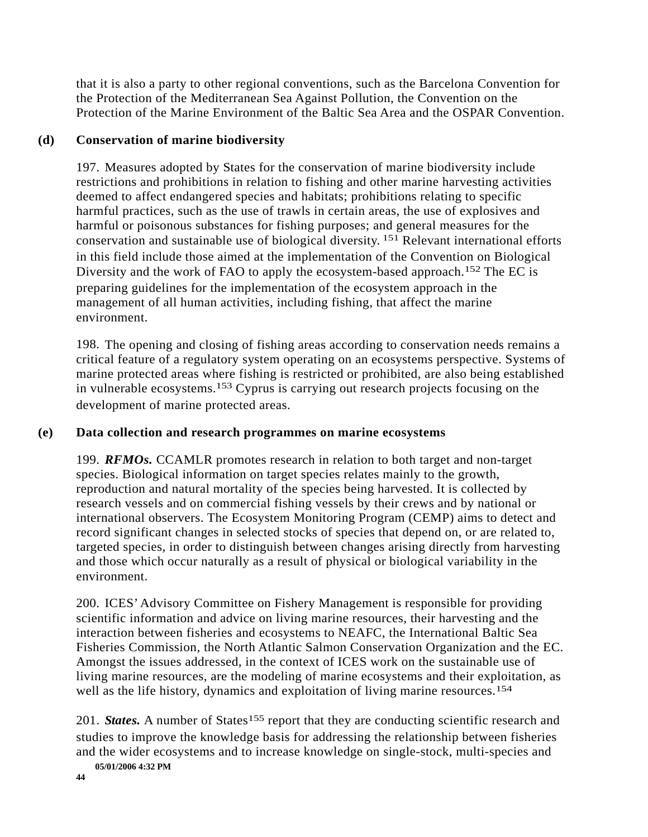that it is also a party to other regional conventions, such as the Barcelona Convention for the Protection of the Mediterranean Sea Against Pollution, the Convention on the Protection of the Marine Environment of the Baltic Sea Area and the OSPAR Convention.

### **(d) Conservation of marine biodiversity**

197. Measures adopted by States for the conservation of marine biodiversity include restrictions and prohibitions in relation to fishing and other marine harvesting activities deemed to affect endangered species and habitats; prohibitions relating to specific harmful practices, such as the use of trawls in certain areas, the use of explosives and harmful or poisonous substances for fishing purposes; and general measures for the conservation and sustainable use of biological diversity. 151 Relevant international efforts in this field include those aimed at the implementation of the Convention on Biological Diversity and the work of FAO to apply the ecosystem-based approach.152 The EC is preparing guidelines for the implementation of the ecosystem approach in the management of all human activities, including fishing, that affect the marine environment.

198. The opening and closing of fishing areas according to conservation needs remains a critical feature of a regulatory system operating on an ecosystems perspective. Systems of marine protected areas where fishing is restricted or prohibited, are also being established in vulnerable ecosystems.153 Cyprus is carrying out research projects focusing on the development of marine protected areas.

### **(e) Data collection and research programmes on marine ecosystems**

199. *RFMOs.* CCAMLR promotes research in relation to both target and non-target species. Biological information on target species relates mainly to the growth, reproduction and natural mortality of the species being harvested. It is collected by research vessels and on commercial fishing vessels by their crews and by national or international observers. The Ecosystem Monitoring Program (CEMP) aims to detect and record significant changes in selected stocks of species that depend on, or are related to, targeted species, in order to distinguish between changes arising directly from harvesting and those which occur naturally as a result of physical or biological variability in the environment.

200. ICES' Advisory Committee on Fishery Management is responsible for providing scientific information and advice on living marine resources, their harvesting and the interaction between fisheries and ecosystems to NEAFC, the International Baltic Sea Fisheries Commission, the North Atlantic Salmon Conservation Organization and the EC. Amongst the issues addressed, in the context of ICES work on the sustainable use of living marine resources, are the modeling of marine ecosystems and their exploitation, as well as the life history, dynamics and exploitation of living marine resources.<sup>154</sup>

201. *States*. A number of States<sup>155</sup> report that they are conducting scientific research and studies to improve the knowledge basis for addressing the relationship between fisheries and the wider ecosystems and to increase knowledge on single-stock, multi-species and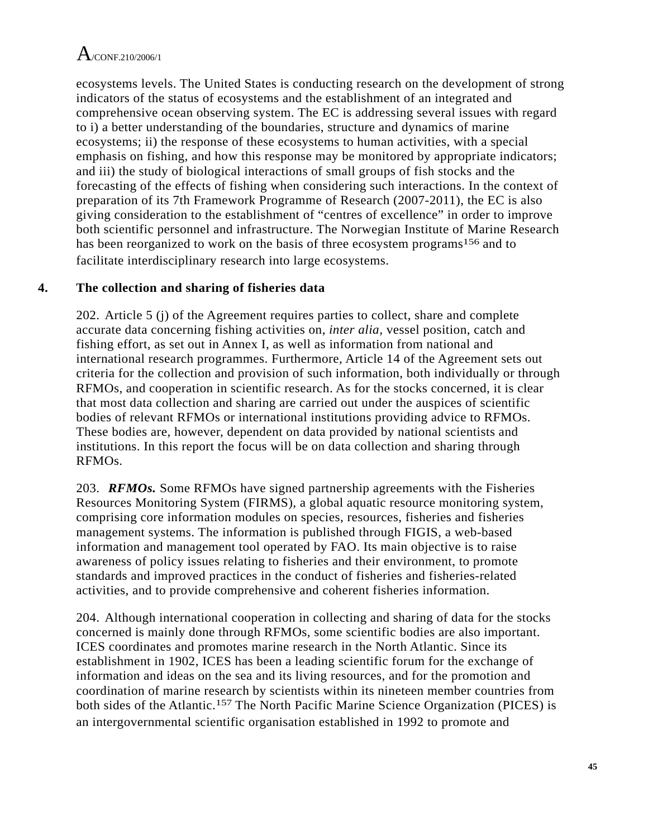ecosystems levels. The United States is conducting research on the development of strong indicators of the status of ecosystems and the establishment of an integrated and comprehensive ocean observing system. The EC is addressing several issues with regard to i) a better understanding of the boundaries, structure and dynamics of marine ecosystems; ii) the response of these ecosystems to human activities, with a special emphasis on fishing, and how this response may be monitored by appropriate indicators; and iii) the study of biological interactions of small groups of fish stocks and the forecasting of the effects of fishing when considering such interactions. In the context of preparation of its 7th Framework Programme of Research (2007-2011), the EC is also giving consideration to the establishment of "centres of excellence" in order to improve both scientific personnel and infrastructure. The Norwegian Institute of Marine Research has been reorganized to work on the basis of three ecosystem programs<sup>156</sup> and to facilitate interdisciplinary research into large ecosystems.

### **4. The collection and sharing of fisheries data**

202. Article 5 (j) of the Agreement requires parties to collect, share and complete accurate data concerning fishing activities on, *inter alia,* vessel position, catch and fishing effort, as set out in Annex I, as well as information from national and international research programmes. Furthermore, Article 14 of the Agreement sets out criteria for the collection and provision of such information, both individually or through RFMOs, and cooperation in scientific research. As for the stocks concerned, it is clear that most data collection and sharing are carried out under the auspices of scientific bodies of relevant RFMOs or international institutions providing advice to RFMOs. These bodies are, however, dependent on data provided by national scientists and institutions. In this report the focus will be on data collection and sharing through RFMOs.

203. *RFMOs.* Some RFMOs have signed partnership agreements with the Fisheries Resources Monitoring System (FIRMS), a global aquatic resource monitoring system, comprising core information modules on species, resources, fisheries and fisheries management systems. The information is published through FIGIS, a web-based information and management tool operated by FAO. Its main objective is to raise awareness of policy issues relating to fisheries and their environment, to promote standards and improved practices in the conduct of fisheries and fisheries-related activities, and to provide comprehensive and coherent fisheries information.

204. Although international cooperation in collecting and sharing of data for the stocks concerned is mainly done through RFMOs, some scientific bodies are also important. ICES coordinates and promotes marine research in the North Atlantic. Since its establishment in 1902, ICES has been a leading scientific forum for the exchange of information and ideas on the sea and its living resources, and for the promotion and coordination of marine research by scientists within its nineteen member countries from both sides of the Atlantic.157 The North Pacific Marine Science Organization (PICES) is an intergovernmental scientific organisation established in 1992 to promote and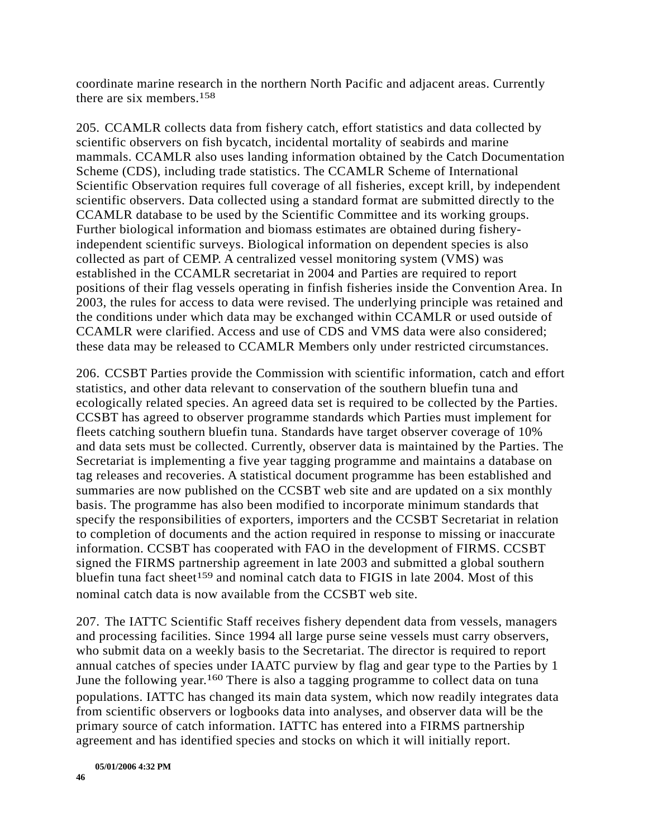coordinate marine research in the northern North Pacific and adjacent areas. Currently there are six members.158

205. CCAMLR collects data from fishery catch, effort statistics and data collected by scientific observers on fish bycatch, incidental mortality of seabirds and marine mammals. CCAMLR also uses landing information obtained by the Catch Documentation Scheme (CDS), including trade statistics. The CCAMLR Scheme of International Scientific Observation requires full coverage of all fisheries, except krill, by independent scientific observers. Data collected using a standard format are submitted directly to the CCAMLR database to be used by the Scientific Committee and its working groups. Further biological information and biomass estimates are obtained during fisheryindependent scientific surveys. Biological information on dependent species is also collected as part of CEMP. A centralized vessel monitoring system (VMS) was established in the CCAMLR secretariat in 2004 and Parties are required to report positions of their flag vessels operating in finfish fisheries inside the Convention Area. In 2003, the rules for access to data were revised. The underlying principle was retained and the conditions under which data may be exchanged within CCAMLR or used outside of CCAMLR were clarified. Access and use of CDS and VMS data were also considered; these data may be released to CCAMLR Members only under restricted circumstances.

206. CCSBT Parties provide the Commission with scientific information, catch and effort statistics, and other data relevant to conservation of the southern bluefin tuna and ecologically related species. An agreed data set is required to be collected by the Parties. CCSBT has agreed to observer programme standards which Parties must implement for fleets catching southern bluefin tuna. Standards have target observer coverage of 10% and data sets must be collected. Currently, observer data is maintained by the Parties. The Secretariat is implementing a five year tagging programme and maintains a database on tag releases and recoveries. A statistical document programme has been established and summaries are now published on the CCSBT web site and are updated on a six monthly basis. The programme has also been modified to incorporate minimum standards that specify the responsibilities of exporters, importers and the CCSBT Secretariat in relation to completion of documents and the action required in response to missing or inaccurate information. CCSBT has cooperated with FAO in the development of FIRMS. CCSBT signed the FIRMS partnership agreement in late 2003 and submitted a global southern bluefin tuna fact sheet<sup>159</sup> and nominal catch data to FIGIS in late 2004. Most of this nominal catch data is now available from the CCSBT web site.

207. The IATTC Scientific Staff receives fishery dependent data from vessels, managers and processing facilities. Since 1994 all large purse seine vessels must carry observers, who submit data on a weekly basis to the Secretariat. The director is required to report annual catches of species under IAATC purview by flag and gear type to the Parties by 1 June the following year.<sup>160</sup> There is also a tagging programme to collect data on tuna populations. IATTC has changed its main data system, which now readily integrates data from scientific observers or logbooks data into analyses, and observer data will be the primary source of catch information. IATTC has entered into a FIRMS partnership agreement and has identified species and stocks on which it will initially report.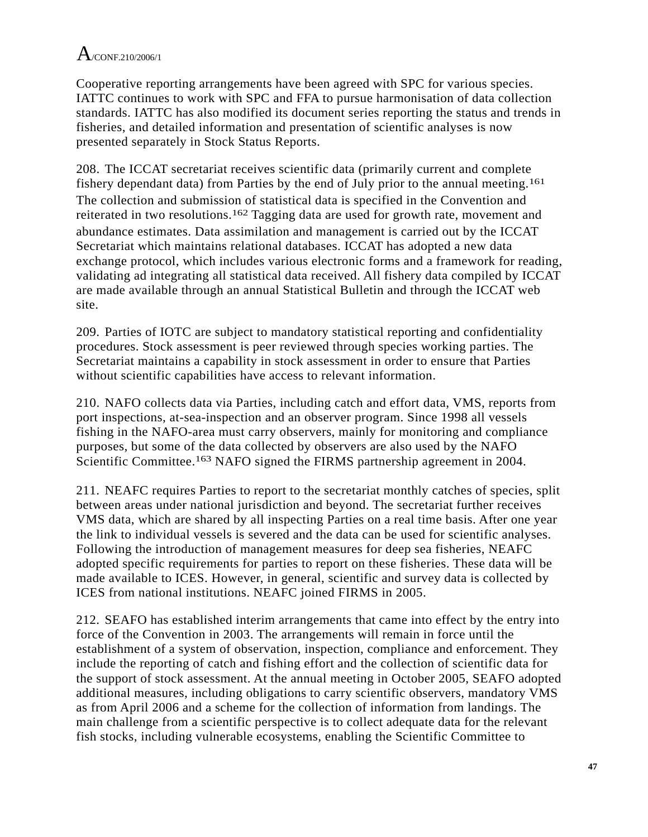Cooperative reporting arrangements have been agreed with SPC for various species. IATTC continues to work with SPC and FFA to pursue harmonisation of data collection standards. IATTC has also modified its document series reporting the status and trends in fisheries, and detailed information and presentation of scientific analyses is now presented separately in Stock Status Reports.

208. The ICCAT secretariat receives scientific data (primarily current and complete fishery dependant data) from Parties by the end of July prior to the annual meeting.161 The collection and submission of statistical data is specified in the Convention and reiterated in two resolutions.162 Tagging data are used for growth rate, movement and abundance estimates. Data assimilation and management is carried out by the ICCAT Secretariat which maintains relational databases. ICCAT has adopted a new data exchange protocol, which includes various electronic forms and a framework for reading, validating ad integrating all statistical data received. All fishery data compiled by ICCAT are made available through an annual Statistical Bulletin and through the ICCAT web site.

209. Parties of IOTC are subject to mandatory statistical reporting and confidentiality procedures. Stock assessment is peer reviewed through species working parties. The Secretariat maintains a capability in stock assessment in order to ensure that Parties without scientific capabilities have access to relevant information.

210. NAFO collects data via Parties, including catch and effort data, VMS, reports from port inspections, at-sea-inspection and an observer program. Since 1998 all vessels fishing in the NAFO-area must carry observers, mainly for monitoring and compliance purposes, but some of the data collected by observers are also used by the NAFO Scientific Committee.<sup>163</sup> NAFO signed the FIRMS partnership agreement in 2004.

211. NEAFC requires Parties to report to the secretariat monthly catches of species, split between areas under national jurisdiction and beyond. The secretariat further receives VMS data, which are shared by all inspecting Parties on a real time basis. After one year the link to individual vessels is severed and the data can be used for scientific analyses. Following the introduction of management measures for deep sea fisheries, NEAFC adopted specific requirements for parties to report on these fisheries. These data will be made available to ICES. However, in general, scientific and survey data is collected by ICES from national institutions. NEAFC joined FIRMS in 2005.

212. SEAFO has established interim arrangements that came into effect by the entry into force of the Convention in 2003. The arrangements will remain in force until the establishment of a system of observation, inspection, compliance and enforcement. They include the reporting of catch and fishing effort and the collection of scientific data for the support of stock assessment. At the annual meeting in October 2005, SEAFO adopted additional measures, including obligations to carry scientific observers, mandatory VMS as from April 2006 and a scheme for the collection of information from landings. The main challenge from a scientific perspective is to collect adequate data for the relevant fish stocks, including vulnerable ecosystems, enabling the Scientific Committee to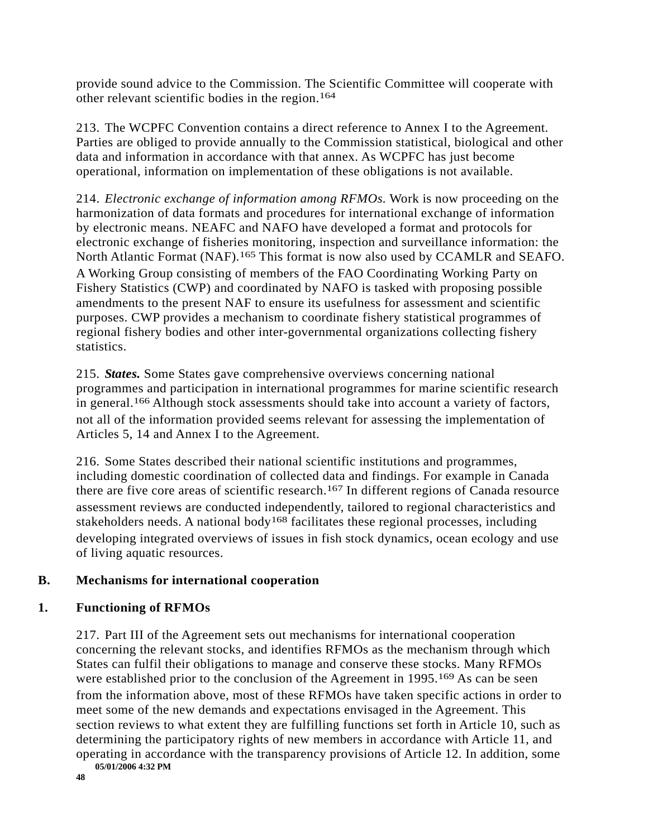provide sound advice to the Commission. The Scientific Committee will cooperate with other relevant scientific bodies in the region.164

213. The WCPFC Convention contains a direct reference to Annex I to the Agreement. Parties are obliged to provide annually to the Commission statistical, biological and other data and information in accordance with that annex. As WCPFC has just become operational, information on implementation of these obligations is not available.

214. *Electronic exchange of information among RFMOs.* Work is now proceeding on the harmonization of data formats and procedures for international exchange of information by electronic means. NEAFC and NAFO have developed a format and protocols for electronic exchange of fisheries monitoring, inspection and surveillance information: the North Atlantic Format (NAF).<sup>165</sup> This format is now also used by CCAMLR and SEAFO. A Working Group consisting of members of the FAO Coordinating Working Party on Fishery Statistics (CWP) and coordinated by NAFO is tasked with proposing possible amendments to the present NAF to ensure its usefulness for assessment and scientific purposes. CWP provides a mechanism to coordinate fishery statistical programmes of regional fishery bodies and other inter-governmental organizations collecting fishery statistics.

215. *States.* Some States gave comprehensive overviews concerning national programmes and participation in international programmes for marine scientific research in general.166 Although stock assessments should take into account a variety of factors, not all of the information provided seems relevant for assessing the implementation of Articles 5, 14 and Annex I to the Agreement.

216. Some States described their national scientific institutions and programmes, including domestic coordination of collected data and findings. For example in Canada there are five core areas of scientific research.167 In different regions of Canada resource assessment reviews are conducted independently, tailored to regional characteristics and stakeholders needs. A national body<sup>168</sup> facilitates these regional processes, including developing integrated overviews of issues in fish stock dynamics, ocean ecology and use of living aquatic resources.

### **B. Mechanisms for international cooperation**

### **1. Functioning of RFMOs**

217. Part III of the Agreement sets out mechanisms for international cooperation concerning the relevant stocks, and identifies RFMOs as the mechanism through which States can fulfil their obligations to manage and conserve these stocks. Many RFMOs were established prior to the conclusion of the Agreement in 1995.<sup>169</sup> As can be seen from the information above, most of these RFMOs have taken specific actions in order to meet some of the new demands and expectations envisaged in the Agreement. This section reviews to what extent they are fulfilling functions set forth in Article 10, such as determining the participatory rights of new members in accordance with Article 11, and operating in accordance with the transparency provisions of Article 12. In addition, some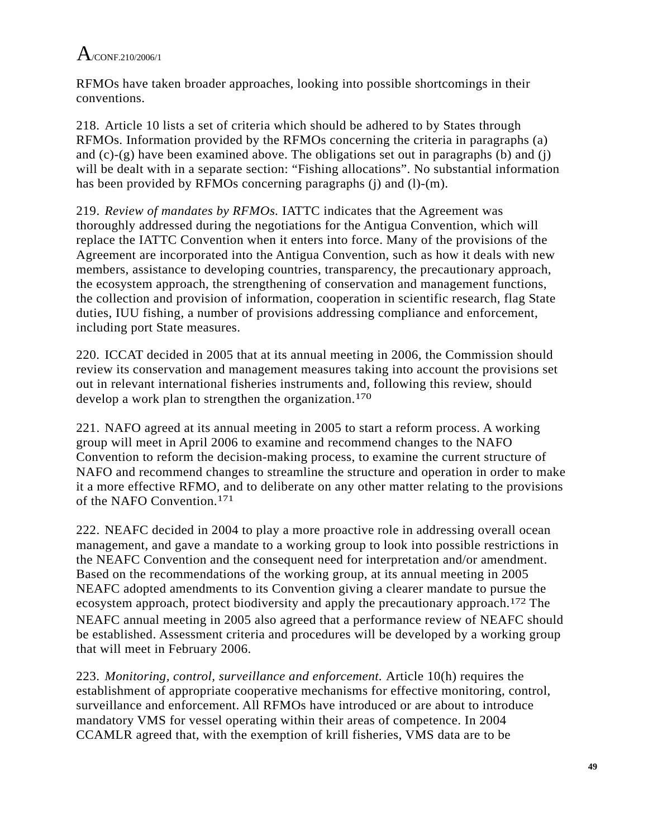RFMOs have taken broader approaches, looking into possible shortcomings in their conventions.

218. Article 10 lists a set of criteria which should be adhered to by States through RFMOs. Information provided by the RFMOs concerning the criteria in paragraphs (a) and (c)-(g) have been examined above. The obligations set out in paragraphs (b) and (j) will be dealt with in a separate section: "Fishing allocations". No substantial information has been provided by RFMOs concerning paragraphs (j) and (l)-(m).

219. *Review of mandates by RFMOs.* IATTC indicates that the Agreement was thoroughly addressed during the negotiations for the Antigua Convention, which will replace the IATTC Convention when it enters into force. Many of the provisions of the Agreement are incorporated into the Antigua Convention, such as how it deals with new members, assistance to developing countries, transparency, the precautionary approach, the ecosystem approach, the strengthening of conservation and management functions, the collection and provision of information, cooperation in scientific research, flag State duties, IUU fishing, a number of provisions addressing compliance and enforcement, including port State measures.

220. ICCAT decided in 2005 that at its annual meeting in 2006, the Commission should review its conservation and management measures taking into account the provisions set out in relevant international fisheries instruments and, following this review, should develop a work plan to strengthen the organization.<sup>170</sup>

221. NAFO agreed at its annual meeting in 2005 to start a reform process. A working group will meet in April 2006 to examine and recommend changes to the NAFO Convention to reform the decision-making process, to examine the current structure of NAFO and recommend changes to streamline the structure and operation in order to make it a more effective RFMO, and to deliberate on any other matter relating to the provisions of the NAFO Convention.171

222. NEAFC decided in 2004 to play a more proactive role in addressing overall ocean management, and gave a mandate to a working group to look into possible restrictions in the NEAFC Convention and the consequent need for interpretation and/or amendment. Based on the recommendations of the working group, at its annual meeting in 2005 NEAFC adopted amendments to its Convention giving a clearer mandate to pursue the ecosystem approach, protect biodiversity and apply the precautionary approach.172 The NEAFC annual meeting in 2005 also agreed that a performance review of NEAFC should be established. Assessment criteria and procedures will be developed by a working group that will meet in February 2006.

223. *Monitoring, control, surveillance and enforcement.* Article 10(h) requires the establishment of appropriate cooperative mechanisms for effective monitoring, control, surveillance and enforcement. All RFMOs have introduced or are about to introduce mandatory VMS for vessel operating within their areas of competence. In 2004 CCAMLR agreed that, with the exemption of krill fisheries, VMS data are to be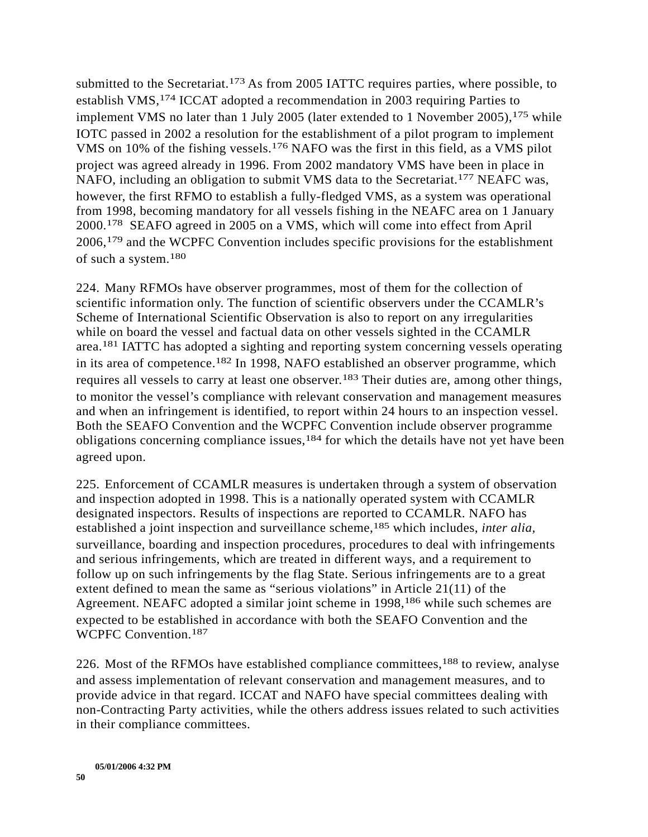submitted to the Secretariat.<sup>173</sup> As from 2005 IATTC requires parties, where possible, to establish VMS,174 ICCAT adopted a recommendation in 2003 requiring Parties to implement VMS no later than 1 July 2005 (later extended to 1 November 2005),  $175$  while IOTC passed in 2002 a resolution for the establishment of a pilot program to implement VMS on 10% of the fishing vessels.176 NAFO was the first in this field, as a VMS pilot project was agreed already in 1996. From 2002 mandatory VMS have been in place in NAFO, including an obligation to submit VMS data to the Secretariat.<sup>177</sup> NEAFC was, however, the first RFMO to establish a fully-fledged VMS, as a system was operational from 1998, becoming mandatory for all vessels fishing in the NEAFC area on 1 January 2000.178 SEAFO agreed in 2005 on a VMS, which will come into effect from April 2006,179 and the WCPFC Convention includes specific provisions for the establishment of such a system.180

224. Many RFMOs have observer programmes, most of them for the collection of scientific information only. The function of scientific observers under the CCAMLR's Scheme of International Scientific Observation is also to report on any irregularities while on board the vessel and factual data on other vessels sighted in the CCAMLR area.181 IATTC has adopted a sighting and reporting system concerning vessels operating in its area of competence.182 In 1998, NAFO established an observer programme, which requires all vessels to carry at least one observer.183 Their duties are, among other things, to monitor the vessel's compliance with relevant conservation and management measures and when an infringement is identified, to report within 24 hours to an inspection vessel. Both the SEAFO Convention and the WCPFC Convention include observer programme obligations concerning compliance issues,<sup>184</sup> for which the details have not yet have been agreed upon.

225. Enforcement of CCAMLR measures is undertaken through a system of observation and inspection adopted in 1998. This is a nationally operated system with CCAMLR designated inspectors. Results of inspections are reported to CCAMLR. NAFO has established a joint inspection and surveillance scheme,185 which includes, *inter alia,*  surveillance, boarding and inspection procedures, procedures to deal with infringements and serious infringements, which are treated in different ways, and a requirement to follow up on such infringements by the flag State. Serious infringements are to a great extent defined to mean the same as "serious violations" in Article 21(11) of the Agreement. NEAFC adopted a similar joint scheme in 1998,<sup>186</sup> while such schemes are expected to be established in accordance with both the SEAFO Convention and the WCPFC Convention.187

226. Most of the RFMOs have established compliance committees,188 to review, analyse and assess implementation of relevant conservation and management measures, and to provide advice in that regard. ICCAT and NAFO have special committees dealing with non-Contracting Party activities, while the others address issues related to such activities in their compliance committees.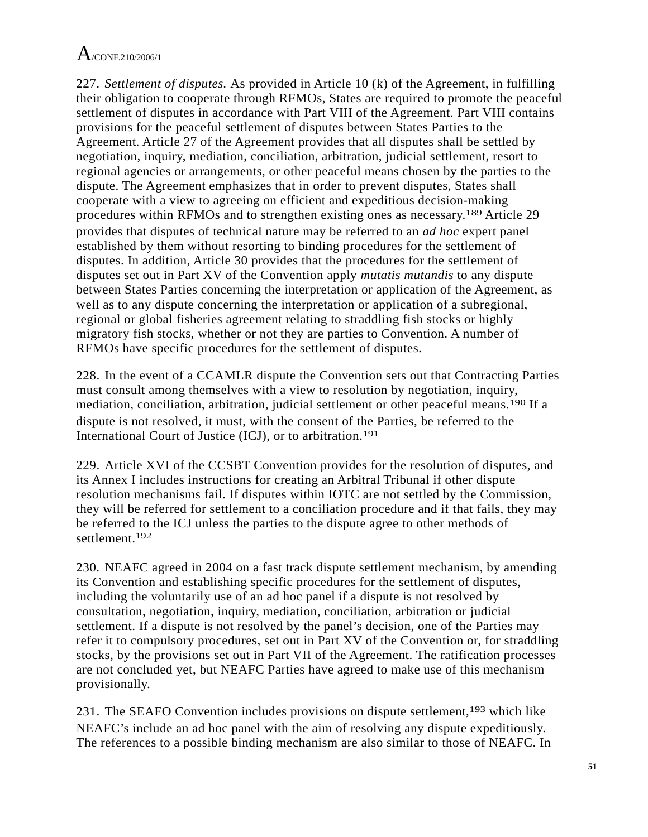227. *Settlement of disputes.* As provided in Article 10 (k) of the Agreement, in fulfilling their obligation to cooperate through RFMOs, States are required to promote the peaceful settlement of disputes in accordance with Part VIII of the Agreement. Part VIII contains provisions for the peaceful settlement of disputes between States Parties to the Agreement. Article 27 of the Agreement provides that all disputes shall be settled by negotiation, inquiry, mediation, conciliation, arbitration, judicial settlement, resort to regional agencies or arrangements, or other peaceful means chosen by the parties to the dispute. The Agreement emphasizes that in order to prevent disputes, States shall cooperate with a view to agreeing on efficient and expeditious decision-making procedures within RFMOs and to strengthen existing ones as necessary.189 Article 29 provides that disputes of technical nature may be referred to an *ad hoc* expert panel established by them without resorting to binding procedures for the settlement of disputes. In addition, Article 30 provides that the procedures for the settlement of disputes set out in Part XV of the Convention apply *mutatis mutandis* to any dispute between States Parties concerning the interpretation or application of the Agreement, as well as to any dispute concerning the interpretation or application of a subregional, regional or global fisheries agreement relating to straddling fish stocks or highly migratory fish stocks, whether or not they are parties to Convention. A number of RFMOs have specific procedures for the settlement of disputes.

228. In the event of a CCAMLR dispute the Convention sets out that Contracting Parties must consult among themselves with a view to resolution by negotiation, inquiry, mediation, conciliation, arbitration, judicial settlement or other peaceful means.190 If a dispute is not resolved, it must, with the consent of the Parties, be referred to the International Court of Justice (ICJ), or to arbitration.191

229. Article XVI of the CCSBT Convention provides for the resolution of disputes, and its Annex I includes instructions for creating an Arbitral Tribunal if other dispute resolution mechanisms fail. If disputes within IOTC are not settled by the Commission, they will be referred for settlement to a conciliation procedure and if that fails, they may be referred to the ICJ unless the parties to the dispute agree to other methods of settlement.192

230. NEAFC agreed in 2004 on a fast track dispute settlement mechanism, by amending its Convention and establishing specific procedures for the settlement of disputes, including the voluntarily use of an ad hoc panel if a dispute is not resolved by consultation, negotiation, inquiry, mediation, conciliation, arbitration or judicial settlement. If a dispute is not resolved by the panel's decision, one of the Parties may refer it to compulsory procedures, set out in Part XV of the Convention or, for straddling stocks, by the provisions set out in Part VII of the Agreement. The ratification processes are not concluded yet, but NEAFC Parties have agreed to make use of this mechanism provisionally.

231. The SEAFO Convention includes provisions on dispute settlement,193 which like NEAFC's include an ad hoc panel with the aim of resolving any dispute expeditiously. The references to a possible binding mechanism are also similar to those of NEAFC. In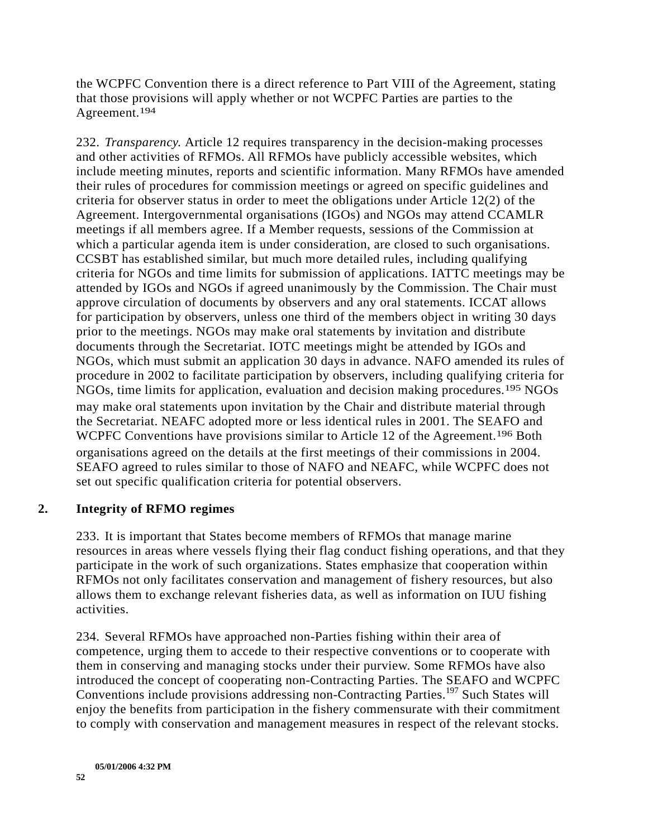the WCPFC Convention there is a direct reference to Part VIII of the Agreement, stating that those provisions will apply whether or not WCPFC Parties are parties to the Agreement.194

232. *Transparency.* Article 12 requires transparency in the decision-making processes and other activities of RFMOs. All RFMOs have publicly accessible websites, which include meeting minutes, reports and scientific information. Many RFMOs have amended their rules of procedures for commission meetings or agreed on specific guidelines and criteria for observer status in order to meet the obligations under Article 12(2) of the Agreement. Intergovernmental organisations (IGOs) and NGOs may attend CCAMLR meetings if all members agree. If a Member requests, sessions of the Commission at which a particular agenda item is under consideration, are closed to such organisations. CCSBT has established similar, but much more detailed rules, including qualifying criteria for NGOs and time limits for submission of applications. IATTC meetings may be attended by IGOs and NGOs if agreed unanimously by the Commission. The Chair must approve circulation of documents by observers and any oral statements. ICCAT allows for participation by observers, unless one third of the members object in writing 30 days prior to the meetings. NGOs may make oral statements by invitation and distribute documents through the Secretariat. IOTC meetings might be attended by IGOs and NGOs, which must submit an application 30 days in advance. NAFO amended its rules of procedure in 2002 to facilitate participation by observers, including qualifying criteria for NGOs, time limits for application, evaluation and decision making procedures.195 NGOs may make oral statements upon invitation by the Chair and distribute material through the Secretariat. NEAFC adopted more or less identical rules in 2001. The SEAFO and WCPFC Conventions have provisions similar to Article 12 of the Agreement.<sup>196</sup> Both organisations agreed on the details at the first meetings of their commissions in 2004. SEAFO agreed to rules similar to those of NAFO and NEAFC, while WCPFC does not set out specific qualification criteria for potential observers.

### **2. Integrity of RFMO regimes**

233. It is important that States become members of RFMOs that manage marine resources in areas where vessels flying their flag conduct fishing operations, and that they participate in the work of such organizations. States emphasize that cooperation within RFMOs not only facilitates conservation and management of fishery resources, but also allows them to exchange relevant fisheries data, as well as information on IUU fishing activities.

234. Several RFMOs have approached non-Parties fishing within their area of competence, urging them to accede to their respective conventions or to cooperate with them in conserving and managing stocks under their purview. Some RFMOs have also introduced the concept of cooperating non-Contracting Parties. The SEAFO and WCPFC Conventions include provisions addressing non-Contracting Parties.<sup>197</sup> Such States will enjoy the benefits from participation in the fishery commensurate with their commitment to comply with conservation and management measures in respect of the relevant stocks.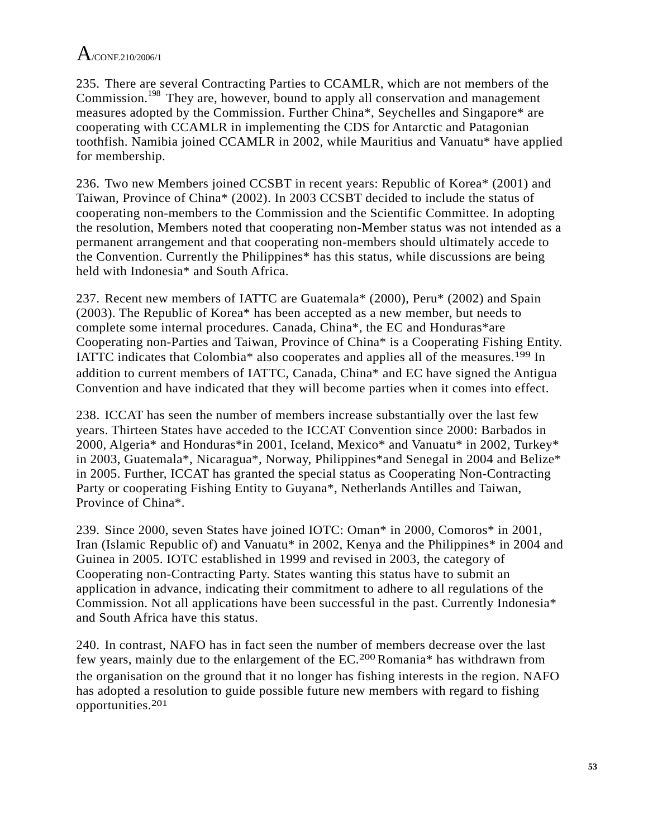235. There are several Contracting Parties to CCAMLR, which are not members of the Commission.<sup>198</sup> They are, however, bound to apply all conservation and management measures adopted by the Commission. Further China\*, Seychelles and Singapore\* are cooperating with CCAMLR in implementing the CDS for Antarctic and Patagonian toothfish. Namibia joined CCAMLR in 2002, while Mauritius and Vanuatu\* have applied for membership.

236. Two new Members joined CCSBT in recent years: Republic of Korea\* (2001) and Taiwan, Province of China\* (2002). In 2003 CCSBT decided to include the status of cooperating non-members to the Commission and the Scientific Committee. In adopting the resolution, Members noted that cooperating non-Member status was not intended as a permanent arrangement and that cooperating non-members should ultimately accede to the Convention. Currently the Philippines\* has this status, while discussions are being held with Indonesia\* and South Africa.

237. Recent new members of IATTC are Guatemala\* (2000), Peru\* (2002) and Spain (2003). The Republic of Korea\* has been accepted as a new member, but needs to complete some internal procedures. Canada, China\*, the EC and Honduras\*are Cooperating non-Parties and Taiwan, Province of China\* is a Cooperating Fishing Entity. IATTC indicates that Colombia\* also cooperates and applies all of the measures.199 In addition to current members of IATTC, Canada, China\* and EC have signed the Antigua Convention and have indicated that they will become parties when it comes into effect.

238. ICCAT has seen the number of members increase substantially over the last few years. Thirteen States have acceded to the ICCAT Convention since 2000: Barbados in 2000, Algeria\* and Honduras\*in 2001, Iceland, Mexico\* and Vanuatu\* in 2002, Turkey\* in 2003, Guatemala\*, Nicaragua\*, Norway, Philippines\*and Senegal in 2004 and Belize\* in 2005. Further, ICCAT has granted the special status as Cooperating Non-Contracting Party or cooperating Fishing Entity to Guyana\*, Netherlands Antilles and Taiwan, Province of China\*.

239. Since 2000, seven States have joined IOTC: Oman\* in 2000, Comoros\* in 2001, Iran (Islamic Republic of) and Vanuatu\* in 2002, Kenya and the Philippines\* in 2004 and Guinea in 2005. IOTC established in 1999 and revised in 2003, the category of Cooperating non-Contracting Party. States wanting this status have to submit an application in advance, indicating their commitment to adhere to all regulations of the Commission. Not all applications have been successful in the past. Currently Indonesia\* and South Africa have this status.

240. In contrast, NAFO has in fact seen the number of members decrease over the last few years, mainly due to the enlargement of the EC.<sup>200</sup> Romania\* has withdrawn from the organisation on the ground that it no longer has fishing interests in the region. NAFO has adopted a resolution to guide possible future new members with regard to fishing opportunities.201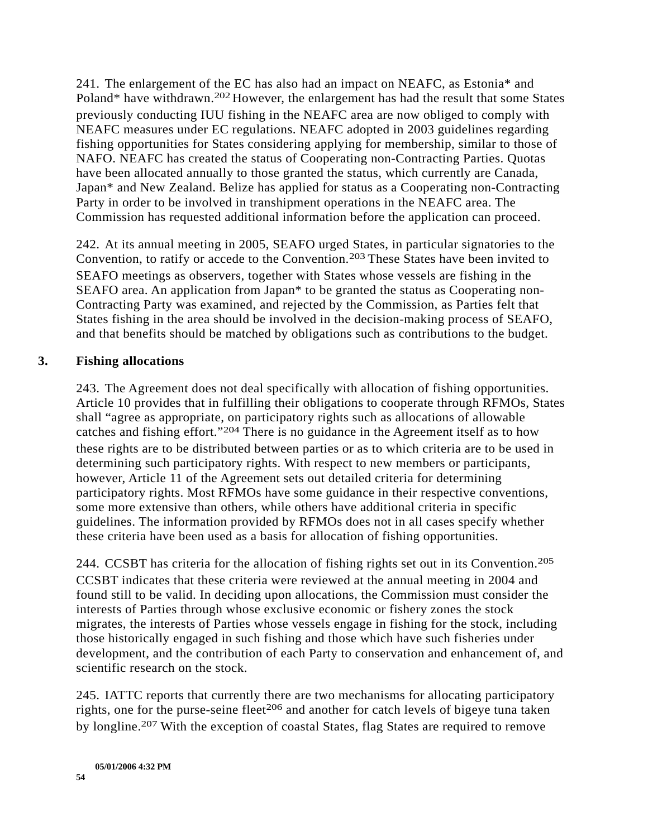241. The enlargement of the EC has also had an impact on NEAFC, as Estonia\* and Poland\* have withdrawn.<sup>202</sup> However, the enlargement has had the result that some States previously conducting IUU fishing in the NEAFC area are now obliged to comply with NEAFC measures under EC regulations. NEAFC adopted in 2003 guidelines regarding fishing opportunities for States considering applying for membership, similar to those of NAFO. NEAFC has created the status of Cooperating non-Contracting Parties. Quotas have been allocated annually to those granted the status, which currently are Canada, Japan\* and New Zealand. Belize has applied for status as a Cooperating non-Contracting Party in order to be involved in transhipment operations in the NEAFC area. The Commission has requested additional information before the application can proceed.

242. At its annual meeting in 2005, SEAFO urged States, in particular signatories to the Convention, to ratify or accede to the Convention.<sup>203</sup> These States have been invited to SEAFO meetings as observers, together with States whose vessels are fishing in the SEAFO area. An application from Japan\* to be granted the status as Cooperating non-Contracting Party was examined, and rejected by the Commission, as Parties felt that States fishing in the area should be involved in the decision-making process of SEAFO, and that benefits should be matched by obligations such as contributions to the budget.

#### **3. Fishing allocations**

243. The Agreement does not deal specifically with allocation of fishing opportunities. Article 10 provides that in fulfilling their obligations to cooperate through RFMOs, States shall "agree as appropriate, on participatory rights such as allocations of allowable catches and fishing effort."204 There is no guidance in the Agreement itself as to how these rights are to be distributed between parties or as to which criteria are to be used in determining such participatory rights. With respect to new members or participants, however, Article 11 of the Agreement sets out detailed criteria for determining participatory rights. Most RFMOs have some guidance in their respective conventions, some more extensive than others, while others have additional criteria in specific guidelines. The information provided by RFMOs does not in all cases specify whether these criteria have been used as a basis for allocation of fishing opportunities.

244. CCSBT has criteria for the allocation of fishing rights set out in its Convention.205 CCSBT indicates that these criteria were reviewed at the annual meeting in 2004 and found still to be valid. In deciding upon allocations, the Commission must consider the interests of Parties through whose exclusive economic or fishery zones the stock migrates, the interests of Parties whose vessels engage in fishing for the stock, including those historically engaged in such fishing and those which have such fisheries under development, and the contribution of each Party to conservation and enhancement of, and scientific research on the stock.

245. IATTC reports that currently there are two mechanisms for allocating participatory rights, one for the purse-seine fleet<sup>206</sup> and another for catch levels of bigeye tuna taken by longline.<sup>207</sup> With the exception of coastal States, flag States are required to remove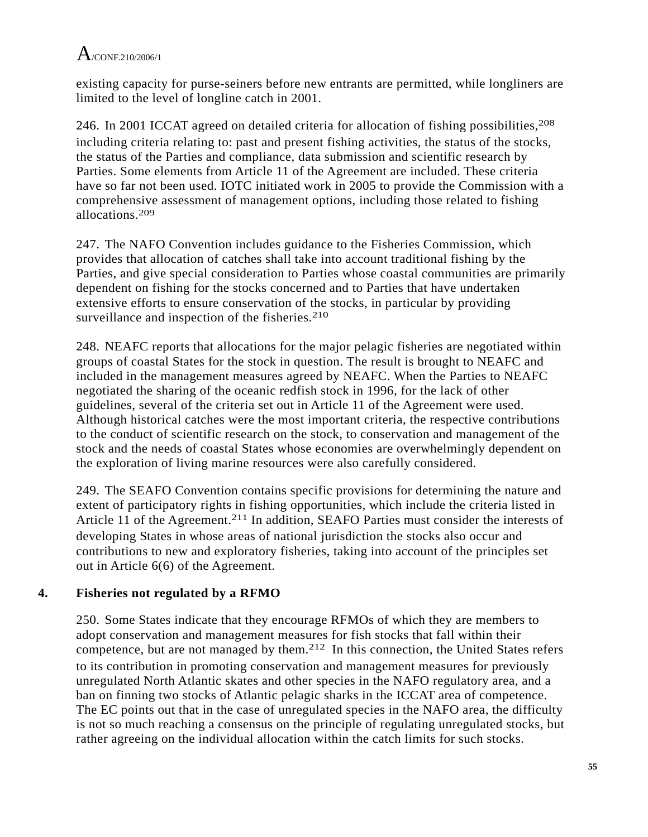existing capacity for purse-seiners before new entrants are permitted, while longliners are limited to the level of longline catch in 2001.

246. In 2001 ICCAT agreed on detailed criteria for allocation of fishing possibilities,<sup>208</sup> including criteria relating to: past and present fishing activities, the status of the stocks, the status of the Parties and compliance, data submission and scientific research by Parties. Some elements from Article 11 of the Agreement are included. These criteria have so far not been used. IOTC initiated work in 2005 to provide the Commission with a comprehensive assessment of management options, including those related to fishing allocations.209

247. The NAFO Convention includes guidance to the Fisheries Commission, which provides that allocation of catches shall take into account traditional fishing by the Parties, and give special consideration to Parties whose coastal communities are primarily dependent on fishing for the stocks concerned and to Parties that have undertaken extensive efforts to ensure conservation of the stocks, in particular by providing surveillance and inspection of the fisheries.<sup>210</sup>

248. NEAFC reports that allocations for the major pelagic fisheries are negotiated within groups of coastal States for the stock in question. The result is brought to NEAFC and included in the management measures agreed by NEAFC. When the Parties to NEAFC negotiated the sharing of the oceanic redfish stock in 1996, for the lack of other guidelines, several of the criteria set out in Article 11 of the Agreement were used. Although historical catches were the most important criteria, the respective contributions to the conduct of scientific research on the stock, to conservation and management of the stock and the needs of coastal States whose economies are overwhelmingly dependent on the exploration of living marine resources were also carefully considered.

249. The SEAFO Convention contains specific provisions for determining the nature and extent of participatory rights in fishing opportunities, which include the criteria listed in Article 11 of the Agreement.<sup>211</sup> In addition, SEAFO Parties must consider the interests of developing States in whose areas of national jurisdiction the stocks also occur and contributions to new and exploratory fisheries, taking into account of the principles set out in Article 6(6) of the Agreement.

### **4. Fisheries not regulated by a RFMO**

250. Some States indicate that they encourage RFMOs of which they are members to adopt conservation and management measures for fish stocks that fall within their competence, but are not managed by them.212 In this connection, the United States refers to its contribution in promoting conservation and management measures for previously unregulated North Atlantic skates and other species in the NAFO regulatory area, and a ban on finning two stocks of Atlantic pelagic sharks in the ICCAT area of competence. The EC points out that in the case of unregulated species in the NAFO area, the difficulty is not so much reaching a consensus on the principle of regulating unregulated stocks, but rather agreeing on the individual allocation within the catch limits for such stocks.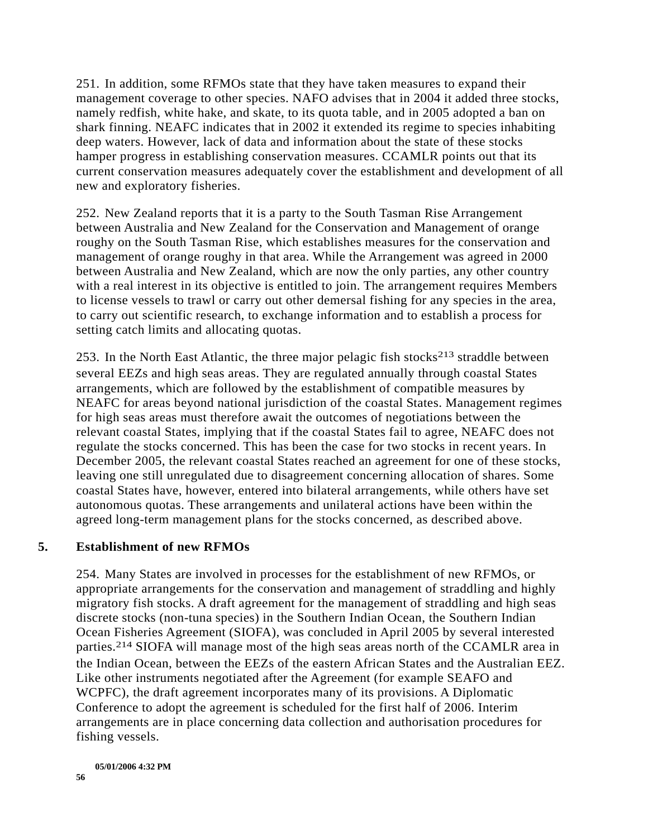251. In addition, some RFMOs state that they have taken measures to expand their management coverage to other species. NAFO advises that in 2004 it added three stocks, namely redfish, white hake, and skate, to its quota table, and in 2005 adopted a ban on shark finning. NEAFC indicates that in 2002 it extended its regime to species inhabiting deep waters. However, lack of data and information about the state of these stocks hamper progress in establishing conservation measures. CCAMLR points out that its current conservation measures adequately cover the establishment and development of all new and exploratory fisheries.

252. New Zealand reports that it is a party to the South Tasman Rise Arrangement between Australia and New Zealand for the Conservation and Management of orange roughy on the South Tasman Rise, which establishes measures for the conservation and management of orange roughy in that area. While the Arrangement was agreed in 2000 between Australia and New Zealand, which are now the only parties, any other country with a real interest in its objective is entitled to join. The arrangement requires Members to license vessels to trawl or carry out other demersal fishing for any species in the area, to carry out scientific research, to exchange information and to establish a process for setting catch limits and allocating quotas.

253. In the North East Atlantic, the three major pelagic fish stocks<sup>213</sup> straddle between several EEZs and high seas areas. They are regulated annually through coastal States arrangements, which are followed by the establishment of compatible measures by NEAFC for areas beyond national jurisdiction of the coastal States. Management regimes for high seas areas must therefore await the outcomes of negotiations between the relevant coastal States, implying that if the coastal States fail to agree, NEAFC does not regulate the stocks concerned. This has been the case for two stocks in recent years. In December 2005, the relevant coastal States reached an agreement for one of these stocks, leaving one still unregulated due to disagreement concerning allocation of shares. Some coastal States have, however, entered into bilateral arrangements, while others have set autonomous quotas. These arrangements and unilateral actions have been within the agreed long-term management plans for the stocks concerned, as described above.

### **5. Establishment of new RFMOs**

254. Many States are involved in processes for the establishment of new RFMOs, or appropriate arrangements for the conservation and management of straddling and highly migratory fish stocks. A draft agreement for the management of straddling and high seas discrete stocks (non-tuna species) in the Southern Indian Ocean, the Southern Indian Ocean Fisheries Agreement (SIOFA), was concluded in April 2005 by several interested parties.214 SIOFA will manage most of the high seas areas north of the CCAMLR area in the Indian Ocean, between the EEZs of the eastern African States and the Australian EEZ. Like other instruments negotiated after the Agreement (for example SEAFO and WCPFC), the draft agreement incorporates many of its provisions. A Diplomatic Conference to adopt the agreement is scheduled for the first half of 2006. Interim arrangements are in place concerning data collection and authorisation procedures for fishing vessels.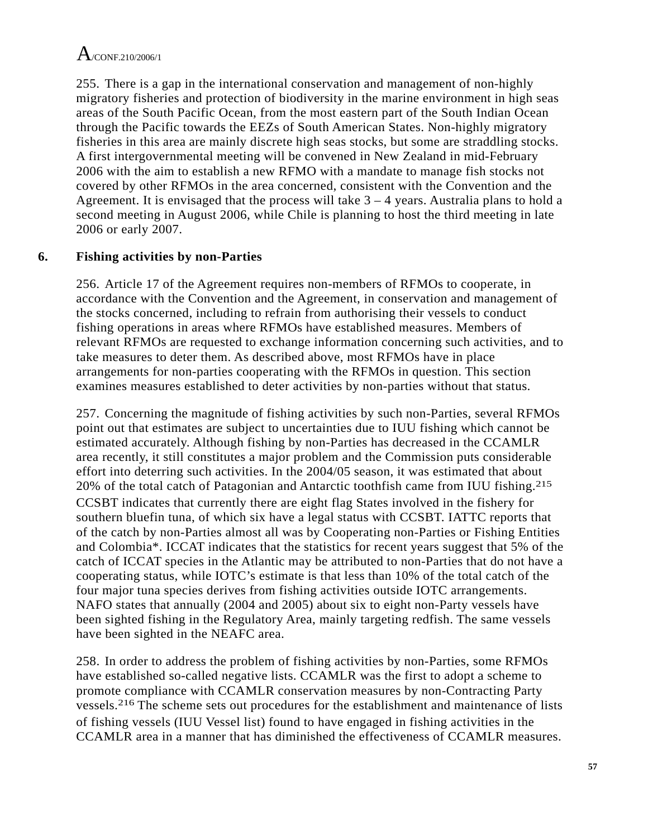255. There is a gap in the international conservation and management of non-highly migratory fisheries and protection of biodiversity in the marine environment in high seas areas of the South Pacific Ocean, from the most eastern part of the South Indian Ocean through the Pacific towards the EEZs of South American States. Non-highly migratory fisheries in this area are mainly discrete high seas stocks, but some are straddling stocks. A first intergovernmental meeting will be convened in New Zealand in mid-February 2006 with the aim to establish a new RFMO with a mandate to manage fish stocks not covered by other RFMOs in the area concerned, consistent with the Convention and the Agreement. It is envisaged that the process will take  $3 - 4$  years. Australia plans to hold a second meeting in August 2006, while Chile is planning to host the third meeting in late 2006 or early 2007.

### **6. Fishing activities by non-Parties**

256. Article 17 of the Agreement requires non-members of RFMOs to cooperate, in accordance with the Convention and the Agreement, in conservation and management of the stocks concerned, including to refrain from authorising their vessels to conduct fishing operations in areas where RFMOs have established measures. Members of relevant RFMOs are requested to exchange information concerning such activities, and to take measures to deter them. As described above, most RFMOs have in place arrangements for non-parties cooperating with the RFMOs in question. This section examines measures established to deter activities by non-parties without that status.

257. Concerning the magnitude of fishing activities by such non-Parties, several RFMOs point out that estimates are subject to uncertainties due to IUU fishing which cannot be estimated accurately. Although fishing by non-Parties has decreased in the CCAMLR area recently, it still constitutes a major problem and the Commission puts considerable effort into deterring such activities. In the 2004/05 season, it was estimated that about 20% of the total catch of Patagonian and Antarctic toothfish came from IUU fishing.<sup>215</sup> CCSBT indicates that currently there are eight flag States involved in the fishery for southern bluefin tuna, of which six have a legal status with CCSBT. IATTC reports that of the catch by non-Parties almost all was by Cooperating non-Parties or Fishing Entities and Colombia\*. ICCAT indicates that the statistics for recent years suggest that 5% of the catch of ICCAT species in the Atlantic may be attributed to non-Parties that do not have a cooperating status, while IOTC's estimate is that less than 10% of the total catch of the four major tuna species derives from fishing activities outside IOTC arrangements. NAFO states that annually (2004 and 2005) about six to eight non-Party vessels have been sighted fishing in the Regulatory Area, mainly targeting redfish. The same vessels have been sighted in the NEAFC area.

258. In order to address the problem of fishing activities by non-Parties, some RFMOs have established so-called negative lists. CCAMLR was the first to adopt a scheme to promote compliance with CCAMLR conservation measures by non-Contracting Party vessels.216 The scheme sets out procedures for the establishment and maintenance of lists of fishing vessels (IUU Vessel list) found to have engaged in fishing activities in the CCAMLR area in a manner that has diminished the effectiveness of CCAMLR measures.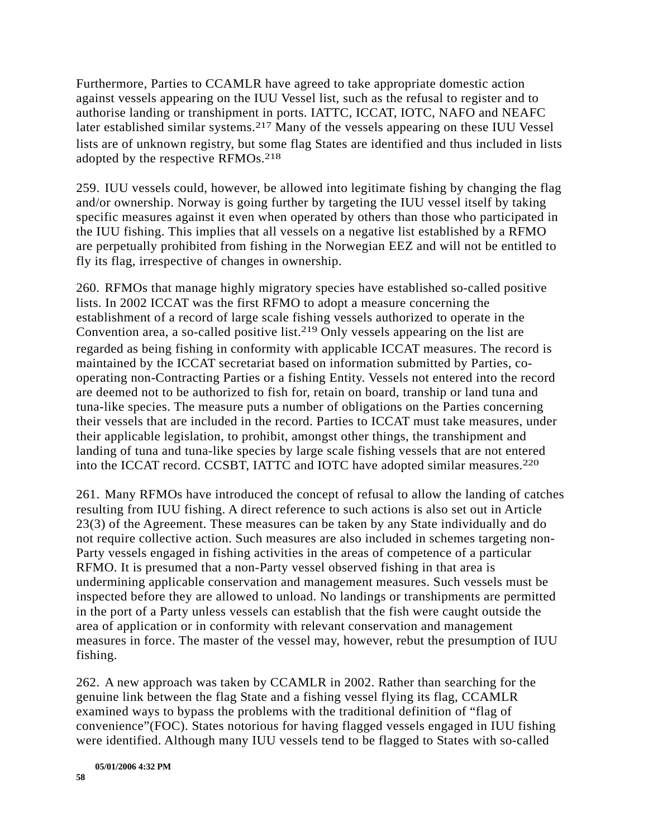Furthermore, Parties to CCAMLR have agreed to take appropriate domestic action against vessels appearing on the IUU Vessel list, such as the refusal to register and to authorise landing or transhipment in ports. IATTC, ICCAT, IOTC, NAFO and NEAFC later established similar systems.217 Many of the vessels appearing on these IUU Vessel lists are of unknown registry, but some flag States are identified and thus included in lists adopted by the respective RFMOs.218

259. IUU vessels could, however, be allowed into legitimate fishing by changing the flag and/or ownership. Norway is going further by targeting the IUU vessel itself by taking specific measures against it even when operated by others than those who participated in the IUU fishing. This implies that all vessels on a negative list established by a RFMO are perpetually prohibited from fishing in the Norwegian EEZ and will not be entitled to fly its flag, irrespective of changes in ownership.

260. RFMOs that manage highly migratory species have established so-called positive lists. In 2002 ICCAT was the first RFMO to adopt a measure concerning the establishment of a record of large scale fishing vessels authorized to operate in the Convention area, a so-called positive list.219 Only vessels appearing on the list are regarded as being fishing in conformity with applicable ICCAT measures. The record is maintained by the ICCAT secretariat based on information submitted by Parties, cooperating non-Contracting Parties or a fishing Entity. Vessels not entered into the record are deemed not to be authorized to fish for, retain on board, tranship or land tuna and tuna-like species. The measure puts a number of obligations on the Parties concerning their vessels that are included in the record. Parties to ICCAT must take measures, under their applicable legislation, to prohibit, amongst other things, the transhipment and landing of tuna and tuna-like species by large scale fishing vessels that are not entered into the ICCAT record. CCSBT, IATTC and IOTC have adopted similar measures.220

261. Many RFMOs have introduced the concept of refusal to allow the landing of catches resulting from IUU fishing. A direct reference to such actions is also set out in Article 23(3) of the Agreement. These measures can be taken by any State individually and do not require collective action. Such measures are also included in schemes targeting non-Party vessels engaged in fishing activities in the areas of competence of a particular RFMO. It is presumed that a non-Party vessel observed fishing in that area is undermining applicable conservation and management measures. Such vessels must be inspected before they are allowed to unload. No landings or transhipments are permitted in the port of a Party unless vessels can establish that the fish were caught outside the area of application or in conformity with relevant conservation and management measures in force. The master of the vessel may, however, rebut the presumption of IUU fishing.

262. A new approach was taken by CCAMLR in 2002. Rather than searching for the genuine link between the flag State and a fishing vessel flying its flag, CCAMLR examined ways to bypass the problems with the traditional definition of "flag of convenience"(FOC). States notorious for having flagged vessels engaged in IUU fishing were identified. Although many IUU vessels tend to be flagged to States with so-called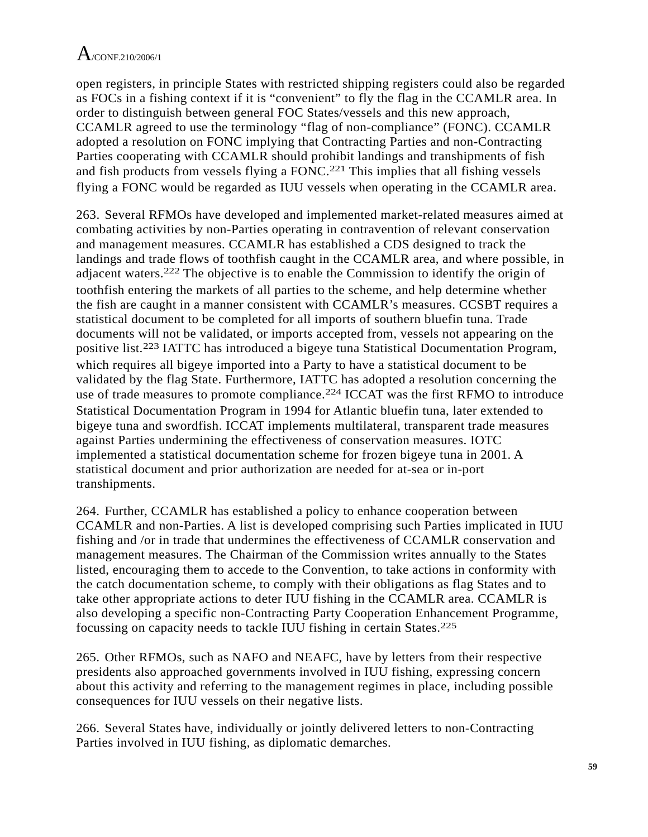open registers, in principle States with restricted shipping registers could also be regarded as FOCs in a fishing context if it is "convenient" to fly the flag in the CCAMLR area. In order to distinguish between general FOC States/vessels and this new approach, CCAMLR agreed to use the terminology "flag of non-compliance" (FONC). CCAMLR adopted a resolution on FONC implying that Contracting Parties and non-Contracting Parties cooperating with CCAMLR should prohibit landings and transhipments of fish and fish products from vessels flying a FONC.<sup>221</sup> This implies that all fishing vessels flying a FONC would be regarded as IUU vessels when operating in the CCAMLR area.

263. Several RFMOs have developed and implemented market-related measures aimed at combating activities by non-Parties operating in contravention of relevant conservation and management measures. CCAMLR has established a CDS designed to track the landings and trade flows of toothfish caught in the CCAMLR area, and where possible, in adjacent waters.222 The objective is to enable the Commission to identify the origin of toothfish entering the markets of all parties to the scheme, and help determine whether the fish are caught in a manner consistent with CCAMLR's measures. CCSBT requires a statistical document to be completed for all imports of southern bluefin tuna. Trade documents will not be validated, or imports accepted from, vessels not appearing on the positive list.223 IATTC has introduced a bigeye tuna Statistical Documentation Program, which requires all bigeye imported into a Party to have a statistical document to be validated by the flag State. Furthermore, IATTC has adopted a resolution concerning the use of trade measures to promote compliance.<sup>224</sup> ICCAT was the first RFMO to introduce Statistical Documentation Program in 1994 for Atlantic bluefin tuna, later extended to bigeye tuna and swordfish. ICCAT implements multilateral, transparent trade measures against Parties undermining the effectiveness of conservation measures. IOTC implemented a statistical documentation scheme for frozen bigeye tuna in 2001. A statistical document and prior authorization are needed for at-sea or in-port transhipments.

264. Further, CCAMLR has established a policy to enhance cooperation between CCAMLR and non-Parties. A list is developed comprising such Parties implicated in IUU fishing and /or in trade that undermines the effectiveness of CCAMLR conservation and management measures. The Chairman of the Commission writes annually to the States listed, encouraging them to accede to the Convention, to take actions in conformity with the catch documentation scheme, to comply with their obligations as flag States and to take other appropriate actions to deter IUU fishing in the CCAMLR area. CCAMLR is also developing a specific non-Contracting Party Cooperation Enhancement Programme, focussing on capacity needs to tackle IUU fishing in certain States.225

265. Other RFMOs, such as NAFO and NEAFC, have by letters from their respective presidents also approached governments involved in IUU fishing, expressing concern about this activity and referring to the management regimes in place, including possible consequences for IUU vessels on their negative lists.

266. Several States have, individually or jointly delivered letters to non-Contracting Parties involved in IUU fishing, as diplomatic demarches.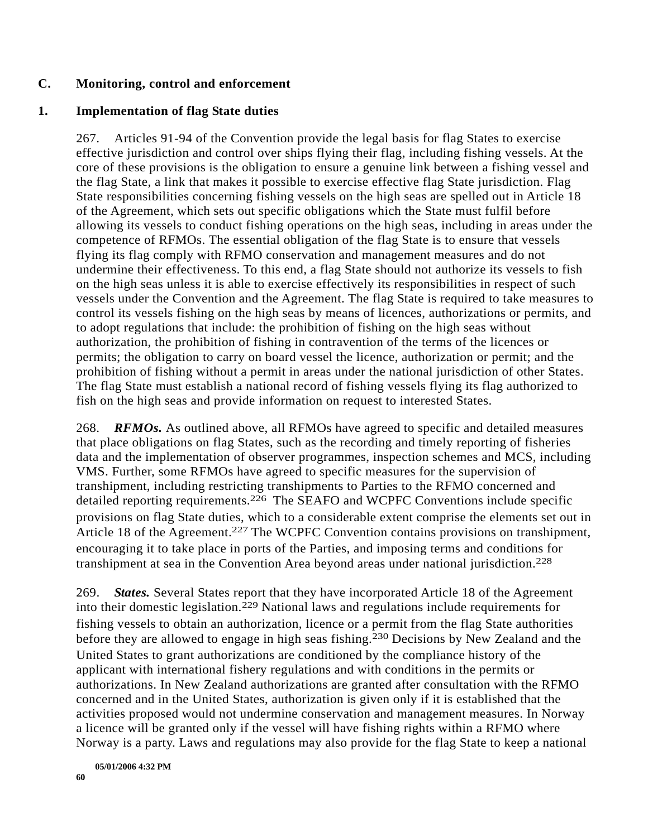#### **C. Monitoring, control and enforcement**

#### **1. Implementation of flag State duties**

267. Articles 91-94 of the Convention provide the legal basis for flag States to exercise effective jurisdiction and control over ships flying their flag, including fishing vessels. At the core of these provisions is the obligation to ensure a genuine link between a fishing vessel and the flag State, a link that makes it possible to exercise effective flag State jurisdiction. Flag State responsibilities concerning fishing vessels on the high seas are spelled out in Article 18 of the Agreement, which sets out specific obligations which the State must fulfil before allowing its vessels to conduct fishing operations on the high seas, including in areas under the competence of RFMOs. The essential obligation of the flag State is to ensure that vessels flying its flag comply with RFMO conservation and management measures and do not undermine their effectiveness. To this end, a flag State should not authorize its vessels to fish on the high seas unless it is able to exercise effectively its responsibilities in respect of such vessels under the Convention and the Agreement. The flag State is required to take measures to control its vessels fishing on the high seas by means of licences, authorizations or permits, and to adopt regulations that include: the prohibition of fishing on the high seas without authorization, the prohibition of fishing in contravention of the terms of the licences or permits; the obligation to carry on board vessel the licence, authorization or permit; and the prohibition of fishing without a permit in areas under the national jurisdiction of other States. The flag State must establish a national record of fishing vessels flying its flag authorized to fish on the high seas and provide information on request to interested States.

268. *RFMOs.* As outlined above, all RFMOs have agreed to specific and detailed measures that place obligations on flag States, such as the recording and timely reporting of fisheries data and the implementation of observer programmes, inspection schemes and MCS, including VMS. Further, some RFMOs have agreed to specific measures for the supervision of transhipment, including restricting transhipments to Parties to the RFMO concerned and detailed reporting requirements.226 The SEAFO and WCPFC Conventions include specific provisions on flag State duties, which to a considerable extent comprise the elements set out in Article 18 of the Agreement.<sup>227</sup> The WCPFC Convention contains provisions on transhipment, encouraging it to take place in ports of the Parties, and imposing terms and conditions for transhipment at sea in the Convention Area beyond areas under national jurisdiction.228

269. *States.* Several States report that they have incorporated Article 18 of the Agreement into their domestic legislation.229 National laws and regulations include requirements for fishing vessels to obtain an authorization, licence or a permit from the flag State authorities before they are allowed to engage in high seas fishing.<sup>230</sup> Decisions by New Zealand and the United States to grant authorizations are conditioned by the compliance history of the applicant with international fishery regulations and with conditions in the permits or authorizations. In New Zealand authorizations are granted after consultation with the RFMO concerned and in the United States, authorization is given only if it is established that the activities proposed would not undermine conservation and management measures. In Norway a licence will be granted only if the vessel will have fishing rights within a RFMO where Norway is a party. Laws and regulations may also provide for the flag State to keep a national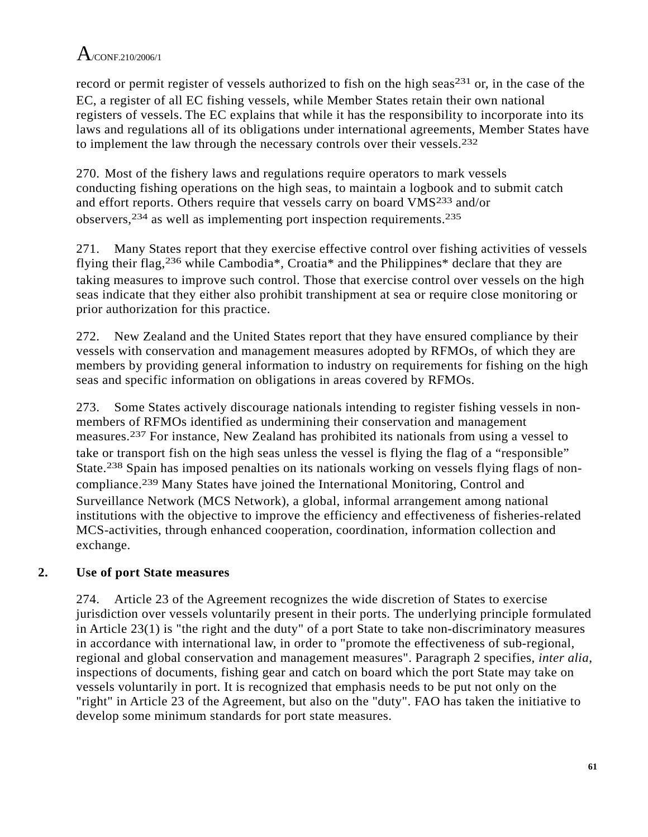record or permit register of vessels authorized to fish on the high seas<sup>231</sup> or, in the case of the EC, a register of all EC fishing vessels, while Member States retain their own national registers of vessels. The EC explains that while it has the responsibility to incorporate into its laws and regulations all of its obligations under international agreements, Member States have to implement the law through the necessary controls over their vessels.232

270. Most of the fishery laws and regulations require operators to mark vessels conducting fishing operations on the high seas, to maintain a logbook and to submit catch and effort reports. Others require that vessels carry on board VMS233 and/or observers,234 as well as implementing port inspection requirements.235

271. Many States report that they exercise effective control over fishing activities of vessels flying their flag,236 while Cambodia\*, Croatia\* and the Philippines\* declare that they are taking measures to improve such control. Those that exercise control over vessels on the high seas indicate that they either also prohibit transhipment at sea or require close monitoring or prior authorization for this practice.

272. New Zealand and the United States report that they have ensured compliance by their vessels with conservation and management measures adopted by RFMOs, of which they are members by providing general information to industry on requirements for fishing on the high seas and specific information on obligations in areas covered by RFMOs.

273. Some States actively discourage nationals intending to register fishing vessels in nonmembers of RFMOs identified as undermining their conservation and management measures.237 For instance, New Zealand has prohibited its nationals from using a vessel to take or transport fish on the high seas unless the vessel is flying the flag of a "responsible" State.238 Spain has imposed penalties on its nationals working on vessels flying flags of noncompliance.239 Many States have joined the International Monitoring, Control and Surveillance Network (MCS Network), a global, informal arrangement among national institutions with the objective to improve the efficiency and effectiveness of fisheries-related MCS-activities, through enhanced cooperation, coordination, information collection and exchange.

### **2. Use of port State measures**

274. Article 23 of the Agreement recognizes the wide discretion of States to exercise jurisdiction over vessels voluntarily present in their ports. The underlying principle formulated in Article 23(1) is "the right and the duty" of a port State to take non-discriminatory measures in accordance with international law, in order to "promote the effectiveness of sub-regional, regional and global conservation and management measures". Paragraph 2 specifies, *inter alia*, inspections of documents, fishing gear and catch on board which the port State may take on vessels voluntarily in port. It is recognized that emphasis needs to be put not only on the "right" in Article 23 of the Agreement, but also on the "duty". FAO has taken the initiative to develop some minimum standards for port state measures.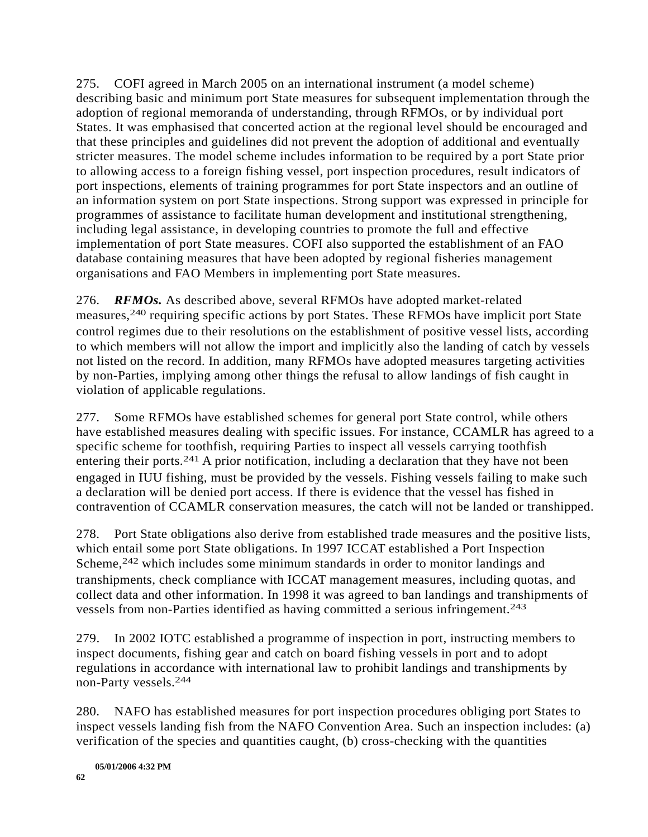275. COFI agreed in March 2005 on an international instrument (a model scheme) describing basic and minimum port State measures for subsequent implementation through the adoption of regional memoranda of understanding, through RFMOs, or by individual port States. It was emphasised that concerted action at the regional level should be encouraged and that these principles and guidelines did not prevent the adoption of additional and eventually stricter measures. The model scheme includes information to be required by a port State prior to allowing access to a foreign fishing vessel, port inspection procedures, result indicators of port inspections, elements of training programmes for port State inspectors and an outline of an information system on port State inspections. Strong support was expressed in principle for programmes of assistance to facilitate human development and institutional strengthening, including legal assistance, in developing countries to promote the full and effective implementation of port State measures. COFI also supported the establishment of an FAO database containing measures that have been adopted by regional fisheries management organisations and FAO Members in implementing port State measures.

276. *RFMOs.* As described above, several RFMOs have adopted market-related measures,240 requiring specific actions by port States. These RFMOs have implicit port State control regimes due to their resolutions on the establishment of positive vessel lists, according to which members will not allow the import and implicitly also the landing of catch by vessels not listed on the record. In addition, many RFMOs have adopted measures targeting activities by non-Parties, implying among other things the refusal to allow landings of fish caught in violation of applicable regulations.

277. Some RFMOs have established schemes for general port State control, while others have established measures dealing with specific issues. For instance, CCAMLR has agreed to a specific scheme for toothfish, requiring Parties to inspect all vessels carrying toothfish entering their ports.<sup>241</sup> A prior notification, including a declaration that they have not been engaged in IUU fishing, must be provided by the vessels. Fishing vessels failing to make such a declaration will be denied port access. If there is evidence that the vessel has fished in contravention of CCAMLR conservation measures, the catch will not be landed or transhipped.

278. Port State obligations also derive from established trade measures and the positive lists, which entail some port State obligations. In 1997 ICCAT established a Port Inspection Scheme,<sup>242</sup> which includes some minimum standards in order to monitor landings and transhipments, check compliance with ICCAT management measures, including quotas, and collect data and other information. In 1998 it was agreed to ban landings and transhipments of vessels from non-Parties identified as having committed a serious infringement.243

279. In 2002 IOTC established a programme of inspection in port, instructing members to inspect documents, fishing gear and catch on board fishing vessels in port and to adopt regulations in accordance with international law to prohibit landings and transhipments by non-Party vessels.244

280. NAFO has established measures for port inspection procedures obliging port States to inspect vessels landing fish from the NAFO Convention Area. Such an inspection includes: (a) verification of the species and quantities caught, (b) cross-checking with the quantities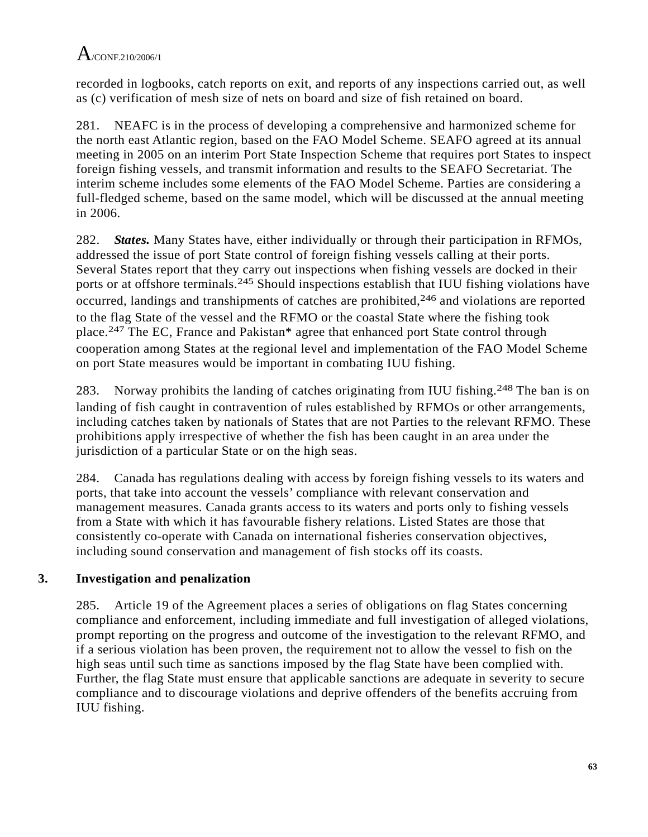recorded in logbooks, catch reports on exit, and reports of any inspections carried out, as well as (c) verification of mesh size of nets on board and size of fish retained on board.

281. NEAFC is in the process of developing a comprehensive and harmonized scheme for the north east Atlantic region, based on the FAO Model Scheme. SEAFO agreed at its annual meeting in 2005 on an interim Port State Inspection Scheme that requires port States to inspect foreign fishing vessels, and transmit information and results to the SEAFO Secretariat. The interim scheme includes some elements of the FAO Model Scheme. Parties are considering a full-fledged scheme, based on the same model, which will be discussed at the annual meeting in 2006.

282. *States.* Many States have, either individually or through their participation in RFMOs, addressed the issue of port State control of foreign fishing vessels calling at their ports. Several States report that they carry out inspections when fishing vessels are docked in their ports or at offshore terminals.245 Should inspections establish that IUU fishing violations have occurred, landings and transhipments of catches are prohibited,<sup>246</sup> and violations are reported to the flag State of the vessel and the RFMO or the coastal State where the fishing took place.247 The EC, France and Pakistan\* agree that enhanced port State control through cooperation among States at the regional level and implementation of the FAO Model Scheme on port State measures would be important in combating IUU fishing.

283. Norway prohibits the landing of catches originating from IUU fishing.<sup>248</sup> The ban is on landing of fish caught in contravention of rules established by RFMOs or other arrangements, including catches taken by nationals of States that are not Parties to the relevant RFMO. These prohibitions apply irrespective of whether the fish has been caught in an area under the jurisdiction of a particular State or on the high seas.

284. Canada has regulations dealing with access by foreign fishing vessels to its waters and ports, that take into account the vessels' compliance with relevant conservation and management measures. Canada grants access to its waters and ports only to fishing vessels from a State with which it has favourable fishery relations. Listed States are those that consistently co-operate with Canada on international fisheries conservation objectives, including sound conservation and management of fish stocks off its coasts.

### **3. Investigation and penalization**

285. Article 19 of the Agreement places a series of obligations on flag States concerning compliance and enforcement, including immediate and full investigation of alleged violations, prompt reporting on the progress and outcome of the investigation to the relevant RFMO, and if a serious violation has been proven, the requirement not to allow the vessel to fish on the high seas until such time as sanctions imposed by the flag State have been complied with. Further, the flag State must ensure that applicable sanctions are adequate in severity to secure compliance and to discourage violations and deprive offenders of the benefits accruing from IUU fishing.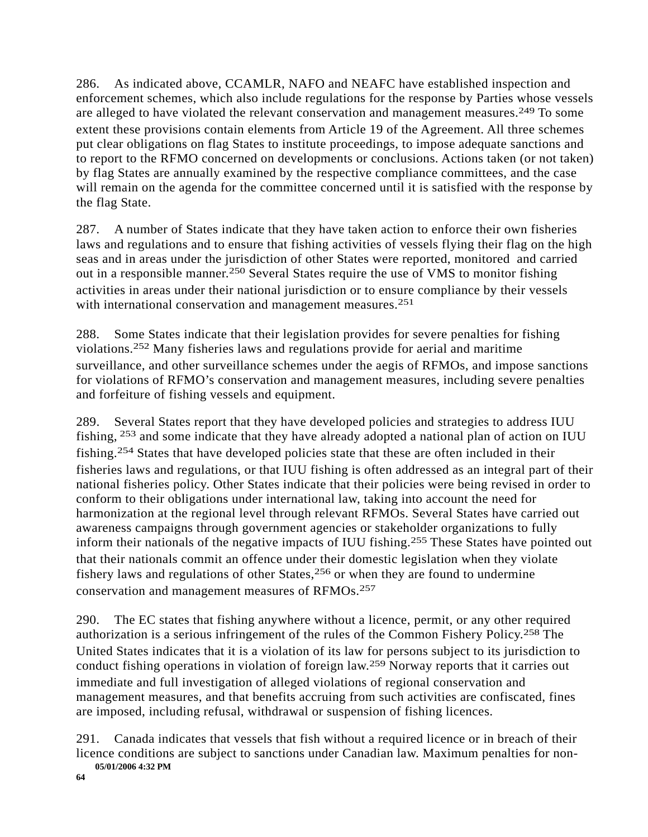286. As indicated above, CCAMLR, NAFO and NEAFC have established inspection and enforcement schemes, which also include regulations for the response by Parties whose vessels are alleged to have violated the relevant conservation and management measures.249 To some extent these provisions contain elements from Article 19 of the Agreement. All three schemes put clear obligations on flag States to institute proceedings, to impose adequate sanctions and to report to the RFMO concerned on developments or conclusions. Actions taken (or not taken) by flag States are annually examined by the respective compliance committees, and the case will remain on the agenda for the committee concerned until it is satisfied with the response by the flag State.

287. A number of States indicate that they have taken action to enforce their own fisheries laws and regulations and to ensure that fishing activities of vessels flying their flag on the high seas and in areas under the jurisdiction of other States were reported, monitored and carried out in a responsible manner.250 Several States require the use of VMS to monitor fishing activities in areas under their national jurisdiction or to ensure compliance by their vessels with international conservation and management measures.<sup>251</sup>

288. Some States indicate that their legislation provides for severe penalties for fishing violations.252 Many fisheries laws and regulations provide for aerial and maritime surveillance, and other surveillance schemes under the aegis of RFMOs, and impose sanctions for violations of RFMO's conservation and management measures, including severe penalties and forfeiture of fishing vessels and equipment.

289. Several States report that they have developed policies and strategies to address IUU fishing, 253 and some indicate that they have already adopted a national plan of action on IUU fishing.254 States that have developed policies state that these are often included in their fisheries laws and regulations, or that IUU fishing is often addressed as an integral part of their national fisheries policy. Other States indicate that their policies were being revised in order to conform to their obligations under international law, taking into account the need for harmonization at the regional level through relevant RFMOs. Several States have carried out awareness campaigns through government agencies or stakeholder organizations to fully inform their nationals of the negative impacts of IUU fishing.255 These States have pointed out that their nationals commit an offence under their domestic legislation when they violate fishery laws and regulations of other States,  $256$  or when they are found to undermine conservation and management measures of RFMOs.257

290. The EC states that fishing anywhere without a licence, permit, or any other required authorization is a serious infringement of the rules of the Common Fishery Policy.258 The United States indicates that it is a violation of its law for persons subject to its jurisdiction to conduct fishing operations in violation of foreign law.259 Norway reports that it carries out immediate and full investigation of alleged violations of regional conservation and management measures, and that benefits accruing from such activities are confiscated, fines are imposed, including refusal, withdrawal or suspension of fishing licences.

291. Canada indicates that vessels that fish without a required licence or in breach of their licence conditions are subject to sanctions under Canadian law. Maximum penalties for non-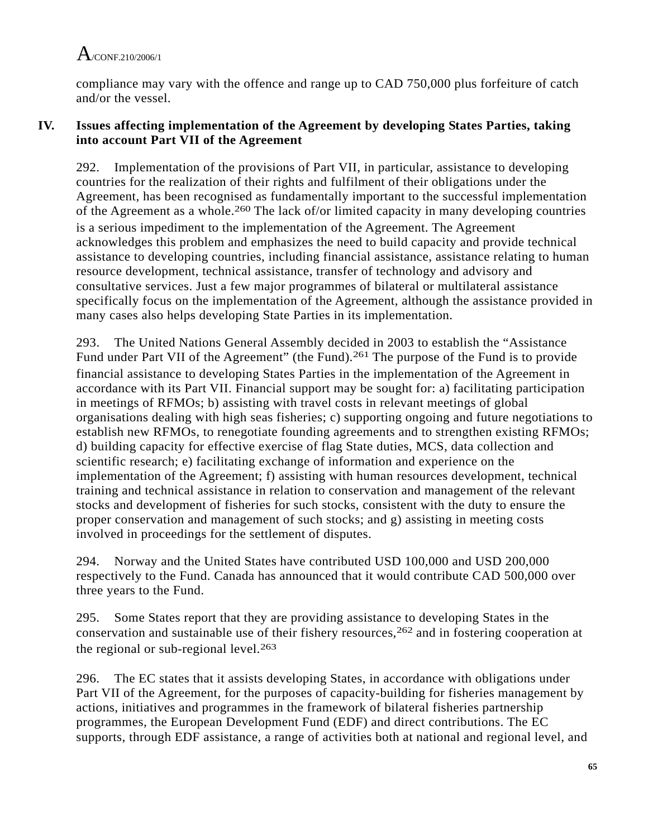compliance may vary with the offence and range up to CAD 750,000 plus forfeiture of catch and/or the vessel.

### **IV. Issues affecting implementation of the Agreement by developing States Parties, taking into account Part VII of the Agreement**

292. Implementation of the provisions of Part VII, in particular, assistance to developing countries for the realization of their rights and fulfilment of their obligations under the Agreement, has been recognised as fundamentally important to the successful implementation of the Agreement as a whole.260 The lack of/or limited capacity in many developing countries is a serious impediment to the implementation of the Agreement. The Agreement acknowledges this problem and emphasizes the need to build capacity and provide technical assistance to developing countries, including financial assistance, assistance relating to human resource development, technical assistance, transfer of technology and advisory and consultative services. Just a few major programmes of bilateral or multilateral assistance specifically focus on the implementation of the Agreement, although the assistance provided in many cases also helps developing State Parties in its implementation.

293. The United Nations General Assembly decided in 2003 to establish the "Assistance Fund under Part VII of the Agreement" (the Fund).<sup>261</sup> The purpose of the Fund is to provide financial assistance to developing States Parties in the implementation of the Agreement in accordance with its Part VII. Financial support may be sought for: a) facilitating participation in meetings of RFMOs; b) assisting with travel costs in relevant meetings of global organisations dealing with high seas fisheries; c) supporting ongoing and future negotiations to establish new RFMOs, to renegotiate founding agreements and to strengthen existing RFMOs; d) building capacity for effective exercise of flag State duties, MCS, data collection and scientific research; e) facilitating exchange of information and experience on the implementation of the Agreement; f) assisting with human resources development, technical training and technical assistance in relation to conservation and management of the relevant stocks and development of fisheries for such stocks, consistent with the duty to ensure the proper conservation and management of such stocks; and g) assisting in meeting costs involved in proceedings for the settlement of disputes.

294. Norway and the United States have contributed USD 100,000 and USD 200,000 respectively to the Fund. Canada has announced that it would contribute CAD 500,000 over three years to the Fund.

295. Some States report that they are providing assistance to developing States in the conservation and sustainable use of their fishery resources,262 and in fostering cooperation at the regional or sub-regional level. $263$ 

296. The EC states that it assists developing States, in accordance with obligations under Part VII of the Agreement, for the purposes of capacity-building for fisheries management by actions, initiatives and programmes in the framework of bilateral fisheries partnership programmes, the European Development Fund (EDF) and direct contributions. The EC supports, through EDF assistance, a range of activities both at national and regional level, and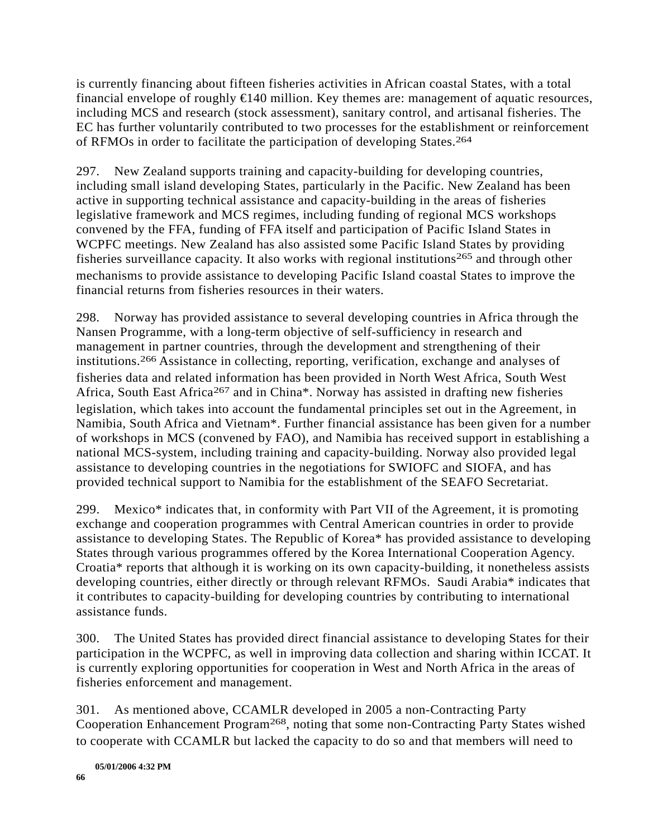is currently financing about fifteen fisheries activities in African coastal States, with a total financial envelope of roughly  $\in$ 140 million. Key themes are: management of aquatic resources, including MCS and research (stock assessment), sanitary control, and artisanal fisheries. The EC has further voluntarily contributed to two processes for the establishment or reinforcement of RFMOs in order to facilitate the participation of developing States.264

297. New Zealand supports training and capacity-building for developing countries, including small island developing States, particularly in the Pacific. New Zealand has been active in supporting technical assistance and capacity-building in the areas of fisheries legislative framework and MCS regimes, including funding of regional MCS workshops convened by the FFA, funding of FFA itself and participation of Pacific Island States in WCPFC meetings. New Zealand has also assisted some Pacific Island States by providing fisheries surveillance capacity. It also works with regional institutions<sup>265</sup> and through other mechanisms to provide assistance to developing Pacific Island coastal States to improve the financial returns from fisheries resources in their waters.

298. Norway has provided assistance to several developing countries in Africa through the Nansen Programme, with a long-term objective of self-sufficiency in research and management in partner countries, through the development and strengthening of their institutions.266 Assistance in collecting, reporting, verification, exchange and analyses of fisheries data and related information has been provided in North West Africa, South West Africa, South East Africa<sup>267</sup> and in China\*. Norway has assisted in drafting new fisheries legislation, which takes into account the fundamental principles set out in the Agreement, in Namibia, South Africa and Vietnam\*. Further financial assistance has been given for a number of workshops in MCS (convened by FAO), and Namibia has received support in establishing a national MCS-system, including training and capacity-building. Norway also provided legal assistance to developing countries in the negotiations for SWIOFC and SIOFA, and has provided technical support to Namibia for the establishment of the SEAFO Secretariat.

299. Mexico\* indicates that, in conformity with Part VII of the Agreement, it is promoting exchange and cooperation programmes with Central American countries in order to provide assistance to developing States. The Republic of Korea\* has provided assistance to developing States through various programmes offered by the Korea International Cooperation Agency. Croatia\* reports that although it is working on its own capacity-building, it nonetheless assists developing countries, either directly or through relevant RFMOs. Saudi Arabia\* indicates that it contributes to capacity-building for developing countries by contributing to international assistance funds.

300. The United States has provided direct financial assistance to developing States for their participation in the WCPFC, as well in improving data collection and sharing within ICCAT. It is currently exploring opportunities for cooperation in West and North Africa in the areas of fisheries enforcement and management.

301. As mentioned above, CCAMLR developed in 2005 a non-Contracting Party Cooperation Enhancement Program268, noting that some non-Contracting Party States wished to cooperate with CCAMLR but lacked the capacity to do so and that members will need to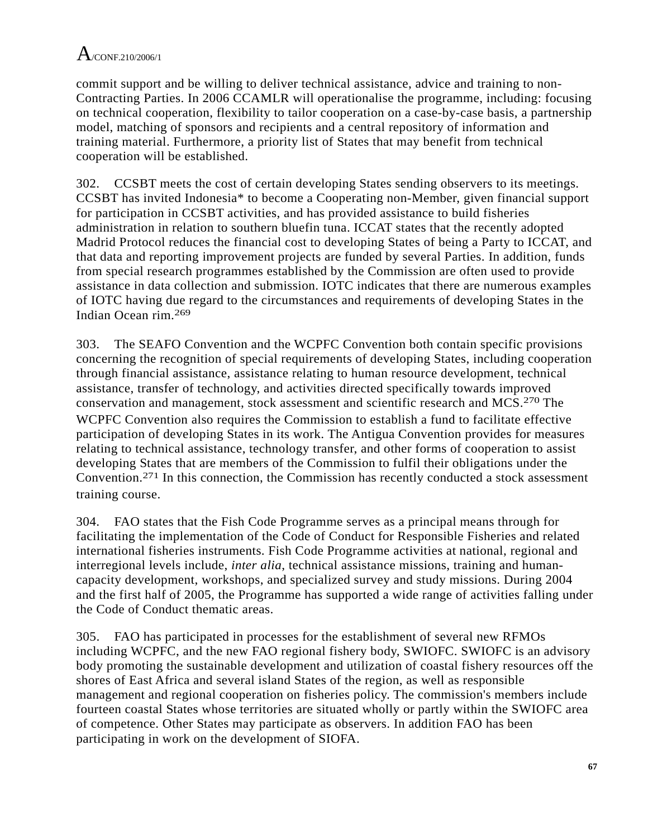commit support and be willing to deliver technical assistance, advice and training to non-Contracting Parties. In 2006 CCAMLR will operationalise the programme, including: focusing on technical cooperation, flexibility to tailor cooperation on a case-by-case basis, a partnership model, matching of sponsors and recipients and a central repository of information and training material. Furthermore, a priority list of States that may benefit from technical cooperation will be established.

302. CCSBT meets the cost of certain developing States sending observers to its meetings. CCSBT has invited Indonesia\* to become a Cooperating non-Member, given financial support for participation in CCSBT activities, and has provided assistance to build fisheries administration in relation to southern bluefin tuna. ICCAT states that the recently adopted Madrid Protocol reduces the financial cost to developing States of being a Party to ICCAT, and that data and reporting improvement projects are funded by several Parties. In addition, funds from special research programmes established by the Commission are often used to provide assistance in data collection and submission. IOTC indicates that there are numerous examples of IOTC having due regard to the circumstances and requirements of developing States in the Indian Ocean rim.269

303. The SEAFO Convention and the WCPFC Convention both contain specific provisions concerning the recognition of special requirements of developing States, including cooperation through financial assistance, assistance relating to human resource development, technical assistance, transfer of technology, and activities directed specifically towards improved conservation and management, stock assessment and scientific research and MCS.270 The WCPFC Convention also requires the Commission to establish a fund to facilitate effective participation of developing States in its work. The Antigua Convention provides for measures relating to technical assistance, technology transfer, and other forms of cooperation to assist developing States that are members of the Commission to fulfil their obligations under the Convention.271 In this connection, the Commission has recently conducted a stock assessment training course.

304. FAO states that the Fish Code Programme serves as a principal means through for facilitating the implementation of the Code of Conduct for Responsible Fisheries and related international fisheries instruments. Fish Code Programme activities at national, regional and interregional levels include, *inter alia*, technical assistance missions, training and humancapacity development, workshops, and specialized survey and study missions. During 2004 and the first half of 2005, the Programme has supported a wide range of activities falling under the Code of Conduct thematic areas.

305. FAO has participated in processes for the establishment of several new RFMOs including WCPFC, and the new FAO regional fishery body, SWIOFC. SWIOFC is an advisory body promoting the sustainable development and utilization of coastal fishery resources off the shores of East Africa and several island States of the region, as well as responsible management and regional cooperation on fisheries policy. The commission's members include fourteen coastal States whose territories are situated wholly or partly within the SWIOFC area of competence. Other States may participate as observers. In addition FAO has been participating in work on the development of SIOFA.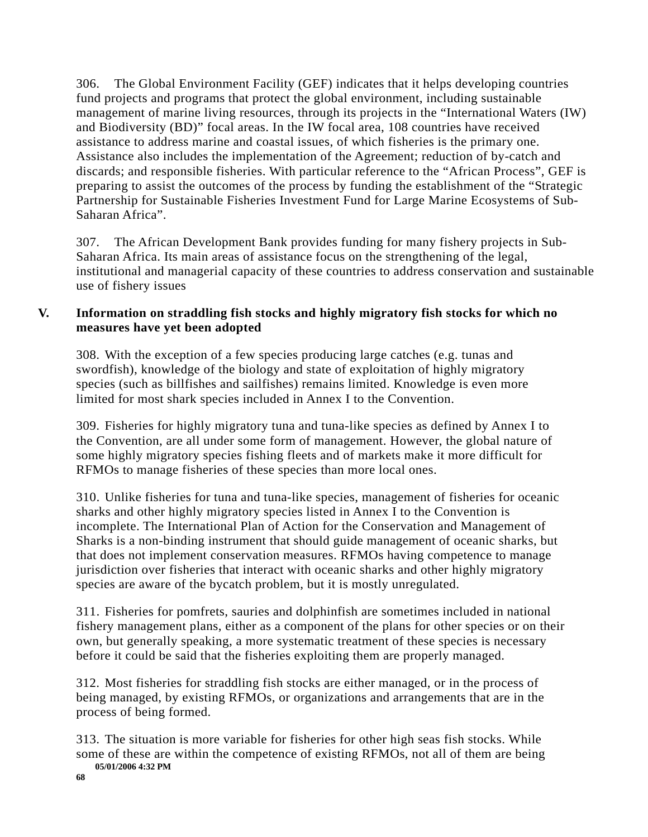306. The Global Environment Facility (GEF) indicates that it helps developing countries fund projects and programs that protect the global environment, including sustainable management of marine living resources, through its projects in the "International Waters (IW) and Biodiversity (BD)" focal areas. In the IW focal area, 108 countries have received assistance to address marine and coastal issues, of which fisheries is the primary one. Assistance also includes the implementation of the Agreement; reduction of by-catch and discards; and responsible fisheries. With particular reference to the "African Process", GEF is preparing to assist the outcomes of the process by funding the establishment of the "Strategic Partnership for Sustainable Fisheries Investment Fund for Large Marine Ecosystems of Sub-Saharan Africa".

307. The African Development Bank provides funding for many fishery projects in Sub-Saharan Africa. Its main areas of assistance focus on the strengthening of the legal, institutional and managerial capacity of these countries to address conservation and sustainable use of fishery issues

### **V. Information on straddling fish stocks and highly migratory fish stocks for which no measures have yet been adopted**

308. With the exception of a few species producing large catches (e.g. tunas and swordfish), knowledge of the biology and state of exploitation of highly migratory species (such as billfishes and sailfishes) remains limited. Knowledge is even more limited for most shark species included in Annex I to the Convention.

309. Fisheries for highly migratory tuna and tuna-like species as defined by Annex I to the Convention, are all under some form of management. However, the global nature of some highly migratory species fishing fleets and of markets make it more difficult for RFMOs to manage fisheries of these species than more local ones.

310. Unlike fisheries for tuna and tuna-like species, management of fisheries for oceanic sharks and other highly migratory species listed in Annex I to the Convention is incomplete. The International Plan of Action for the Conservation and Management of Sharks is a non-binding instrument that should guide management of oceanic sharks, but that does not implement conservation measures. RFMOs having competence to manage jurisdiction over fisheries that interact with oceanic sharks and other highly migratory species are aware of the bycatch problem, but it is mostly unregulated.

311. Fisheries for pomfrets, sauries and dolphinfish are sometimes included in national fishery management plans, either as a component of the plans for other species or on their own, but generally speaking, a more systematic treatment of these species is necessary before it could be said that the fisheries exploiting them are properly managed.

312. Most fisheries for straddling fish stocks are either managed, or in the process of being managed, by existing RFMOs, or organizations and arrangements that are in the process of being formed.

313. The situation is more variable for fisheries for other high seas fish stocks. While some of these are within the competence of existing RFMOs, not all of them are being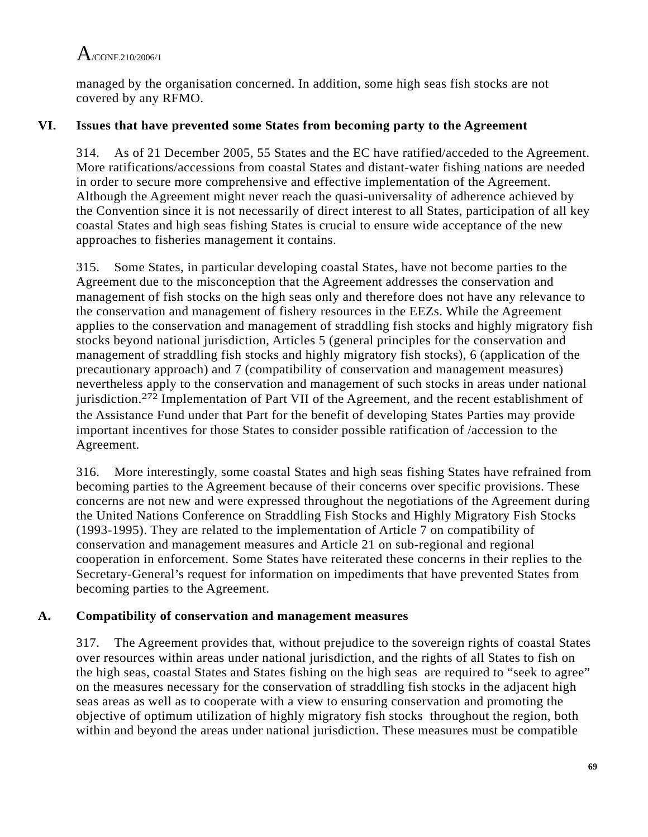managed by the organisation concerned. In addition, some high seas fish stocks are not covered by any RFMO.

### **VI. Issues that have prevented some States from becoming party to the Agreement**

314. As of 21 December 2005, 55 States and the EC have ratified/acceded to the Agreement. More ratifications/accessions from coastal States and distant-water fishing nations are needed in order to secure more comprehensive and effective implementation of the Agreement. Although the Agreement might never reach the quasi-universality of adherence achieved by the Convention since it is not necessarily of direct interest to all States, participation of all key coastal States and high seas fishing States is crucial to ensure wide acceptance of the new approaches to fisheries management it contains.

315. Some States, in particular developing coastal States, have not become parties to the Agreement due to the misconception that the Agreement addresses the conservation and management of fish stocks on the high seas only and therefore does not have any relevance to the conservation and management of fishery resources in the EEZs. While the Agreement applies to the conservation and management of straddling fish stocks and highly migratory fish stocks beyond national jurisdiction, Articles 5 (general principles for the conservation and management of straddling fish stocks and highly migratory fish stocks), 6 (application of the precautionary approach) and 7 (compatibility of conservation and management measures) nevertheless apply to the conservation and management of such stocks in areas under national jurisdiction.272 Implementation of Part VII of the Agreement, and the recent establishment of the Assistance Fund under that Part for the benefit of developing States Parties may provide important incentives for those States to consider possible ratification of /accession to the Agreement.

316. More interestingly, some coastal States and high seas fishing States have refrained from becoming parties to the Agreement because of their concerns over specific provisions. These concerns are not new and were expressed throughout the negotiations of the Agreement during the United Nations Conference on Straddling Fish Stocks and Highly Migratory Fish Stocks (1993-1995). They are related to the implementation of Article 7 on compatibility of conservation and management measures and Article 21 on sub-regional and regional cooperation in enforcement. Some States have reiterated these concerns in their replies to the Secretary-General's request for information on impediments that have prevented States from becoming parties to the Agreement.

### **A. Compatibility of conservation and management measures**

317. The Agreement provides that, without prejudice to the sovereign rights of coastal States over resources within areas under national jurisdiction, and the rights of all States to fish on the high seas, coastal States and States fishing on the high seas are required to "seek to agree" on the measures necessary for the conservation of straddling fish stocks in the adjacent high seas areas as well as to cooperate with a view to ensuring conservation and promoting the objective of optimum utilization of highly migratory fish stocks throughout the region, both within and beyond the areas under national jurisdiction. These measures must be compatible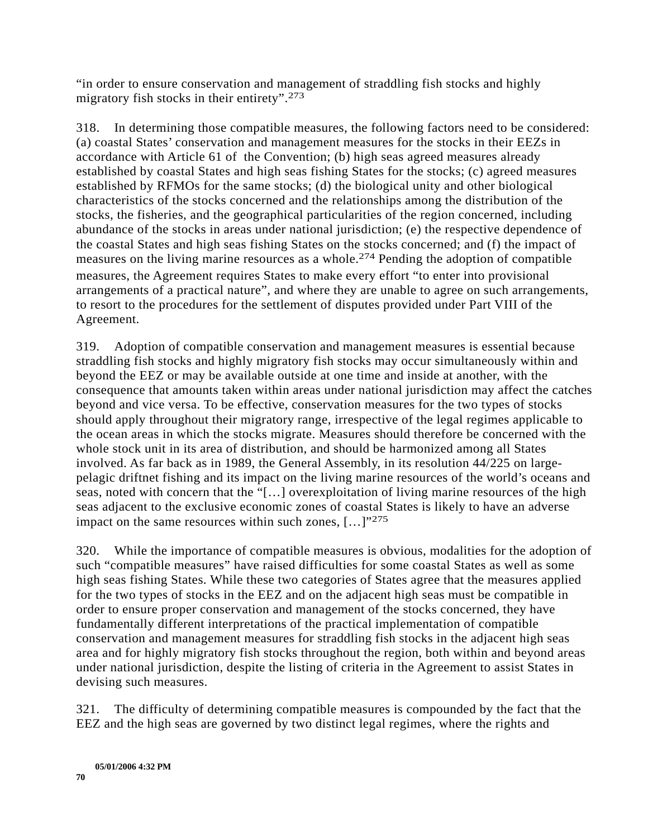"in order to ensure conservation and management of straddling fish stocks and highly migratory fish stocks in their entirety".273

318. In determining those compatible measures, the following factors need to be considered: (a) coastal States' conservation and management measures for the stocks in their EEZs in accordance with Article 61 of the Convention; (b) high seas agreed measures already established by coastal States and high seas fishing States for the stocks; (c) agreed measures established by RFMOs for the same stocks; (d) the biological unity and other biological characteristics of the stocks concerned and the relationships among the distribution of the stocks, the fisheries, and the geographical particularities of the region concerned, including abundance of the stocks in areas under national jurisdiction; (e) the respective dependence of the coastal States and high seas fishing States on the stocks concerned; and (f) the impact of measures on the living marine resources as a whole.274 Pending the adoption of compatible measures, the Agreement requires States to make every effort "to enter into provisional arrangements of a practical nature", and where they are unable to agree on such arrangements, to resort to the procedures for the settlement of disputes provided under Part VIII of the Agreement.

319. Adoption of compatible conservation and management measures is essential because straddling fish stocks and highly migratory fish stocks may occur simultaneously within and beyond the EEZ or may be available outside at one time and inside at another, with the consequence that amounts taken within areas under national jurisdiction may affect the catches beyond and vice versa. To be effective, conservation measures for the two types of stocks should apply throughout their migratory range, irrespective of the legal regimes applicable to the ocean areas in which the stocks migrate. Measures should therefore be concerned with the whole stock unit in its area of distribution, and should be harmonized among all States involved. As far back as in 1989, the General Assembly, in its resolution 44/225 on largepelagic driftnet fishing and its impact on the living marine resources of the world's oceans and seas, noted with concern that the "[…] overexploitation of living marine resources of the high seas adjacent to the exclusive economic zones of coastal States is likely to have an adverse impact on the same resources within such zones,  $[...]^{275}$ 

320. While the importance of compatible measures is obvious, modalities for the adoption of such "compatible measures" have raised difficulties for some coastal States as well as some high seas fishing States. While these two categories of States agree that the measures applied for the two types of stocks in the EEZ and on the adjacent high seas must be compatible in order to ensure proper conservation and management of the stocks concerned, they have fundamentally different interpretations of the practical implementation of compatible conservation and management measures for straddling fish stocks in the adjacent high seas area and for highly migratory fish stocks throughout the region, both within and beyond areas under national jurisdiction, despite the listing of criteria in the Agreement to assist States in devising such measures.

321. The difficulty of determining compatible measures is compounded by the fact that the EEZ and the high seas are governed by two distinct legal regimes, where the rights and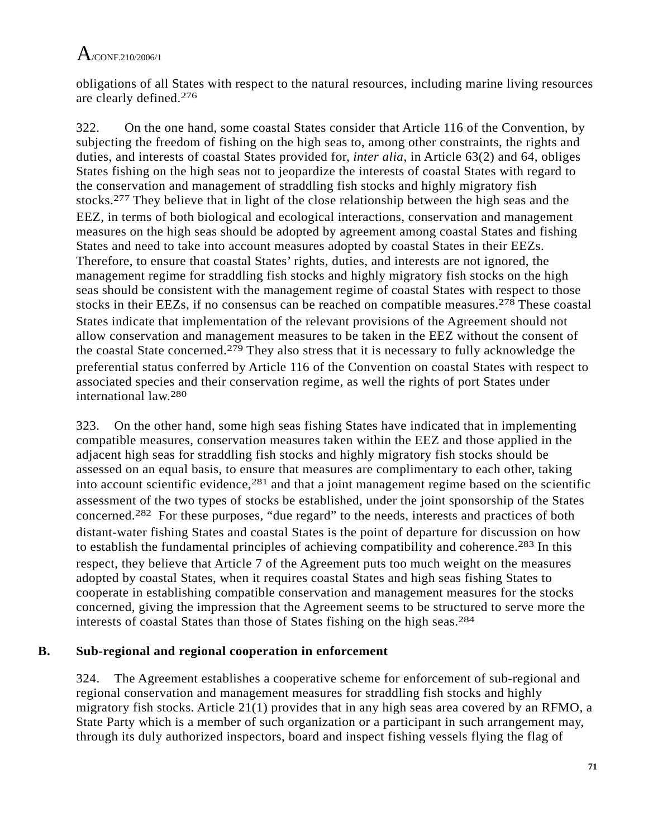obligations of all States with respect to the natural resources, including marine living resources are clearly defined.276

322. On the one hand, some coastal States consider that Article 116 of the Convention, by subjecting the freedom of fishing on the high seas to, among other constraints, the rights and duties, and interests of coastal States provided for, *inter alia*, in Article 63(2) and 64, obliges States fishing on the high seas not to jeopardize the interests of coastal States with regard to the conservation and management of straddling fish stocks and highly migratory fish stocks.277 They believe that in light of the close relationship between the high seas and the EEZ, in terms of both biological and ecological interactions, conservation and management measures on the high seas should be adopted by agreement among coastal States and fishing States and need to take into account measures adopted by coastal States in their EEZs. Therefore, to ensure that coastal States' rights, duties, and interests are not ignored, the management regime for straddling fish stocks and highly migratory fish stocks on the high seas should be consistent with the management regime of coastal States with respect to those stocks in their EEZs, if no consensus can be reached on compatible measures.<sup>278</sup> These coastal States indicate that implementation of the relevant provisions of the Agreement should not allow conservation and management measures to be taken in the EEZ without the consent of the coastal State concerned.279 They also stress that it is necessary to fully acknowledge the preferential status conferred by Article 116 of the Convention on coastal States with respect to associated species and their conservation regime, as well the rights of port States under international law.280

323. On the other hand, some high seas fishing States have indicated that in implementing compatible measures, conservation measures taken within the EEZ and those applied in the adjacent high seas for straddling fish stocks and highly migratory fish stocks should be assessed on an equal basis, to ensure that measures are complimentary to each other, taking into account scientific evidence,  $281$  and that a joint management regime based on the scientific assessment of the two types of stocks be established, under the joint sponsorship of the States concerned.282 For these purposes, "due regard" to the needs, interests and practices of both distant-water fishing States and coastal States is the point of departure for discussion on how to establish the fundamental principles of achieving compatibility and coherence.283 In this respect, they believe that Article 7 of the Agreement puts too much weight on the measures adopted by coastal States, when it requires coastal States and high seas fishing States to cooperate in establishing compatible conservation and management measures for the stocks concerned, giving the impression that the Agreement seems to be structured to serve more the interests of coastal States than those of States fishing on the high seas.284

### **B. Sub-regional and regional cooperation in enforcement**

324. The Agreement establishes a cooperative scheme for enforcement of sub-regional and regional conservation and management measures for straddling fish stocks and highly migratory fish stocks. Article 21(1) provides that in any high seas area covered by an RFMO, a State Party which is a member of such organization or a participant in such arrangement may, through its duly authorized inspectors, board and inspect fishing vessels flying the flag of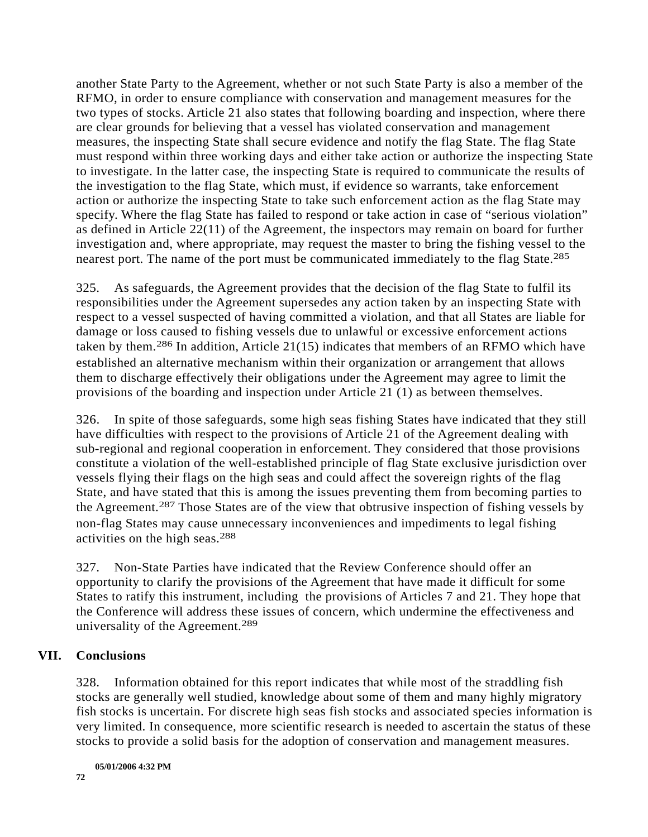another State Party to the Agreement, whether or not such State Party is also a member of the RFMO, in order to ensure compliance with conservation and management measures for the two types of stocks. Article 21 also states that following boarding and inspection, where there are clear grounds for believing that a vessel has violated conservation and management measures, the inspecting State shall secure evidence and notify the flag State. The flag State must respond within three working days and either take action or authorize the inspecting State to investigate. In the latter case, the inspecting State is required to communicate the results of the investigation to the flag State, which must, if evidence so warrants, take enforcement action or authorize the inspecting State to take such enforcement action as the flag State may specify. Where the flag State has failed to respond or take action in case of "serious violation" as defined in Article 22(11) of the Agreement, the inspectors may remain on board for further investigation and, where appropriate, may request the master to bring the fishing vessel to the nearest port. The name of the port must be communicated immediately to the flag State.<sup>285</sup>

325. As safeguards, the Agreement provides that the decision of the flag State to fulfil its responsibilities under the Agreement supersedes any action taken by an inspecting State with respect to a vessel suspected of having committed a violation, and that all States are liable for damage or loss caused to fishing vessels due to unlawful or excessive enforcement actions taken by them.286 In addition, Article 21(15) indicates that members of an RFMO which have established an alternative mechanism within their organization or arrangement that allows them to discharge effectively their obligations under the Agreement may agree to limit the provisions of the boarding and inspection under Article 21 (1) as between themselves.

326. In spite of those safeguards, some high seas fishing States have indicated that they still have difficulties with respect to the provisions of Article 21 of the Agreement dealing with sub-regional and regional cooperation in enforcement. They considered that those provisions constitute a violation of the well-established principle of flag State exclusive jurisdiction over vessels flying their flags on the high seas and could affect the sovereign rights of the flag State, and have stated that this is among the issues preventing them from becoming parties to the Agreement.287 Those States are of the view that obtrusive inspection of fishing vessels by non-flag States may cause unnecessary inconveniences and impediments to legal fishing activities on the high seas.288

327. Non-State Parties have indicated that the Review Conference should offer an opportunity to clarify the provisions of the Agreement that have made it difficult for some States to ratify this instrument, including the provisions of Articles 7 and 21. They hope that the Conference will address these issues of concern, which undermine the effectiveness and universality of the Agreement.289

### **VII. Conclusions**

328. Information obtained for this report indicates that while most of the straddling fish stocks are generally well studied, knowledge about some of them and many highly migratory fish stocks is uncertain. For discrete high seas fish stocks and associated species information is very limited. In consequence, more scientific research is needed to ascertain the status of these stocks to provide a solid basis for the adoption of conservation and management measures.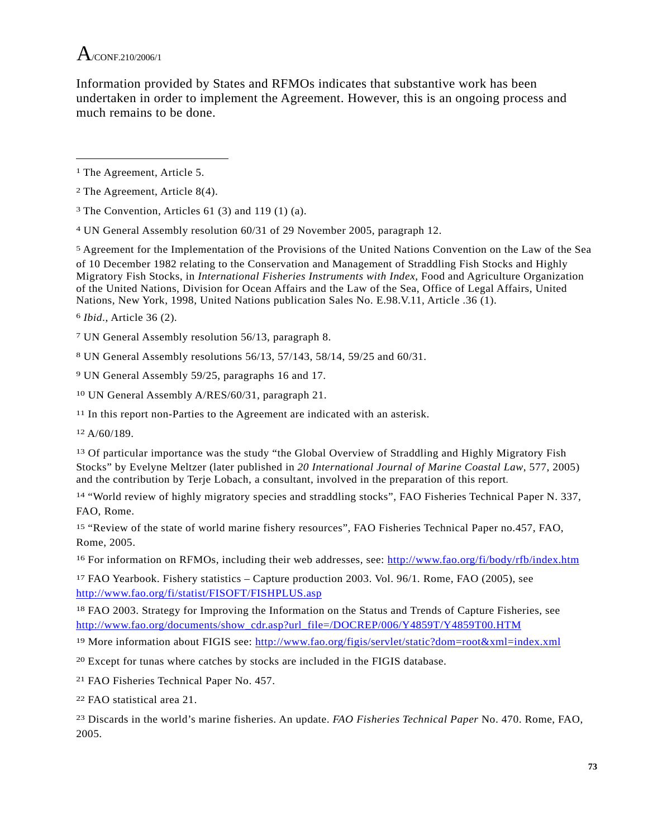

Information provided by States and RFMOs indicates that substantive work has been undertaken in order to implement the Agreement. However, this is an ongoing process and much remains to be done.

5 Agreement for the Implementation of the Provisions of the United Nations Convention on the Law of the Sea of 10 December 1982 relating to the Conservation and Management of Straddling Fish Stocks and Highly Migratory Fish Stocks, in *International Fisheries Instruments with Index*, Food and Agriculture Organization of the United Nations, Division for Ocean Affairs and the Law of the Sea, Office of Legal Affairs, United Nations, New York, 1998, United Nations publication Sales No. E.98.V.11, Article .36 (1).

6 *Ibid*., Article 36 (2).

7 UN General Assembly resolution 56/13, paragraph 8.

8 UN General Assembly resolutions 56/13, 57/143, 58/14, 59/25 and 60/31.

9 UN General Assembly 59/25, paragraphs 16 and 17.

10 UN General Assembly A/RES/60/31, paragraph 21.

<sup>11</sup> In this report non-Parties to the Agreement are indicated with an asterisk.

12 A/60/189.

13 Of particular importance was the study "the Global Overview of Straddling and Highly Migratory Fish Stocks" by Evelyne Meltzer (later published in *20 International Journal of Marine Coastal Law*, 577, 2005) and the contribution by Terje Lobach, a consultant, involved in the preparation of this report.

14 "World review of highly migratory species and straddling stocks", FAO Fisheries Technical Paper N. 337, FAO, Rome.

15 "Review of the state of world marine fishery resources", FAO Fisheries Technical Paper no.457, FAO, Rome, 2005.

16 For information on RFMOs, including their web addresses, see: http://www.fao.org/fi/body/rfb/index.htm

17 FAO Yearbook. Fishery statistics – Capture production 2003. Vol. 96/1. Rome, FAO (2005), see http://www.fao.org/fi/statist/FISOFT/FISHPLUS.asp

18 FAO 2003. Strategy for Improving the Information on the Status and Trends of Capture Fisheries, see http://www.fao.org/documents/show\_cdr.asp?url\_file=/DOCREP/006/Y4859T/Y4859T00.HTM

19 More information about FIGIS see: http://www.fao.org/figis/servlet/static?dom=root&xml=index.xml

20 Except for tunas where catches by stocks are included in the FIGIS database.

21 FAO Fisheries Technical Paper No. 457.

22 FAO statistical area 21.

23 Discards in the world's marine fisheries. An update. *FAO Fisheries Technical Paper* No. 470. Rome, FAO, 2005.

<sup>1</sup> The Agreement, Article 5.

<sup>2</sup> The Agreement, Article 8(4).

 $3$  The Convention, Articles 61 (3) and 119 (1) (a).

<sup>4</sup> UN General Assembly resolution 60/31 of 29 November 2005, paragraph 12.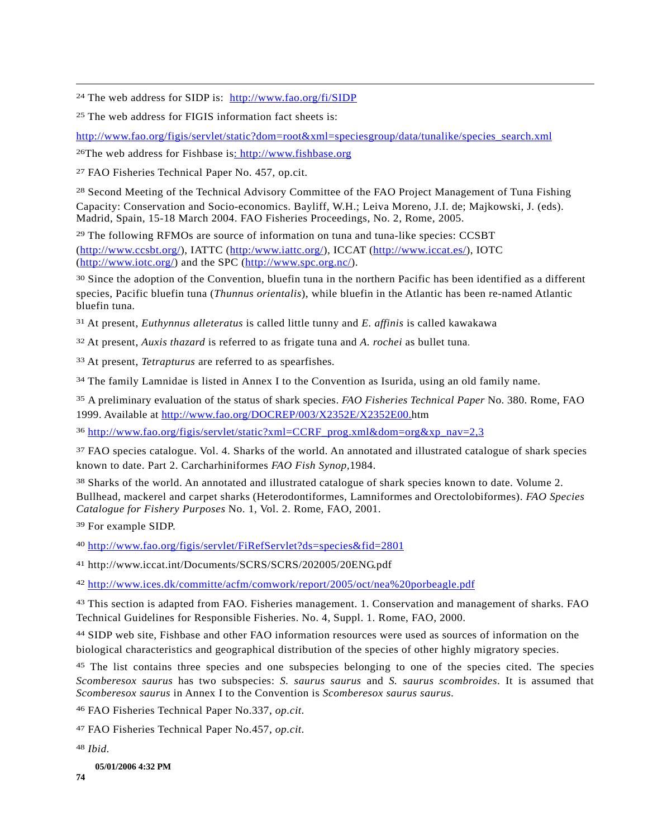24 The web address for SIDP is: http://www.fao.org/fi/SIDP

25 The web address for FIGIS information fact sheets is:

http://www.fao.org/figis/servlet/static?dom=root&xml=speciesgroup/data/tunalike/species\_search.xml

26The web address for Fishbase is: http://www.fishbase.org

27 FAO Fisheries Technical Paper No. 457, op.cit.

 $\overline{a}$ 

<sup>28</sup> Second Meeting of the Technical Advisory Committee of the FAO Project Management of Tuna Fishing Capacity: Conservation and Socio-economics. Bayliff, W.H.; Leiva Moreno, J.I. de; Majkowski, J. (eds). Madrid, Spain, 15-18 March 2004. FAO Fisheries Proceedings, No. 2, Rome, 2005.

29 The following RFMOs are source of information on tuna and tuna-like species: CCSBT (http://www.ccsbt.org/), IATTC (http:/www.iattc.org/), ICCAT (http://www.iccat.es/), IOTC (http://www.iotc.org/) and the SPC (http://www.spc.org.nc/).

<sup>30</sup> Since the adoption of the Convention, bluefin tuna in the northern Pacific has been identified as a different species, Pacific bluefin tuna (*Thunnus orientalis*), while bluefin in the Atlantic has been re-named Atlantic bluefin tuna.

31 At present, *Euthynnus alleteratus* is called little tunny and *E. affinis* is called kawakawa

32 At present, *Auxis thazard* is referred to as frigate tuna and *A. rochei* as bullet tuna.

33 At present, *Tetrapturus* are referred to as spearfishes*.*

34 The family Lamnidae is listed in Annex I to the Convention as Isurida, using an old family name.

35 A preliminary evaluation of the status of shark species. *FAO Fisheries Technical Paper* No. 380. Rome, FAO 1999. Available at http://www.fao.org/DOCREP/003/X2352E/X2352E00.htm

36 http://www.fao.org/figis/servlet/static?xml=CCRF\_prog.xml&dom=org&xp\_nav=2,3

37 FAO species catalogue. Vol. 4. Sharks of the world. An annotated and illustrated catalogue of shark species known to date. Part 2. Carcharhiniformes *FAO Fish Synop,*1984.

38 Sharks of the world. An annotated and illustrated catalogue of shark species known to date. Volume 2. Bullhead, mackerel and carpet sharks (Heterodontiformes, Lamniformes and Orectolobiformes). *FAO Species Catalogue for Fishery Purposes* No. 1, Vol. 2. Rome, FAO, 2001.

39 For example SIDP.

40 http://www.fao.org/figis/servlet/FiRefServlet?ds=species&fid=2801

41 http://www.iccat.int/Documents/SCRS/SCRS/202005/20ENG.pdf

42 http://www.ices.dk/committe/acfm/comwork/report/2005/oct/nea%20porbeagle.pdf

43 This section is adapted from FAO. Fisheries management. 1. Conservation and management of sharks. FAO Technical Guidelines for Responsible Fisheries. No. 4, Suppl. 1. Rome, FAO, 2000.

44 SIDP web site, Fishbase and other FAO information resources were used as sources of information on the biological characteristics and geographical distribution of the species of other highly migratory species.

<sup>45</sup> The list contains three species and one subspecies belonging to one of the species cited. The species *Scomberesox saurus* has two subspecies: *S. saurus saurus* and *S. saurus scombroides*. It is assumed that *Scomberesox saurus* in Annex I to the Convention is *Scomberesox saurus saurus.*

46 FAO Fisheries Technical Paper No.337, *op.cit.*

47 FAO Fisheries Technical Paper No.457, *op.cit.*

48 *Ibid.*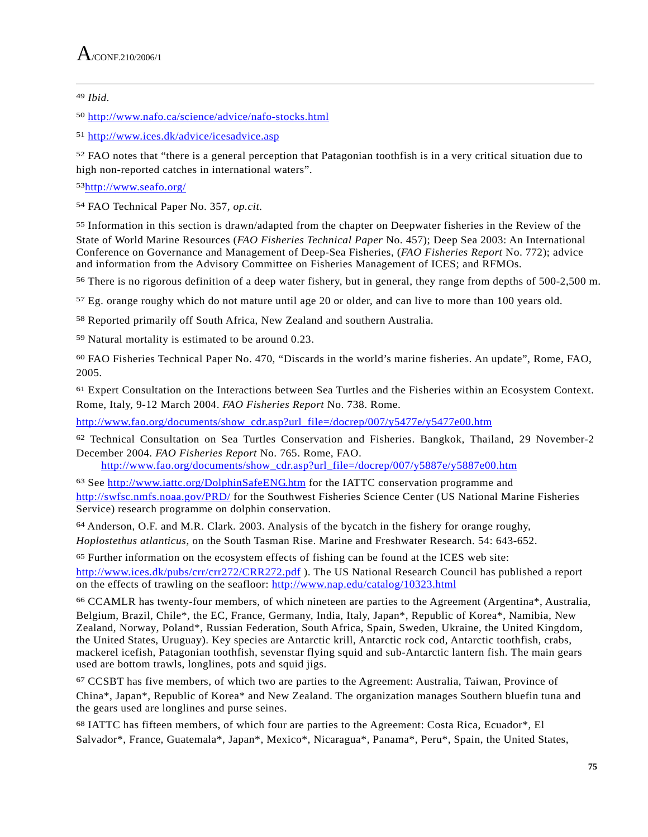## 49 *Ibid.*

 $\overline{a}$ 

50 http://www.nafo.ca/science/advice/nafo-stocks.html

51 http://www.ices.dk/advice/icesadvice.asp

52 FAO notes that "there is a general perception that Patagonian toothfish is in a very critical situation due to high non-reported catches in international waters".

53http://www.seafo.org/

54 FAO Technical Paper No. 357, *op.cit.*

55 Information in this section is drawn/adapted from the chapter on Deepwater fisheries in the Review of the State of World Marine Resources (*FAO Fisheries Technical Paper* No. 457); Deep Sea 2003: An International Conference on Governance and Management of Deep-Sea Fisheries, (*FAO Fisheries Report* No. 772); advice and information from the Advisory Committee on Fisheries Management of ICES; and RFMOs.

56 There is no rigorous definition of a deep water fishery, but in general, they range from depths of 500-2,500 m.

57 Eg. orange roughy which do not mature until age 20 or older, and can live to more than 100 years old.

58 Reported primarily off South Africa, New Zealand and southern Australia.

59 Natural mortality is estimated to be around 0.23.

60 FAO Fisheries Technical Paper No. 470, "Discards in the world's marine fisheries. An update", Rome, FAO, 2005.

61 Expert Consultation on the Interactions between Sea Turtles and the Fisheries within an Ecosystem Context. Rome, Italy, 9-12 March 2004. *FAO Fisheries Report* No. 738. Rome.

http://www.fao.org/documents/show\_cdr.asp?url\_file=/docrep/007/y5477e/y5477e00.htm

62 Technical Consultation on Sea Turtles Conservation and Fisheries. Bangkok, Thailand, 29 November-2 December 2004. *FAO Fisheries Report* No. 765. Rome, FAO.

http://www.fao.org/documents/show\_cdr.asp?url\_file=/docrep/007/y5887e/y5887e00.htm

<sup>63</sup> See http://www.iattc.org/DolphinSafeENG.htm for the IATTC conservation programme and http://swfsc.nmfs.noaa.gov/PRD/ for the Southwest Fisheries Science Center (US National Marine Fisheries Service) research programme on dolphin conservation.

64 Anderson, O.F. and M.R. Clark. 2003. Analysis of the bycatch in the fishery for orange roughy, *Hoplostethus atlanticus*, on the South Tasman Rise. Marine and Freshwater Research. 54: 643-652.

65 Further information on the ecosystem effects of fishing can be found at the ICES web site: http://www.ices.dk/pubs/crr/crr272/CRR272.pdf ). The US National Research Council has published a report on the effects of trawling on the seafloor: http://www.nap.edu/catalog/10323.html

66 CCAMLR has twenty-four members, of which nineteen are parties to the Agreement (Argentina\*, Australia, Belgium, Brazil, Chile\*, the EC, France, Germany, India, Italy, Japan\*, Republic of Korea\*, Namibia, New Zealand, Norway*,* Poland\*, Russian Federation, South Africa, Spain, Sweden, Ukraine, the United Kingdom, the United States, Uruguay). Key species are Antarctic krill, Antarctic rock cod, Antarctic toothfish, crabs, mackerel icefish, Patagonian toothfish, sevenstar flying squid and sub-Antarctic lantern fish. The main gears used are bottom trawls, longlines, pots and squid jigs.

67 CCSBT has five members, of which two are parties to the Agreement: Australia, Taiwan, Province of China\*, Japan\*, Republic of Korea\* and New Zealand. The organization manages Southern bluefin tuna and the gears used are longlines and purse seines.

68 IATTC has fifteen members, of which four are parties to the Agreement: Costa Rica, Ecuador\*, El Salvador\*, France, Guatemala\*, Japan\*, Mexico\*, Nicaragua\*, Panama\*, Peru\*, Spain, the United States,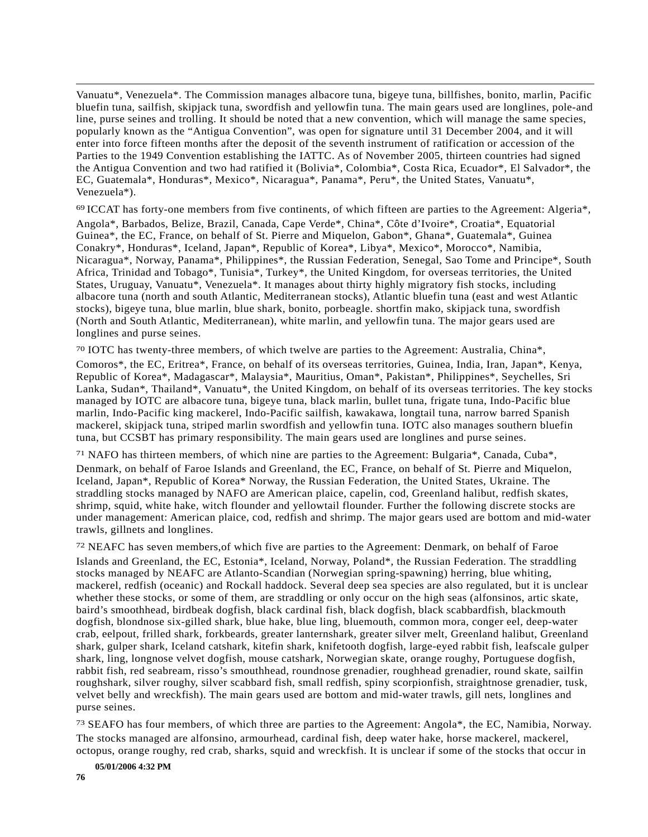Vanuatu\*, Venezuela\*. The Commission manages albacore tuna, bigeye tuna, billfishes, bonito, marlin, Pacific bluefin tuna, sailfish, skipjack tuna, swordfish and yellowfin tuna. The main gears used are longlines, pole-and line, purse seines and trolling. It should be noted that a new convention, which will manage the same species, popularly known as the "Antigua Convention", was open for signature until 31 December 2004, and it will enter into force fifteen months after the deposit of the seventh instrument of ratification or accession of the Parties to the 1949 Convention establishing the IATTC. As of November 2005, thirteen countries had signed the Antigua Convention and two had ratified it (Bolivia\*, Colombia\*, Costa Rica, Ecuador\*, El Salvador\*, the EC*,* Guatemala\*, Honduras\*, Mexico\*, Nicaragua\*, Panama\*, Peru\*, the United States, Vanuatu\*, Venezuela\*).

69 ICCAT has forty-one members from five continents, of which fifteen are parties to the Agreement: Algeria\*, Angola\*, Barbados, Belize, Brazil, Canada, Cape Verde\*, China\*, Côte d'Ivoire\*, Croatia\*, Equatorial Guinea\*, the EC, France, on behalf of St. Pierre and Miquelon, Gabon\*, Ghana\*, Guatemala\*, Guinea Conakry\*, Honduras\*, Iceland, Japan\*, Republic of Korea\*, Libya\*, Mexico\*, Morocco\*, Namibia, Nicaragua\*, Norway, Panama\*, Philippines\*, the Russian Federation, Senegal*,* Sao Tome and Principe\*, South Africa, Trinidad and Tobago\*, Tunisia\*, Turkey\*, the United Kingdom, for overseas territories, the United States, Uruguay, Vanuatu\*, Venezuela\*. It manages about thirty highly migratory fish stocks, including albacore tuna (north and south Atlantic, Mediterranean stocks), Atlantic bluefin tuna (east and west Atlantic stocks), bigeye tuna, blue marlin, blue shark, bonito, porbeagle. shortfin mako, skipjack tuna, swordfish (North and South Atlantic, Mediterranean), white marlin, and yellowfin tuna. The major gears used are longlines and purse seines.

70 IOTC has twenty-three members, of which twelve are parties to the Agreement: Australia, China\*,

Comoros\*, the EC, Eritrea\*, France, on behalf of its overseas territories, Guinea, India, Iran, Japan\*, Kenya, Republic of Korea\*, Madagascar\*, Malaysia\*, Mauritius, Oman\*, Pakistan\*, Philippines\*, Seychelles, Sri Lanka, Sudan\*, Thailand\*, Vanuatu\*, the United Kingdom, on behalf of its overseas territories. The key stocks managed by IOTC are albacore tuna, bigeye tuna, black marlin, bullet tuna, frigate tuna, Indo-Pacific blue marlin, Indo-Pacific king mackerel, Indo-Pacific sailfish, kawakawa, longtail tuna, narrow barred Spanish mackerel, skipjack tuna, striped marlin swordfish and yellowfin tuna. IOTC also manages southern bluefin tuna, but CCSBT has primary responsibility. The main gears used are longlines and purse seines.

71 NAFO has thirteen members, of which nine are parties to the Agreement: Bulgaria\*, Canada, Cuba\*,

Denmark, on behalf of Faroe Islands and Greenland, the EC, France, on behalf of St. Pierre and Miquelon, Iceland, Japan\*, Republic of Korea\* Norway, the Russian Federation, the United States, Ukraine. The straddling stocks managed by NAFO are American plaice, capelin, cod, Greenland halibut, redfish skates, shrimp, squid, white hake, witch flounder and yellowtail flounder. Further the following discrete stocks are under management: American plaice, cod, redfish and shrimp. The major gears used are bottom and mid-water trawls, gillnets and longlines.

72 NEAFC has seven members,of which five are parties to the Agreement: Denmark, on behalf of Faroe Islands and Greenland, the EC, Estonia\*, Iceland, Norway, Poland\*, the Russian Federation. The straddling stocks managed by NEAFC are Atlanto-Scandian (Norwegian spring-spawning) herring, blue whiting, mackerel, redfish (oceanic) and Rockall haddock. Several deep sea species are also regulated, but it is unclear whether these stocks, or some of them, are straddling or only occur on the high seas (alfonsinos, artic skate, baird's smoothhead, birdbeak dogfish, black cardinal fish, black dogfish, black scabbardfish, blackmouth dogfish, blondnose six-gilled shark, blue hake, blue ling, bluemouth, common mora, conger eel, deep-water crab, eelpout, frilled shark, forkbeards, greater lanternshark, greater silver melt, Greenland halibut, Greenland shark, gulper shark, Iceland catshark, kitefin shark, knifetooth dogfish, large-eyed rabbit fish, leafscale gulper shark, ling, longnose velvet dogfish, mouse catshark, Norwegian skate, orange roughy, Portuguese dogfish, rabbit fish, red seabream, risso's smouthhead, roundnose grenadier, roughhead grenadier, round skate, sailfin roughshark, silver roughy, silver scabbard fish, small redfish, spiny scorpionfish, straightnose grenadier, tusk, velvet belly and wreckfish). The main gears used are bottom and mid-water trawls, gill nets, longlines and purse seines.

73 SEAFO has four members, of which three are parties to the Agreement: Angola\*, the EC, Namibia, Norway. The stocks managed are alfonsino, armourhead, cardinal fish, deep water hake, horse mackerel, mackerel, octopus, orange roughy, red crab, sharks, squid and wreckfish. It is unclear if some of the stocks that occur in

**05/01/2006 4:32 PM** 

 $\overline{a}$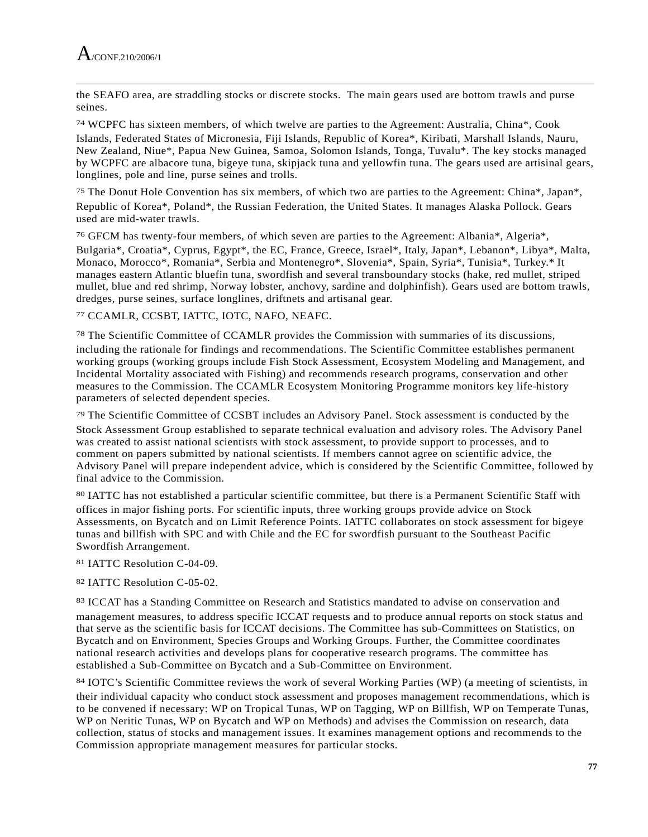the SEAFO area, are straddling stocks or discrete stocks. The main gears used are bottom trawls and purse seines.

74 WCPFC has sixteen members, of which twelve are parties to the Agreement: Australia, China\*, Cook Islands, Federated States of Micronesia, Fiji Islands, Republic of Korea\*, Kiribati, Marshall Islands, Nauru, New Zealand, Niue\*, Papua New Guinea, Samoa, Solomon Islands, Tonga, Tuvalu\*. The key stocks managed by WCPFC are albacore tuna, bigeye tuna, skipjack tuna and yellowfin tuna. The gears used are artisinal gears, longlines, pole and line, purse seines and trolls.

75 The Donut Hole Convention has six members, of which two are parties to the Agreement: China\*, Japan\*, Republic of Korea\*, Poland\*, the Russian Federation, the United States. It manages Alaska Pollock. Gears used are mid-water trawls.

76 GFCM has twenty-four members, of which seven are parties to the Agreement: Albania\*, Algeria\*,

Bulgaria\*, Croatia\*, Cyprus, Egypt\*, the EC, France, Greece, Israel\*, Italy, Japan\*, Lebanon\*, Libya\*, Malta, Monaco, Morocco\*, Romania\*, Serbia and Montenegro\*, Slovenia\*, Spain, Syria\*, Tunisia\*, Turkey.\* It manages eastern Atlantic bluefin tuna, swordfish and several transboundary stocks (hake, red mullet, striped mullet, blue and red shrimp, Norway lobster, anchovy, sardine and dolphinfish). Gears used are bottom trawls, dredges, purse seines, surface longlines, driftnets and artisanal gear.

77 CCAMLR, CCSBT, IATTC, IOTC, NAFO, NEAFC.

78 The Scientific Committee of CCAMLR provides the Commission with summaries of its discussions, including the rationale for findings and recommendations. The Scientific Committee establishes permanent working groups (working groups include Fish Stock Assessment, Ecosystem Modeling and Management, and Incidental Mortality associated with Fishing) and recommends research programs, conservation and other measures to the Commission. The CCAMLR Ecosystem Monitoring Programme monitors key life-history parameters of selected dependent species.

79 The Scientific Committee of CCSBT includes an Advisory Panel. Stock assessment is conducted by the Stock Assessment Group established to separate technical evaluation and advisory roles. The Advisory Panel was created to assist national scientists with stock assessment, to provide support to processes, and to comment on papers submitted by national scientists. If members cannot agree on scientific advice, the Advisory Panel will prepare independent advice, which is considered by the Scientific Committee, followed by final advice to the Commission.

80 IATTC has not established a particular scientific committee, but there is a Permanent Scientific Staff with offices in major fishing ports. For scientific inputs, three working groups provide advice on Stock Assessments, on Bycatch and on Limit Reference Points. IATTC collaborates on stock assessment for bigeye tunas and billfish with SPC and with Chile and the EC for swordfish pursuant to the Southeast Pacific Swordfish Arrangement.

81 IATTC Resolution C-04-09.

## 82 IATTC Resolution C-05-02.

83 ICCAT has a Standing Committee on Research and Statistics mandated to advise on conservation and management measures, to address specific ICCAT requests and to produce annual reports on stock status and that serve as the scientific basis for ICCAT decisions. The Committee has sub-Committees on Statistics, on Bycatch and on Environment, Species Groups and Working Groups. Further, the Committee coordinates national research activities and develops plans for cooperative research programs. The committee has established a Sub-Committee on Bycatch and a Sub-Committee on Environment.

84 IOTC's Scientific Committee reviews the work of several Working Parties (WP) (a meeting of scientists, in their individual capacity who conduct stock assessment and proposes management recommendations, which is to be convened if necessary: WP on Tropical Tunas, WP on Tagging, WP on Billfish, WP on Temperate Tunas, WP on Neritic Tunas, WP on Bycatch and WP on Methods) and advises the Commission on research, data collection, status of stocks and management issues. It examines management options and recommends to the Commission appropriate management measures for particular stocks.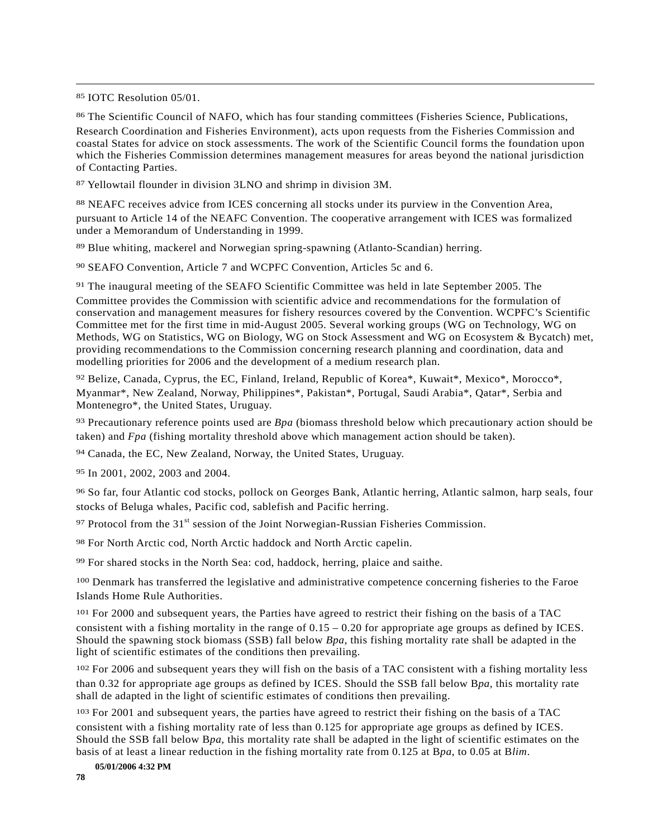85 IOTC Resolution 05/01.

 $\overline{a}$ 

86 The Scientific Council of NAFO, which has four standing committees (Fisheries Science, Publications, Research Coordination and Fisheries Environment), acts upon requests from the Fisheries Commission and coastal States for advice on stock assessments. The work of the Scientific Council forms the foundation upon which the Fisheries Commission determines management measures for areas beyond the national jurisdiction of Contacting Parties.

87 Yellowtail flounder in division 3LNO and shrimp in division 3M.

88 NEAFC receives advice from ICES concerning all stocks under its purview in the Convention Area, pursuant to Article 14 of the NEAFC Convention. The cooperative arrangement with ICES was formalized under a Memorandum of Understanding in 1999.

89 Blue whiting, mackerel and Norwegian spring-spawning (Atlanto-Scandian) herring.

90 SEAFO Convention, Article 7 and WCPFC Convention, Articles 5c and 6.

91 The inaugural meeting of the SEAFO Scientific Committee was held in late September 2005. The Committee provides the Commission with scientific advice and recommendations for the formulation of conservation and management measures for fishery resources covered by the Convention. WCPFC's Scientific Committee met for the first time in mid-August 2005. Several working groups (WG on Technology, WG on Methods, WG on Statistics, WG on Biology, WG on Stock Assessment and WG on Ecosystem & Bycatch) met, providing recommendations to the Commission concerning research planning and coordination, data and modelling priorities for 2006 and the development of a medium research plan.

92 Belize, Canada, Cyprus, the EC, Finland, Ireland, Republic of Korea\*, Kuwait\*, Mexico\*, Morocco\*, Myanmar\*, New Zealand, Norway, Philippines\*, Pakistan\*, Portugal, Saudi Arabia\*, Qatar\*, Serbia and Montenegro\*, the United States, Uruguay.

93 Precautionary reference points used are *Bpa* (biomass threshold below which precautionary action should be taken) and *Fpa* (fishing mortality threshold above which management action should be taken).

94 Canada, the EC, New Zealand, Norway, the United States, Uruguay.

95 In 2001, 2002, 2003 and 2004.

96 So far, four Atlantic cod stocks, pollock on Georges Bank, Atlantic herring, Atlantic salmon, harp seals, four stocks of Beluga whales, Pacific cod, sablefish and Pacific herring.

 $97$  Protocol from the 31<sup>st</sup> session of the Joint Norwegian-Russian Fisheries Commission.

98 For North Arctic cod, North Arctic haddock and North Arctic capelin.

99 For shared stocks in the North Sea: cod, haddock, herring, plaice and saithe.

100 Denmark has transferred the legislative and administrative competence concerning fisheries to the Faroe Islands Home Rule Authorities.

101 For 2000 and subsequent years, the Parties have agreed to restrict their fishing on the basis of a TAC consistent with a fishing mortality in the range of  $0.15 - 0.20$  for appropriate age groups as defined by ICES. Should the spawning stock biomass (SSB) fall below *Bpa*, this fishing mortality rate shall be adapted in the light of scientific estimates of the conditions then prevailing.

102 For 2006 and subsequent years they will fish on the basis of a TAC consistent with a fishing mortality less than 0.32 for appropriate age groups as defined by ICES. Should the SSB fall below B*pa*, this mortality rate shall de adapted in the light of scientific estimates of conditions then prevailing.

103 For 2001 and subsequent years, the parties have agreed to restrict their fishing on the basis of a TAC consistent with a fishing mortality rate of less than 0.125 for appropriate age groups as defined by ICES. Should the SSB fall below B*pa*, this mortality rate shall be adapted in the light of scientific estimates on the basis of at least a linear reduction in the fishing mortality rate from 0.125 at B*pa*, to 0.05 at B*lim*.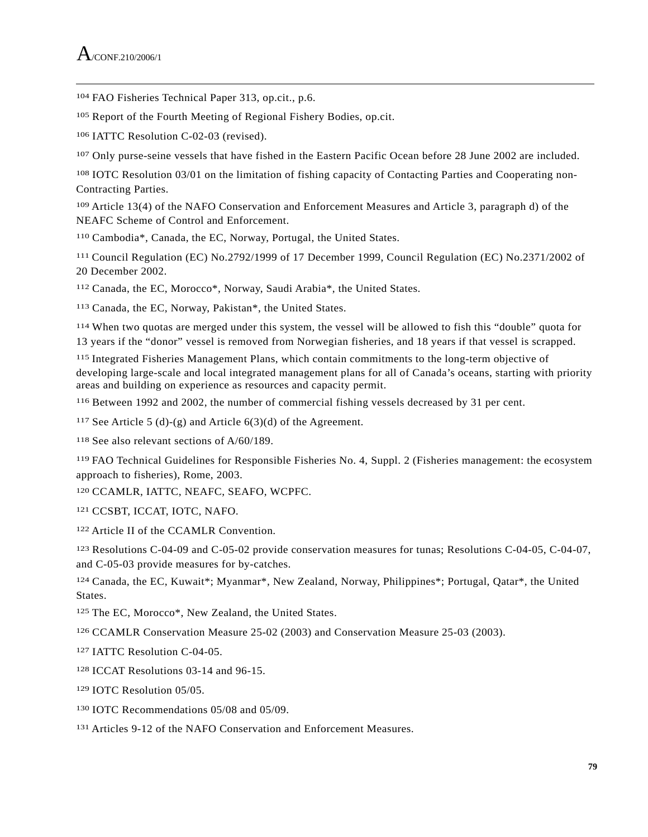104 FAO Fisheries Technical Paper 313, op.cit., p.6.

105 Report of the Fourth Meeting of Regional Fishery Bodies, op.cit.

106 IATTC Resolution C-02-03 (revised).

107 Only purse-seine vessels that have fished in the Eastern Pacific Ocean before 28 June 2002 are included.

108 IOTC Resolution 03/01 on the limitation of fishing capacity of Contacting Parties and Cooperating non-Contracting Parties.

109 Article 13(4) of the NAFO Conservation and Enforcement Measures and Article 3, paragraph d) of the NEAFC Scheme of Control and Enforcement.

110 Cambodia\*, Canada, the EC, Norway, Portugal, the United States.

111 Council Regulation (EC) No.2792/1999 of 17 December 1999, Council Regulation (EC) No.2371/2002 of 20 December 2002.

112 Canada, the EC, Morocco\*, Norway, Saudi Arabia\*, the United States.

113 Canada, the EC, Norway, Pakistan\*, the United States.

114 When two quotas are merged under this system, the vessel will be allowed to fish this "double" quota for 13 years if the "donor" vessel is removed from Norwegian fisheries, and 18 years if that vessel is scrapped.

115 Integrated Fisheries Management Plans, which contain commitments to the long-term objective of developing large-scale and local integrated management plans for all of Canada's oceans, starting with priority areas and building on experience as resources and capacity permit.

116 Between 1992 and 2002, the number of commercial fishing vessels decreased by 31 per cent.

<sup>117</sup> See Article 5 (d)-(g) and Article  $6(3)(d)$  of the Agreement.

118 See also relevant sections of A/60/189.

119 FAO Technical Guidelines for Responsible Fisheries No. 4, Suppl. 2 (Fisheries management: the ecosystem approach to fisheries), Rome, 2003.

120 CCAMLR, IATTC, NEAFC, SEAFO, WCPFC.

121 CCSBT, ICCAT, IOTC, NAFO.

122 Article II of the CCAMLR Convention.

123 Resolutions C-04-09 and C-05-02 provide conservation measures for tunas; Resolutions C-04-05, C-04-07, and C-05-03 provide measures for by-catches.

124 Canada, the EC, Kuwait\*; Myanmar\*, New Zealand, Norway, Philippines\*; Portugal, Qatar\*, the United States.

125 The EC, Morocco\*, New Zealand, the United States.

126 CCAMLR Conservation Measure 25-02 (2003) and Conservation Measure 25-03 (2003).

127 IATTC Resolution C-04-05.

128 ICCAT Resolutions 03-14 and 96-15.

129 IOTC Resolution 05/05.

130 IOTC Recommendations 05/08 and 05/09.

131 Articles 9-12 of the NAFO Conservation and Enforcement Measures.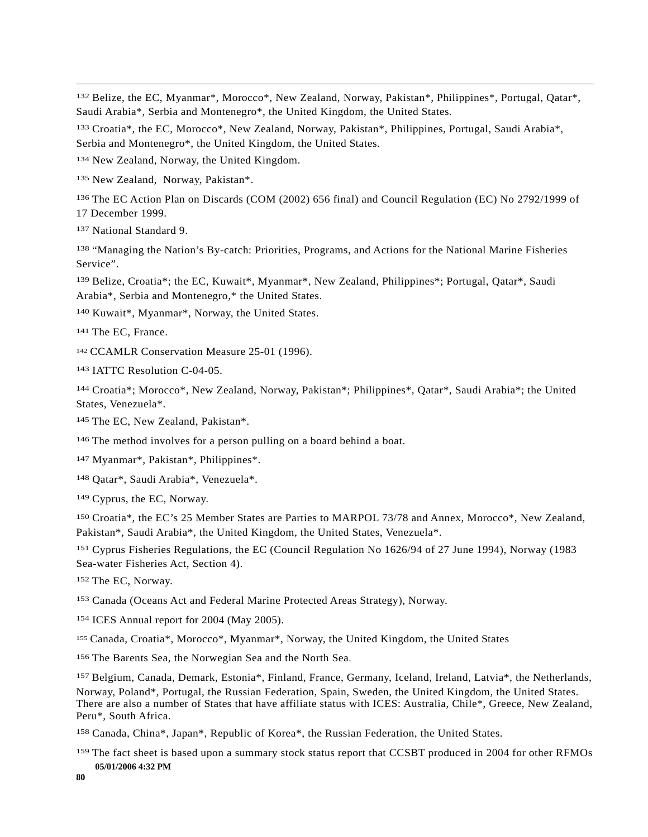<sup>132</sup> Belize, the EC, Myanmar<sup>\*</sup>, Morocco<sup>\*</sup>, New Zealand, Norway, Pakistan<sup>\*</sup>, Philippines<sup>\*</sup>, Portugal, Oatar<sup>\*</sup>, Saudi Arabia\*, Serbia and Montenegro\*, the United Kingdom, the United States.

133 Croatia\*, the EC, Morocco\*, New Zealand, Norway, Pakistan\*, Philippines, Portugal, Saudi Arabia\*, Serbia and Montenegro\*, the United Kingdom, the United States.

134 New Zealand, Norway, the United Kingdom.

135 New Zealand, Norway, Pakistan\*.

136 The EC Action Plan on Discards (COM (2002) 656 final) and Council Regulation (EC) No 2792/1999 of 17 December 1999.

137 National Standard 9.

 $\overline{a}$ 

138 "Managing the Nation's By-catch: Priorities, Programs, and Actions for the National Marine Fisheries Service".

139 Belize, Croatia\*; the EC, Kuwait\*, Myanmar\*, New Zealand, Philippines\*; Portugal, Qatar\*, Saudi Arabia\*, Serbia and Montenegro,\* the United States.

140 Kuwait\*, Myanmar\*, Norway, the United States.

141 The EC, France.

<sup>142</sup> CCAMLR Conservation Measure 25-01 (1996).

143 IATTC Resolution C-04-05.

144 Croatia\*; Morocco\*, New Zealand, Norway, Pakistan\*; Philippines\*, Qatar\*, Saudi Arabia\*; the United States, Venezuela\*.

145 The EC, New Zealand, Pakistan\*.

<sup>146</sup> The method involves for a person pulling on a board behind a boat.

147 Myanmar\*, Pakistan\*, Philippines\*.

148 Qatar\*, Saudi Arabia\*, Venezuela\*.

149 Cyprus, the EC, Norway.

150 Croatia\*, the EC's 25 Member States are Parties to MARPOL 73/78 and Annex, Morocco\*, New Zealand, Pakistan\*, Saudi Arabia\*, the United Kingdom, the United States, Venezuela\*.

151 Cyprus Fisheries Regulations, the EC (Council Regulation No 1626/94 of 27 June 1994), Norway (1983 Sea-water Fisheries Act, Section 4).

152 The EC, Norway.

153 Canada (Oceans Act and Federal Marine Protected Areas Strategy), Norway.

154 ICES Annual report for 2004 (May 2005).

<sup>155</sup> Canada, Croatia\*, Morocco\*, Myanmar\*, Norway, the United Kingdom, the United States

156 The Barents Sea, the Norwegian Sea and the North Sea.

157 Belgium, Canada, Demark, Estonia\*, Finland, France, Germany, Iceland, Ireland, Latvia\*, the Netherlands, Norway, Poland\*, Portugal, the Russian Federation, Spain, Sweden, the United Kingdom, the United States. There are also a number of States that have affiliate status with ICES: Australia, Chile\*, Greece, New Zealand, Peru\*, South Africa.

158 Canada, China\*, Japan\*, Republic of Korea\*, the Russian Federation, the United States.

**05/01/2006 4:32 PM**  159 The fact sheet is based upon a summary stock status report that CCSBT produced in 2004 for other RFMOs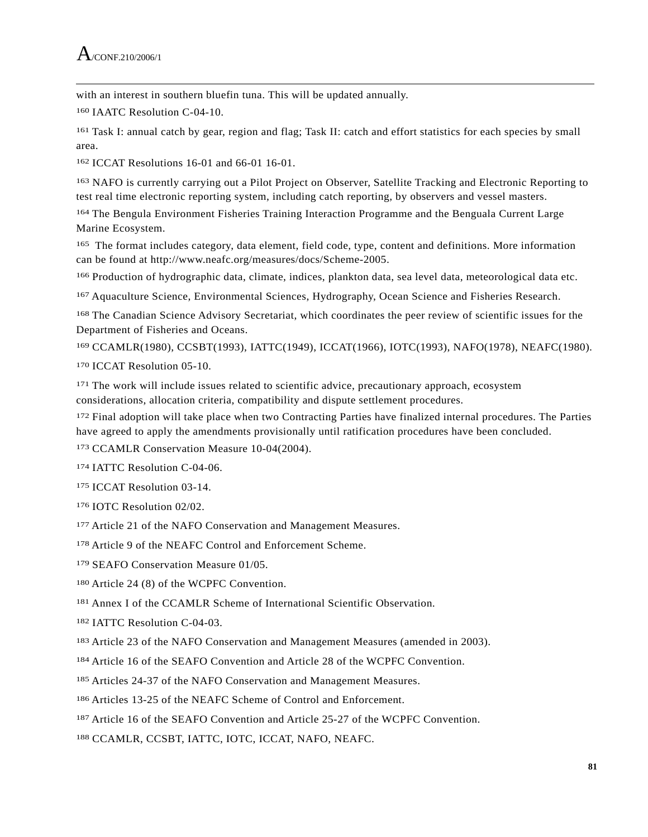$\overline{a}$ with an interest in southern bluefin tuna. This will be updated annually.

160 IAATC Resolution C-04-10.

161 Task I: annual catch by gear, region and flag; Task II: catch and effort statistics for each species by small area.

162 ICCAT Resolutions 16-01 and 66-01 16-01.

163 NAFO is currently carrying out a Pilot Project on Observer, Satellite Tracking and Electronic Reporting to test real time electronic reporting system, including catch reporting, by observers and vessel masters.

164 The Bengula Environment Fisheries Training Interaction Programme and the Benguala Current Large Marine Ecosystem.

165 The format includes category, data element, field code, type, content and definitions. More information can be found at http://www.neafc.org/measures/docs/Scheme-2005.

166 Production of hydrographic data, climate, indices, plankton data, sea level data, meteorological data etc.

167 Aquaculture Science, Environmental Sciences, Hydrography, Ocean Science and Fisheries Research.

168 The Canadian Science Advisory Secretariat, which coordinates the peer review of scientific issues for the Department of Fisheries and Oceans.

169 CCAMLR(1980), CCSBT(1993), IATTC(1949), ICCAT(1966), IOTC(1993), NAFO(1978), NEAFC(1980).

170 ICCAT Resolution 05-10.

<sup>171</sup> The work will include issues related to scientific advice, precautionary approach, ecosystem considerations, allocation criteria, compatibility and dispute settlement procedures.

172 Final adoption will take place when two Contracting Parties have finalized internal procedures. The Parties have agreed to apply the amendments provisionally until ratification procedures have been concluded.

173 CCAMLR Conservation Measure 10-04(2004).

174 IATTC Resolution C-04-06.

175 ICCAT Resolution 03-14.

176 IOTC Resolution 02/02.

177 Article 21 of the NAFO Conservation and Management Measures.

178 Article 9 of the NEAFC Control and Enforcement Scheme.

179 SEAFO Conservation Measure 01/05.

180 Article 24 (8) of the WCPFC Convention.

181 Annex I of the CCAMLR Scheme of International Scientific Observation.

182 IATTC Resolution C-04-03.

183 Article 23 of the NAFO Conservation and Management Measures (amended in 2003).

184 Article 16 of the SEAFO Convention and Article 28 of the WCPFC Convention.

185 Articles 24-37 of the NAFO Conservation and Management Measures.

186 Articles 13-25 of the NEAFC Scheme of Control and Enforcement.

187 Article 16 of the SEAFO Convention and Article 25-27 of the WCPFC Convention.

188 CCAMLR, CCSBT, IATTC, IOTC, ICCAT, NAFO, NEAFC.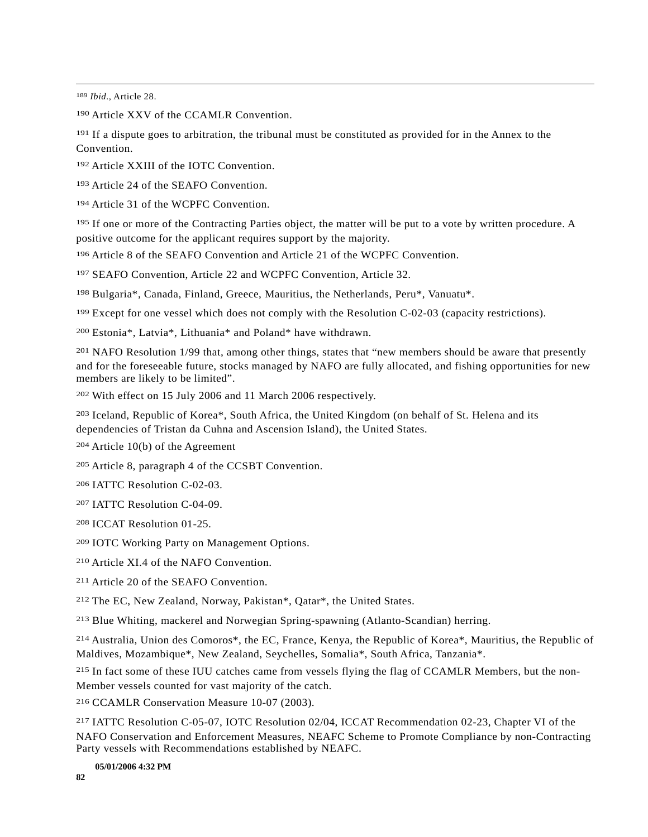189 *Ibid*., Article 28.

 $\overline{a}$ 

190 Article XXV of the CCAMLR Convention.

<sup>191</sup> If a dispute goes to arbitration, the tribunal must be constituted as provided for in the Annex to the Convention.

192 Article XXIII of the IOTC Convention.

193 Article 24 of the SEAFO Convention.

194 Article 31 of the WCPFC Convention.

195 If one or more of the Contracting Parties object, the matter will be put to a vote by written procedure. A positive outcome for the applicant requires support by the majority.

196 Article 8 of the SEAFO Convention and Article 21 of the WCPFC Convention.

197 SEAFO Convention, Article 22 and WCPFC Convention, Article 32.

198 Bulgaria\*, Canada, Finland, Greece, Mauritius, the Netherlands, Peru\*, Vanuatu\*.

199 Except for one vessel which does not comply with the Resolution C-02-03 (capacity restrictions).

200 Estonia\*, Latvia\*, Lithuania\* and Poland\* have withdrawn.

<sup>201</sup> NAFO Resolution 1/99 that, among other things, states that "new members should be aware that presently and for the foreseeable future, stocks managed by NAFO are fully allocated, and fishing opportunities for new members are likely to be limited".

202 With effect on 15 July 2006 and 11 March 2006 respectively.

203 Iceland, Republic of Korea\*, South Africa, the United Kingdom (on behalf of St. Helena and its dependencies of Tristan da Cuhna and Ascension Island), the United States.

204 Article 10(b) of the Agreement

205 Article 8, paragraph 4 of the CCSBT Convention.

206 IATTC Resolution C-02-03.

207 IATTC Resolution C-04-09.

208 ICCAT Resolution 01-25.

209 IOTC Working Party on Management Options.

210 Article XI.4 of the NAFO Convention.

211 Article 20 of the SEAFO Convention.

212 The EC, New Zealand, Norway, Pakistan\*, Qatar\*, the United States.

213 Blue Whiting, mackerel and Norwegian Spring-spawning (Atlanto-Scandian) herring.

214 Australia, Union des Comoros\*, the EC, France, Kenya, the Republic of Korea\*, Mauritius, the Republic of Maldives, Mozambique\*, New Zealand, Seychelles, Somalia\*, South Africa, Tanzania\*.

215 In fact some of these IUU catches came from vessels flying the flag of CCAMLR Members, but the non-Member vessels counted for vast majority of the catch.

216 CCAMLR Conservation Measure 10-07 (2003).

217 IATTC Resolution C-05-07, IOTC Resolution 02/04, ICCAT Recommendation 02-23, Chapter VI of the NAFO Conservation and Enforcement Measures, NEAFC Scheme to Promote Compliance by non-Contracting Party vessels with Recommendations established by NEAFC.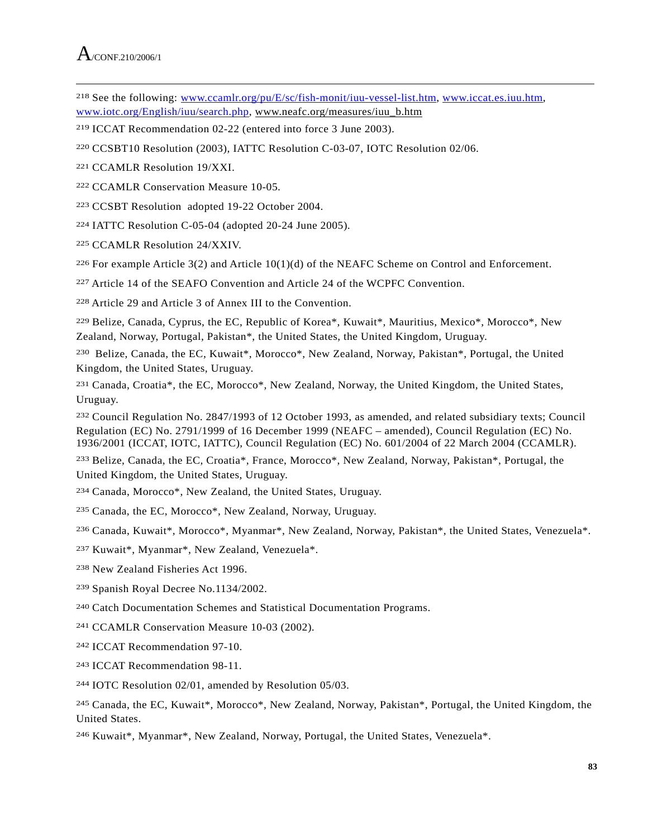218 See the following: www.ccamlr.org/pu/E/sc/fish-monit/iuu-vessel-list.htm, www.iccat.es.iuu.htm, www.iotc.org/English/iuu/search.php, www.neafc.org/measures/iuu\_b.htm

- 219 ICCAT Recommendation 02-22 (entered into force 3 June 2003).
- 220 CCSBT10 Resolution (2003), IATTC Resolution C-03-07, IOTC Resolution 02/06.
- 221 CCAMLR Resolution 19/XXI.
- 222 CCAMLR Conservation Measure 10-05.
- 223 CCSBT Resolution adopted 19-22 October 2004.
- 224 IATTC Resolution C-05-04 (adopted 20-24 June 2005).
- 225 CCAMLR Resolution 24/XXIV.

<sup>226</sup> For example Article  $3(2)$  and Article  $10(1)(d)$  of the NEAFC Scheme on Control and Enforcement.

227 Article 14 of the SEAFO Convention and Article 24 of the WCPFC Convention.

228 Article 29 and Article 3 of Annex III to the Convention.

229 Belize, Canada, Cyprus, the EC, Republic of Korea\*, Kuwait\*, Mauritius, Mexico\*, Morocco\*, New Zealand, Norway, Portugal, Pakistan\*, the United States, the United Kingdom, Uruguay.

230 Belize, Canada, the EC, Kuwait\*, Morocco\*, New Zealand, Norway, Pakistan\*, Portugal, the United Kingdom, the United States, Uruguay.

231 Canada, Croatia\*, the EC, Morocco\*, New Zealand, Norway, the United Kingdom, the United States, Uruguay.

232 Council Regulation No. 2847/1993 of 12 October 1993, as amended, and related subsidiary texts; Council Regulation (EC) No. 2791/1999 of 16 December 1999 (NEAFC – amended), Council Regulation (EC) No. 1936/2001 (ICCAT, IOTC, IATTC), Council Regulation (EC) No. 601/2004 of 22 March 2004 (CCAMLR).

233 Belize, Canada, the EC, Croatia\*, France, Morocco\*, New Zealand, Norway, Pakistan\*, Portugal, the United Kingdom, the United States, Uruguay.

234 Canada, Morocco\*, New Zealand, the United States, Uruguay.

235 Canada, the EC, Morocco\*, New Zealand, Norway, Uruguay.

236 Canada, Kuwait\*, Morocco\*, Myanmar\*, New Zealand, Norway, Pakistan\*, the United States, Venezuela\*.

- 237 Kuwait\*, Myanmar\*, New Zealand, Venezuela\*.
- 238 New Zealand Fisheries Act 1996.
- 239 Spanish Royal Decree No.1134/2002.
- 240 Catch Documentation Schemes and Statistical Documentation Programs.
- 241 CCAMLR Conservation Measure 10-03 (2002).
- 242 ICCAT Recommendation 97-10.
- 243 ICCAT Recommendation 98-11.
- 244 IOTC Resolution 02/01, amended by Resolution 05/03.

245 Canada, the EC, Kuwait\*, Morocco\*, New Zealand, Norway, Pakistan\*, Portugal, the United Kingdom, the United States.

246 Kuwait\*, Myanmar\*, New Zealand, Norway, Portugal, the United States, Venezuela\*.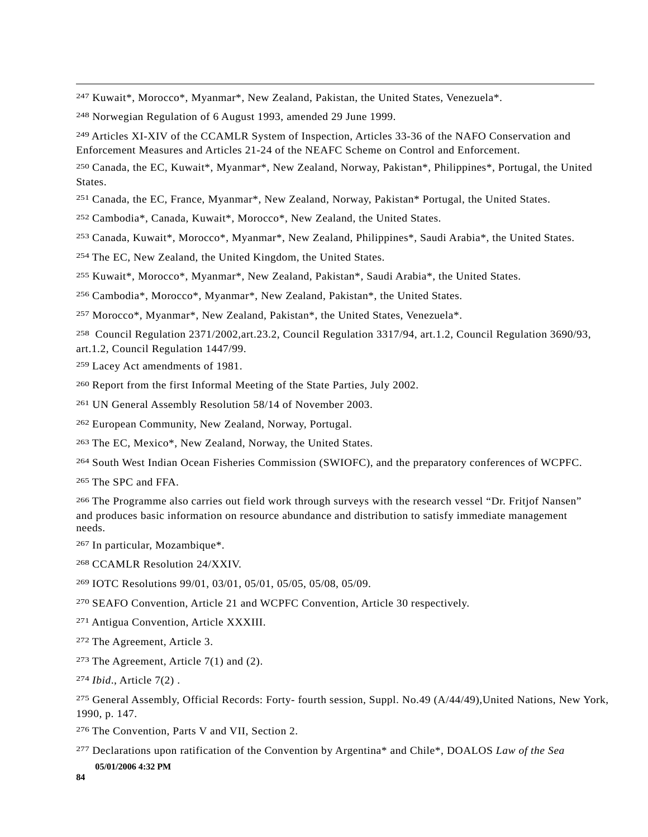247 Kuwait\*, Morocco\*, Myanmar\*, New Zealand, Pakistan, the United States, Venezuela\*.

248 Norwegian Regulation of 6 August 1993, amended 29 June 1999.

249 Articles XI-XIV of the CCAMLR System of Inspection, Articles 33-36 of the NAFO Conservation and Enforcement Measures and Articles 21-24 of the NEAFC Scheme on Control and Enforcement.

250 Canada, the EC, Kuwait\*, Myanmar\*, New Zealand, Norway, Pakistan\*, Philippines\*, Portugal, the United States.

251 Canada, the EC, France, Myanmar\*, New Zealand, Norway, Pakistan\* Portugal, the United States.

252 Cambodia\*, Canada, Kuwait\*, Morocco\*, New Zealand, the United States.

253 Canada, Kuwait\*, Morocco\*, Myanmar\*, New Zealand, Philippines\*, Saudi Arabia\*, the United States.

254 The EC, New Zealand, the United Kingdom, the United States.

255 Kuwait\*, Morocco\*, Myanmar\*, New Zealand, Pakistan\*, Saudi Arabia\*, the United States.

256 Cambodia\*, Morocco\*, Myanmar\*, New Zealand, Pakistan\*, the United States.

257 Morocco\*, Myanmar\*, New Zealand, Pakistan\*, the United States, Venezuela\*.

258 Council Regulation 2371/2002,art.23.2, Council Regulation 3317/94, art.1.2, Council Regulation 3690/93, art.1.2, Council Regulation 1447/99.

259 Lacey Act amendments of 1981.

260 Report from the first Informal Meeting of the State Parties, July 2002.

261 UN General Assembly Resolution 58/14 of November 2003.

262 European Community, New Zealand, Norway, Portugal.

263 The EC, Mexico\*, New Zealand, Norway, the United States.

264 South West Indian Ocean Fisheries Commission (SWIOFC), and the preparatory conferences of WCPFC.

265 The SPC and FFA.

 $\overline{a}$ 

266 The Programme also carries out field work through surveys with the research vessel "Dr. Fritjof Nansen" and produces basic information on resource abundance and distribution to satisfy immediate management needs.

267 In particular, Mozambique\*.

268 CCAMLR Resolution 24/XXIV.

269 IOTC Resolutions 99/01, 03/01, 05/01, 05/05, 05/08, 05/09.

270 SEAFO Convention, Article 21 and WCPFC Convention, Article 30 respectively.

271 Antigua Convention, Article XXXIII.

272 The Agreement, Article 3.

<sup>273</sup> The Agreement, Article  $7(1)$  and (2).

274 *Ibid*., Article 7(2) .

275 General Assembly, Official Records: Forty- fourth session, Suppl. No.49 (A/44/49),United Nations, New York, 1990, p. 147.

276 The Convention, Parts V and VII, Section 2.

277 Declarations upon ratification of the Convention by Argentina\* and Chile\*, DOALOS *Law of the Sea*